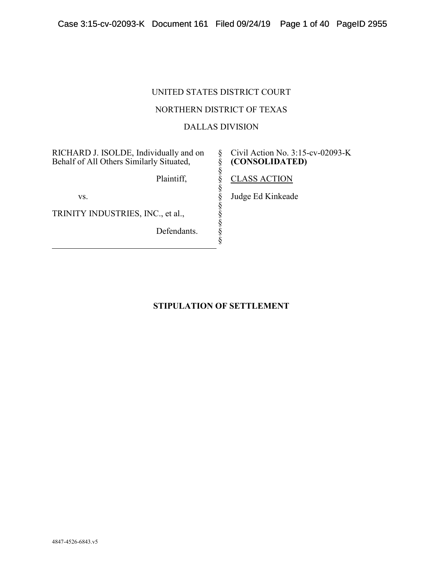# UNITED STATES DISTRICT COURT

## NORTHERN DISTRICT OF TEXAS

## DALLAS DIVISION

§ § § § § § § § § § §

RICHARD J. ISOLDE, Individually and on Behalf of All Others Similarly Situated,

Plaintiff,

vs.

TRINITY INDUSTRIES, INC., et al.,

Defendants.

Civil Action No. 3:15-cv-02093-K **(CONSOLIDATED)**

CLASS ACTION

Judge Ed Kinkeade

**STIPULATION OF SETTLEMENT**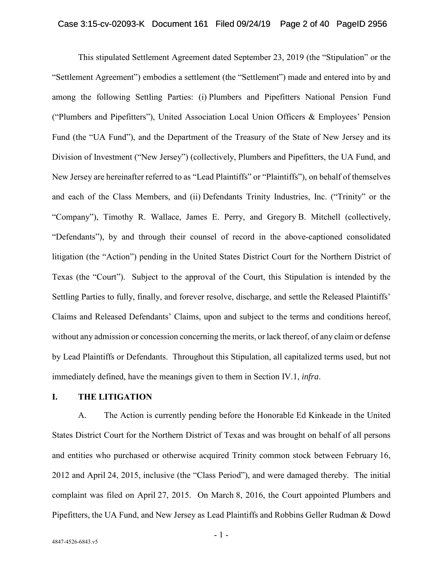## Case 3:15-cv-02093-K Document 161 Filed 09/24/19 Page 2 of 40 PageID 2956

This stipulated Settlement Agreement dated September 23, 2019 (the "Stipulation" or the "Settlement Agreement") embodies a settlement (the "Settlement") made and entered into by and among the following Settling Parties: (i) Plumbers and Pipefitters National Pension Fund ("Plumbers and Pipefitters"), United Association Local Union Officers & Employees' Pension Fund (the "UA Fund"), and the Department of the Treasury of the State of New Jersey and its Division of Investment ("New Jersey") (collectively, Plumbers and Pipefitters, the UA Fund, and New Jersey are hereinafter referred to as "Lead Plaintiffs" or "Plaintiffs"), on behalf of themselves and each of the Class Members, and (ii) Defendants Trinity Industries, Inc. ("Trinity" or the "Company"), Timothy R. Wallace, James E. Perry, and Gregory B. Mitchell (collectively, "Defendants"), by and through their counsel of record in the above-captioned consolidated litigation (the "Action") pending in the United States District Court for the Northern District of Texas (the "Court"). Subject to the approval of the Court, this Stipulation is intended by the Settling Parties to fully, finally, and forever resolve, discharge, and settle the Released Plaintiffs' Claims and Released Defendants' Claims, upon and subject to the terms and conditions hereof, without any admission or concession concerning the merits, or lack thereof, of any claim or defense by Lead Plaintiffs or Defendants. Throughout this Stipulation, all capitalized terms used, but not immediately defined, have the meanings given to them in Section IV.1, *infra*.

## **I. THE LITIGATION**

A. The Action is currently pending before the Honorable Ed Kinkeade in the United States District Court for the Northern District of Texas and was brought on behalf of all persons and entities who purchased or otherwise acquired Trinity common stock between February 16, 2012 and April 24, 2015, inclusive (the "Class Period"), and were damaged thereby. The initial complaint was filed on April 27, 2015. On March 8, 2016, the Court appointed Plumbers and Pipefitters, the UA Fund, and New Jersey as Lead Plaintiffs and Robbins Geller Rudman & Dowd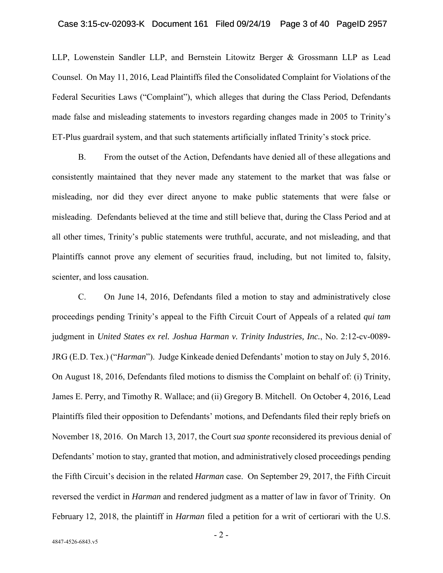## Case 3:15-cv-02093-K Document 161 Filed 09/24/19 Page 3 of 40 PageID 2957

LLP, Lowenstein Sandler LLP, and Bernstein Litowitz Berger & Grossmann LLP as Lead Counsel. On May 11, 2016, Lead Plaintiffs filed the Consolidated Complaint for Violations of the Federal Securities Laws ("Complaint"), which alleges that during the Class Period, Defendants made false and misleading statements to investors regarding changes made in 2005 to Trinity's ET-Plus guardrail system, and that such statements artificially inflated Trinity's stock price.

B. From the outset of the Action, Defendants have denied all of these allegations and consistently maintained that they never made any statement to the market that was false or misleading, nor did they ever direct anyone to make public statements that were false or misleading. Defendants believed at the time and still believe that, during the Class Period and at all other times, Trinity's public statements were truthful, accurate, and not misleading, and that Plaintiffs cannot prove any element of securities fraud, including, but not limited to, falsity, scienter, and loss causation.

C. On June 14, 2016, Defendants filed a motion to stay and administratively close proceedings pending Trinity's appeal to the Fifth Circuit Court of Appeals of a related *qui tam* judgment in *United States ex rel. Joshua Harman v. Trinity Industries, Inc.*, No. 2:12-cv-0089- JRG (E.D. Tex.) ("*Harman*"). Judge Kinkeade denied Defendants' motion to stay on July 5, 2016. On August 18, 2016, Defendants filed motions to dismiss the Complaint on behalf of: (i) Trinity, James E. Perry, and Timothy R. Wallace; and (ii) Gregory B. Mitchell. On October 4, 2016, Lead Plaintiffs filed their opposition to Defendants' motions, and Defendants filed their reply briefs on November 18, 2016. On March 13, 2017, the Court *sua sponte* reconsidered its previous denial of Defendants' motion to stay, granted that motion, and administratively closed proceedings pending the Fifth Circuit's decision in the related *Harman* case. On September 29, 2017, the Fifth Circuit reversed the verdict in *Harman* and rendered judgment as a matter of law in favor of Trinity. On February 12, 2018, the plaintiff in *Harman* filed a petition for a writ of certiorari with the U.S.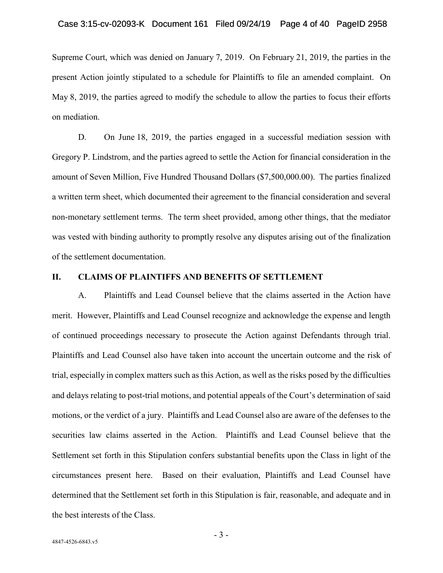## Case 3:15-cv-02093-K Document 161 Filed 09/24/19 Page 4 of 40 PageID 2958

Supreme Court, which was denied on January 7, 2019. On February 21, 2019, the parties in the present Action jointly stipulated to a schedule for Plaintiffs to file an amended complaint. On May 8, 2019, the parties agreed to modify the schedule to allow the parties to focus their efforts on mediation.

D. On June 18, 2019, the parties engaged in a successful mediation session with Gregory P. Lindstrom, and the parties agreed to settle the Action for financial consideration in the amount of Seven Million, Five Hundred Thousand Dollars (\$7,500,000.00). The parties finalized a written term sheet, which documented their agreement to the financial consideration and several non-monetary settlement terms. The term sheet provided, among other things, that the mediator was vested with binding authority to promptly resolve any disputes arising out of the finalization of the settlement documentation.

## **II. CLAIMS OF PLAINTIFFS AND BENEFITS OF SETTLEMENT**

A. Plaintiffs and Lead Counsel believe that the claims asserted in the Action have merit. However, Plaintiffs and Lead Counsel recognize and acknowledge the expense and length of continued proceedings necessary to prosecute the Action against Defendants through trial. Plaintiffs and Lead Counsel also have taken into account the uncertain outcome and the risk of trial, especially in complex matters such as this Action, as well as the risks posed by the difficulties and delays relating to post-trial motions, and potential appeals of the Court's determination of said motions, or the verdict of a jury. Plaintiffs and Lead Counsel also are aware of the defenses to the securities law claims asserted in the Action. Plaintiffs and Lead Counsel believe that the Settlement set forth in this Stipulation confers substantial benefits upon the Class in light of the circumstances present here. Based on their evaluation, Plaintiffs and Lead Counsel have determined that the Settlement set forth in this Stipulation is fair, reasonable, and adequate and in the best interests of the Class.

- 3 -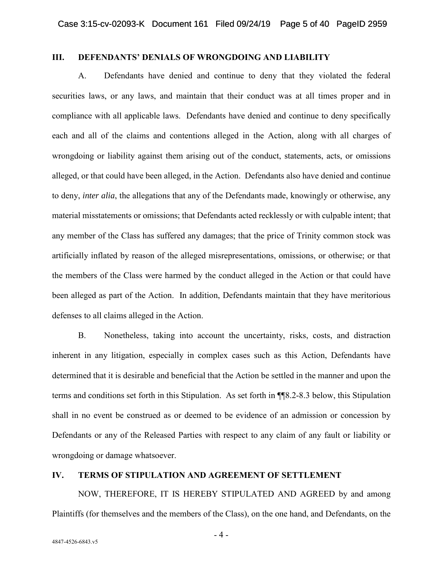## **III. DEFENDANTS' DENIALS OF WRONGDOING AND LIABILITY**

A. Defendants have denied and continue to deny that they violated the federal securities laws, or any laws, and maintain that their conduct was at all times proper and in compliance with all applicable laws. Defendants have denied and continue to deny specifically each and all of the claims and contentions alleged in the Action, along with all charges of wrongdoing or liability against them arising out of the conduct, statements, acts, or omissions alleged, or that could have been alleged, in the Action. Defendants also have denied and continue to deny, *inter alia*, the allegations that any of the Defendants made, knowingly or otherwise, any material misstatements or omissions; that Defendants acted recklessly or with culpable intent; that any member of the Class has suffered any damages; that the price of Trinity common stock was artificially inflated by reason of the alleged misrepresentations, omissions, or otherwise; or that the members of the Class were harmed by the conduct alleged in the Action or that could have been alleged as part of the Action. In addition, Defendants maintain that they have meritorious defenses to all claims alleged in the Action.

B. Nonetheless, taking into account the uncertainty, risks, costs, and distraction inherent in any litigation, especially in complex cases such as this Action, Defendants have determined that it is desirable and beneficial that the Action be settled in the manner and upon the terms and conditions set forth in this Stipulation. As set forth in ¶¶8.2-8.3 below, this Stipulation shall in no event be construed as or deemed to be evidence of an admission or concession by Defendants or any of the Released Parties with respect to any claim of any fault or liability or wrongdoing or damage whatsoever.

# **IV. TERMS OF STIPULATION AND AGREEMENT OF SETTLEMENT**

NOW, THEREFORE, IT IS HEREBY STIPULATED AND AGREED by and among Plaintiffs (for themselves and the members of the Class), on the one hand, and Defendants, on the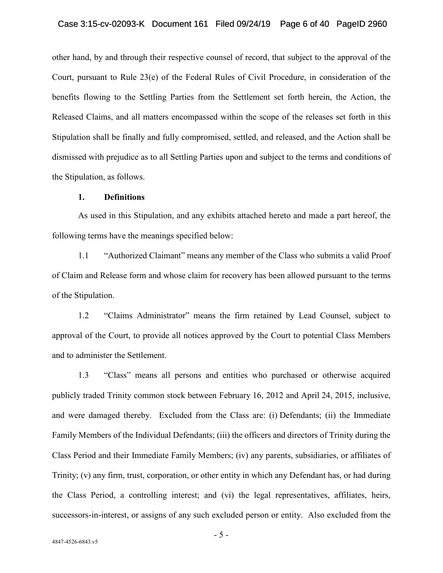## Case 3:15-cv-02093-K Document 161 Filed 09/24/19 Page 6 of 40 PageID 2960

other hand, by and through their respective counsel of record, that subject to the approval of the Court, pursuant to Rule 23(e) of the Federal Rules of Civil Procedure, in consideration of the benefits flowing to the Settling Parties from the Settlement set forth herein, the Action, the Released Claims, and all matters encompassed within the scope of the releases set forth in this Stipulation shall be finally and fully compromised, settled, and released, and the Action shall be dismissed with prejudice as to all Settling Parties upon and subject to the terms and conditions of the Stipulation, as follows.

## **1. Definitions**

As used in this Stipulation, and any exhibits attached hereto and made a part hereof, the following terms have the meanings specified below:

1.1 "Authorized Claimant" means any member of the Class who submits a valid Proof of Claim and Release form and whose claim for recovery has been allowed pursuant to the terms of the Stipulation.

1.2 "Claims Administrator" means the firm retained by Lead Counsel, subject to approval of the Court, to provide all notices approved by the Court to potential Class Members and to administer the Settlement.

1.3 "Class" means all persons and entities who purchased or otherwise acquired publicly traded Trinity common stock between February 16, 2012 and April 24, 2015, inclusive, and were damaged thereby. Excluded from the Class are: (i) Defendants; (ii) the Immediate Family Members of the Individual Defendants; (iii) the officers and directors of Trinity during the Class Period and their Immediate Family Members; (iv) any parents, subsidiaries, or affiliates of Trinity; (v) any firm, trust, corporation, or other entity in which any Defendant has, or had during the Class Period, a controlling interest; and (vi) the legal representatives, affiliates, heirs, successors-in-interest, or assigns of any such excluded person or entity. Also excluded from the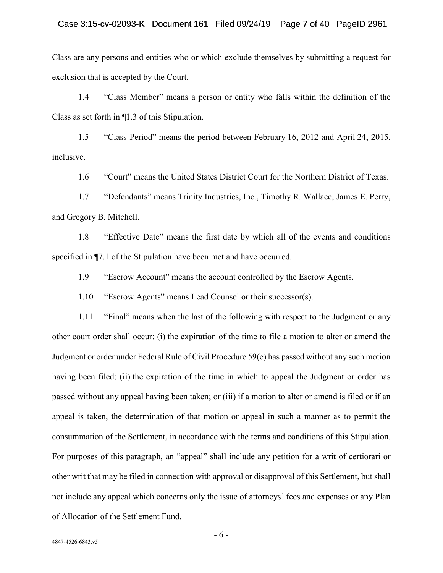## Case 3:15-cv-02093-K Document 161 Filed 09/24/19 Page 7 of 40 PageID 2961

Class are any persons and entities who or which exclude themselves by submitting a request for exclusion that is accepted by the Court.

1.4 "Class Member" means a person or entity who falls within the definition of the Class as set forth in ¶1.3 of this Stipulation.

1.5 "Class Period" means the period between February 16, 2012 and April 24, 2015, inclusive.

1.6 "Court" means the United States District Court for the Northern District of Texas.

1.7 "Defendants" means Trinity Industries, Inc., Timothy R. Wallace, James E. Perry, and Gregory B. Mitchell.

1.8 "Effective Date" means the first date by which all of the events and conditions specified in ¶7.1 of the Stipulation have been met and have occurred.

1.9 "Escrow Account" means the account controlled by the Escrow Agents.

1.10 "Escrow Agents" means Lead Counsel or their successor(s).

1.11 "Final" means when the last of the following with respect to the Judgment or any other court order shall occur: (i) the expiration of the time to file a motion to alter or amend the Judgment or order under Federal Rule of Civil Procedure 59(e) has passed without any such motion having been filed; (ii) the expiration of the time in which to appeal the Judgment or order has passed without any appeal having been taken; or (iii) if a motion to alter or amend is filed or if an appeal is taken, the determination of that motion or appeal in such a manner as to permit the consummation of the Settlement, in accordance with the terms and conditions of this Stipulation. For purposes of this paragraph, an "appeal" shall include any petition for a writ of certiorari or other writ that may be filed in connection with approval or disapproval of this Settlement, but shall not include any appeal which concerns only the issue of attorneys' fees and expenses or any Plan of Allocation of the Settlement Fund.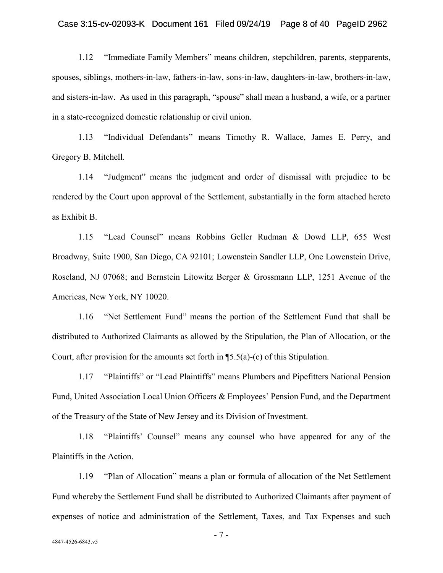## Case 3:15-cv-02093-K Document 161 Filed 09/24/19 Page 8 of 40 PageID 2962

1.12 "Immediate Family Members" means children, stepchildren, parents, stepparents, spouses, siblings, mothers-in-law, fathers-in-law, sons-in-law, daughters-in-law, brothers-in-law, and sisters-in-law. As used in this paragraph, "spouse" shall mean a husband, a wife, or a partner in a state-recognized domestic relationship or civil union.

1.13 "Individual Defendants" means Timothy R. Wallace, James E. Perry, and Gregory B. Mitchell.

1.14 "Judgment" means the judgment and order of dismissal with prejudice to be rendered by the Court upon approval of the Settlement, substantially in the form attached hereto as Exhibit B.

1.15 "Lead Counsel" means Robbins Geller Rudman & Dowd LLP, 655 West Broadway, Suite 1900, San Diego, CA 92101; Lowenstein Sandler LLP, One Lowenstein Drive, Roseland, NJ 07068; and Bernstein Litowitz Berger & Grossmann LLP, 1251 Avenue of the Americas, New York, NY 10020.

1.16 "Net Settlement Fund" means the portion of the Settlement Fund that shall be distributed to Authorized Claimants as allowed by the Stipulation, the Plan of Allocation, or the Court, after provision for the amounts set forth in  $\$\cdot 5(a)$ -(c) of this Stipulation.

1.17 "Plaintiffs" or "Lead Plaintiffs" means Plumbers and Pipefitters National Pension Fund, United Association Local Union Officers & Employees' Pension Fund, and the Department of the Treasury of the State of New Jersey and its Division of Investment.

1.18 "Plaintiffs' Counsel" means any counsel who have appeared for any of the Plaintiffs in the Action.

1.19 "Plan of Allocation" means a plan or formula of allocation of the Net Settlement Fund whereby the Settlement Fund shall be distributed to Authorized Claimants after payment of expenses of notice and administration of the Settlement, Taxes, and Tax Expenses and such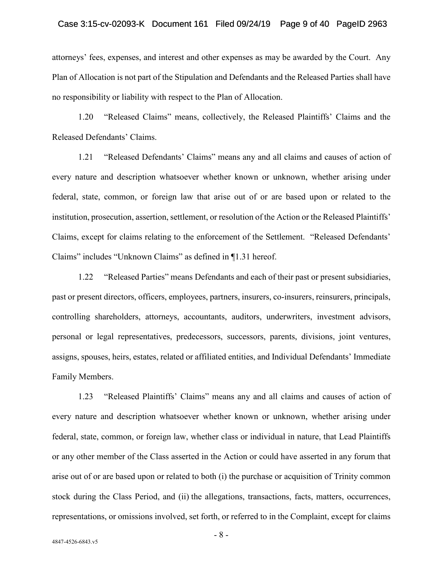## Case 3:15-cv-02093-K Document 161 Filed 09/24/19 Page 9 of 40 PageID 2963

attorneys' fees, expenses, and interest and other expenses as may be awarded by the Court. Any Plan of Allocation is not part of the Stipulation and Defendants and the Released Parties shall have no responsibility or liability with respect to the Plan of Allocation.

1.20 "Released Claims" means, collectively, the Released Plaintiffs' Claims and the Released Defendants' Claims.

1.21 "Released Defendants' Claims" means any and all claims and causes of action of every nature and description whatsoever whether known or unknown, whether arising under federal, state, common, or foreign law that arise out of or are based upon or related to the institution, prosecution, assertion, settlement, or resolution of the Action or the Released Plaintiffs' Claims, except for claims relating to the enforcement of the Settlement. "Released Defendants' Claims" includes "Unknown Claims" as defined in ¶1.31 hereof.

1.22 "Released Parties" means Defendants and each of their past or present subsidiaries, past or present directors, officers, employees, partners, insurers, co-insurers, reinsurers, principals, controlling shareholders, attorneys, accountants, auditors, underwriters, investment advisors, personal or legal representatives, predecessors, successors, parents, divisions, joint ventures, assigns, spouses, heirs, estates, related or affiliated entities, and Individual Defendants' Immediate Family Members.

1.23 "Released Plaintiffs' Claims" means any and all claims and causes of action of every nature and description whatsoever whether known or unknown, whether arising under federal, state, common, or foreign law, whether class or individual in nature, that Lead Plaintiffs or any other member of the Class asserted in the Action or could have asserted in any forum that arise out of or are based upon or related to both (i) the purchase or acquisition of Trinity common stock during the Class Period, and (ii) the allegations, transactions, facts, matters, occurrences, representations, or omissions involved, set forth, or referred to in the Complaint, except for claims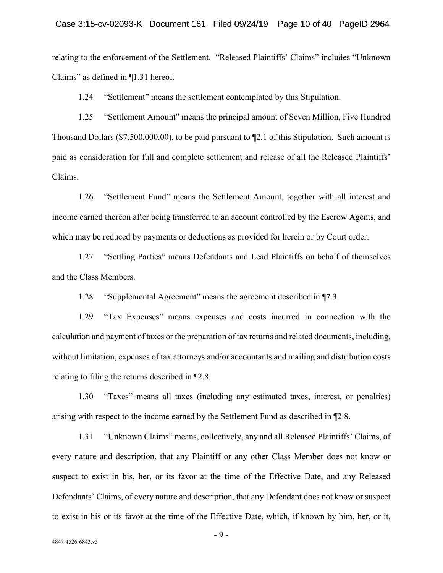relating to the enforcement of the Settlement. "Released Plaintiffs' Claims" includes "Unknown Claims" as defined in ¶1.31 hereof.

1.24 "Settlement" means the settlement contemplated by this Stipulation.

1.25 "Settlement Amount" means the principal amount of Seven Million, Five Hundred Thousand Dollars (\$7,500,000.00), to be paid pursuant to ¶2.1 of this Stipulation. Such amount is paid as consideration for full and complete settlement and release of all the Released Plaintiffs' Claims.

1.26 "Settlement Fund" means the Settlement Amount, together with all interest and income earned thereon after being transferred to an account controlled by the Escrow Agents, and which may be reduced by payments or deductions as provided for herein or by Court order.

1.27 "Settling Parties" means Defendants and Lead Plaintiffs on behalf of themselves and the Class Members.

1.28 "Supplemental Agreement" means the agreement described in ¶7.3.

1.29 "Tax Expenses" means expenses and costs incurred in connection with the calculation and payment of taxes or the preparation of tax returns and related documents, including, without limitation, expenses of tax attorneys and/or accountants and mailing and distribution costs relating to filing the returns described in ¶2.8.

1.30 "Taxes" means all taxes (including any estimated taxes, interest, or penalties) arising with respect to the income earned by the Settlement Fund as described in ¶2.8.

1.31 "Unknown Claims" means, collectively, any and all Released Plaintiffs' Claims, of every nature and description, that any Plaintiff or any other Class Member does not know or suspect to exist in his, her, or its favor at the time of the Effective Date, and any Released Defendants' Claims, of every nature and description, that any Defendant does not know or suspect to exist in his or its favor at the time of the Effective Date, which, if known by him, her, or it,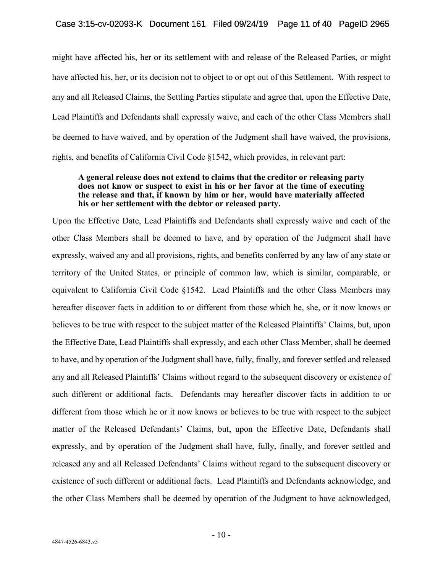might have affected his, her or its settlement with and release of the Released Parties, or might have affected his, her, or its decision not to object to or opt out of this Settlement. With respect to any and all Released Claims, the Settling Parties stipulate and agree that, upon the Effective Date, Lead Plaintiffs and Defendants shall expressly waive, and each of the other Class Members shall be deemed to have waived, and by operation of the Judgment shall have waived, the provisions, rights, and benefits of California Civil Code §1542, which provides, in relevant part:

## **A general release does not extend to claims that the creditor or releasing party does not know or suspect to exist in his or her favor at the time of executing the release and that, if known by him or her, would have materially affected his or her settlement with the debtor or released party.**

Upon the Effective Date, Lead Plaintiffs and Defendants shall expressly waive and each of the other Class Members shall be deemed to have, and by operation of the Judgment shall have expressly, waived any and all provisions, rights, and benefits conferred by any law of any state or territory of the United States, or principle of common law, which is similar, comparable, or equivalent to California Civil Code §1542. Lead Plaintiffs and the other Class Members may hereafter discover facts in addition to or different from those which he, she, or it now knows or believes to be true with respect to the subject matter of the Released Plaintiffs' Claims, but, upon the Effective Date, Lead Plaintiffs shall expressly, and each other Class Member, shall be deemed to have, and by operation of the Judgment shall have, fully, finally, and forever settled and released any and all Released Plaintiffs' Claims without regard to the subsequent discovery or existence of such different or additional facts. Defendants may hereafter discover facts in addition to or different from those which he or it now knows or believes to be true with respect to the subject matter of the Released Defendants' Claims, but, upon the Effective Date, Defendants shall expressly, and by operation of the Judgment shall have, fully, finally, and forever settled and released any and all Released Defendants' Claims without regard to the subsequent discovery or existence of such different or additional facts. Lead Plaintiffs and Defendants acknowledge, and the other Class Members shall be deemed by operation of the Judgment to have acknowledged,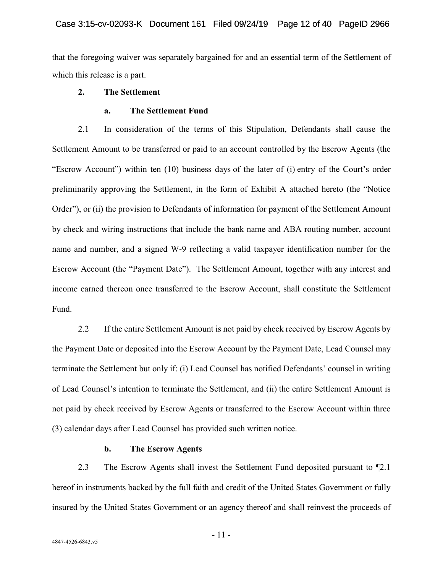that the foregoing waiver was separately bargained for and an essential term of the Settlement of which this release is a part.

## **2. The Settlement**

## **a. The Settlement Fund**

2.1 In consideration of the terms of this Stipulation, Defendants shall cause the Settlement Amount to be transferred or paid to an account controlled by the Escrow Agents (the "Escrow Account") within ten (10) business days of the later of (i) entry of the Court's order preliminarily approving the Settlement, in the form of Exhibit A attached hereto (the "Notice Order"), or (ii) the provision to Defendants of information for payment of the Settlement Amount by check and wiring instructions that include the bank name and ABA routing number, account name and number, and a signed W-9 reflecting a valid taxpayer identification number for the Escrow Account (the "Payment Date"). The Settlement Amount, together with any interest and income earned thereon once transferred to the Escrow Account, shall constitute the Settlement Fund.

2.2 If the entire Settlement Amount is not paid by check received by Escrow Agents by the Payment Date or deposited into the Escrow Account by the Payment Date, Lead Counsel may terminate the Settlement but only if: (i) Lead Counsel has notified Defendants' counsel in writing of Lead Counsel's intention to terminate the Settlement, and (ii) the entire Settlement Amount is not paid by check received by Escrow Agents or transferred to the Escrow Account within three (3) calendar days after Lead Counsel has provided such written notice.

#### **b. The Escrow Agents**

2.3 The Escrow Agents shall invest the Settlement Fund deposited pursuant to ¶2.1 hereof in instruments backed by the full faith and credit of the United States Government or fully insured by the United States Government or an agency thereof and shall reinvest the proceeds of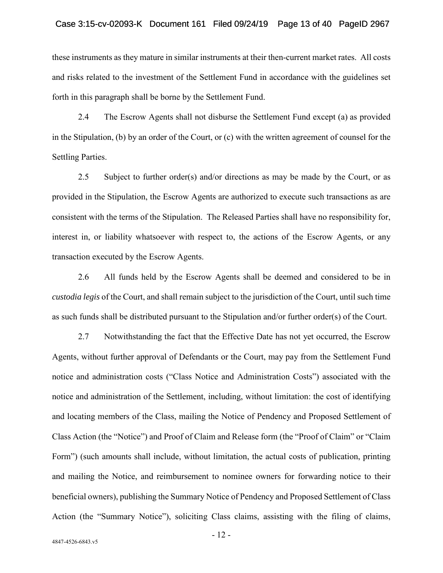## Case 3:15-cv-02093-K Document 161 Filed 09/24/19 Page 13 of 40 PageID 2967

these instruments as they mature in similar instruments at their then-current market rates. All costs and risks related to the investment of the Settlement Fund in accordance with the guidelines set forth in this paragraph shall be borne by the Settlement Fund.

2.4 The Escrow Agents shall not disburse the Settlement Fund except (a) as provided in the Stipulation, (b) by an order of the Court, or (c) with the written agreement of counsel for the Settling Parties.

2.5 Subject to further order(s) and/or directions as may be made by the Court, or as provided in the Stipulation, the Escrow Agents are authorized to execute such transactions as are consistent with the terms of the Stipulation. The Released Parties shall have no responsibility for, interest in, or liability whatsoever with respect to, the actions of the Escrow Agents, or any transaction executed by the Escrow Agents.

2.6 All funds held by the Escrow Agents shall be deemed and considered to be in *custodia legis* of the Court, and shall remain subject to the jurisdiction of the Court, until such time as such funds shall be distributed pursuant to the Stipulation and/or further order(s) of the Court.

2.7 Notwithstanding the fact that the Effective Date has not yet occurred, the Escrow Agents, without further approval of Defendants or the Court, may pay from the Settlement Fund notice and administration costs ("Class Notice and Administration Costs") associated with the notice and administration of the Settlement, including, without limitation: the cost of identifying and locating members of the Class, mailing the Notice of Pendency and Proposed Settlement of Class Action (the "Notice") and Proof of Claim and Release form (the "Proof of Claim" or "Claim Form") (such amounts shall include, without limitation, the actual costs of publication, printing and mailing the Notice, and reimbursement to nominee owners for forwarding notice to their beneficial owners), publishing the Summary Notice of Pendency and Proposed Settlement of Class Action (the "Summary Notice"), soliciting Class claims, assisting with the filing of claims,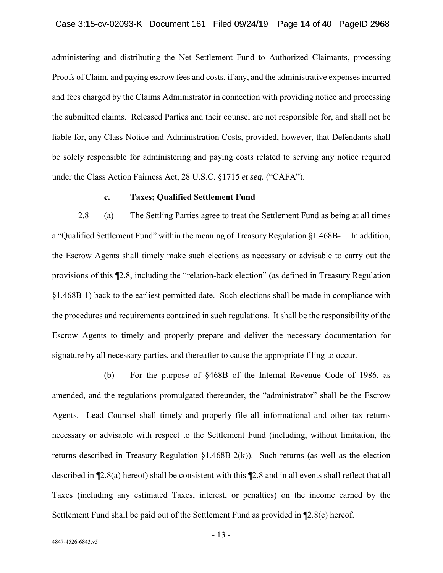## Case 3:15-cv-02093-K Document 161 Filed 09/24/19 Page 14 of 40 PageID 2968

administering and distributing the Net Settlement Fund to Authorized Claimants, processing Proofs of Claim, and paying escrow fees and costs, if any, and the administrative expenses incurred and fees charged by the Claims Administrator in connection with providing notice and processing the submitted claims. Released Parties and their counsel are not responsible for, and shall not be liable for, any Class Notice and Administration Costs, provided, however, that Defendants shall be solely responsible for administering and paying costs related to serving any notice required under the Class Action Fairness Act, 28 U.S.C. §1715 *et seq.* ("CAFA").

## **c. Taxes; Qualified Settlement Fund**

2.8 (a) The Settling Parties agree to treat the Settlement Fund as being at all times a "Qualified Settlement Fund" within the meaning of Treasury Regulation §1.468B-1. In addition, the Escrow Agents shall timely make such elections as necessary or advisable to carry out the provisions of this ¶2.8, including the "relation-back election" (as defined in Treasury Regulation §1.468B-1) back to the earliest permitted date. Such elections shall be made in compliance with the procedures and requirements contained in such regulations. It shall be the responsibility of the Escrow Agents to timely and properly prepare and deliver the necessary documentation for signature by all necessary parties, and thereafter to cause the appropriate filing to occur.

(b) For the purpose of §468B of the Internal Revenue Code of 1986, as amended, and the regulations promulgated thereunder, the "administrator" shall be the Escrow Agents. Lead Counsel shall timely and properly file all informational and other tax returns necessary or advisable with respect to the Settlement Fund (including, without limitation, the returns described in Treasury Regulation  $\S1.468B-2(k)$ ). Such returns (as well as the election described in ¶2.8(a) hereof) shall be consistent with this ¶2.8 and in all events shall reflect that all Taxes (including any estimated Taxes, interest, or penalties) on the income earned by the Settlement Fund shall be paid out of the Settlement Fund as provided in ¶2.8(c) hereof.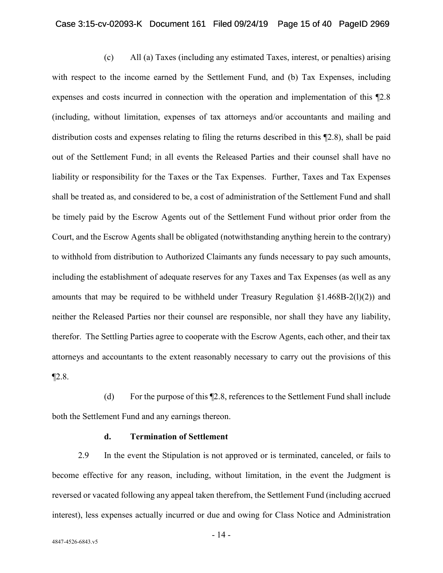## Case 3:15-cv-02093-K Document 161 Filed 09/24/19 Page 15 of 40 PageID 2969

(c) All (a) Taxes (including any estimated Taxes, interest, or penalties) arising with respect to the income earned by the Settlement Fund, and (b) Tax Expenses, including expenses and costs incurred in connection with the operation and implementation of this ¶2.8 (including, without limitation, expenses of tax attorneys and/or accountants and mailing and distribution costs and expenses relating to filing the returns described in this ¶2.8), shall be paid out of the Settlement Fund; in all events the Released Parties and their counsel shall have no liability or responsibility for the Taxes or the Tax Expenses. Further, Taxes and Tax Expenses shall be treated as, and considered to be, a cost of administration of the Settlement Fund and shall be timely paid by the Escrow Agents out of the Settlement Fund without prior order from the Court, and the Escrow Agents shall be obligated (notwithstanding anything herein to the contrary) to withhold from distribution to Authorized Claimants any funds necessary to pay such amounts, including the establishment of adequate reserves for any Taxes and Tax Expenses (as well as any amounts that may be required to be withheld under Treasury Regulation  $\S1.468B-2(1)(2)$  and neither the Released Parties nor their counsel are responsible, nor shall they have any liability, therefor. The Settling Parties agree to cooperate with the Escrow Agents, each other, and their tax attorneys and accountants to the extent reasonably necessary to carry out the provisions of this ¶2.8.

(d) For the purpose of this ¶2.8, references to the Settlement Fund shall include both the Settlement Fund and any earnings thereon.

## **d. Termination of Settlement**

2.9 In the event the Stipulation is not approved or is terminated, canceled, or fails to become effective for any reason, including, without limitation, in the event the Judgment is reversed or vacated following any appeal taken therefrom, the Settlement Fund (including accrued interest), less expenses actually incurred or due and owing for Class Notice and Administration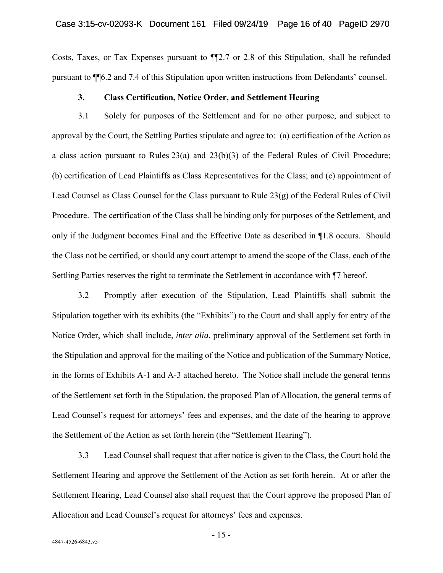Costs, Taxes, or Tax Expenses pursuant to ¶¶2.7 or 2.8 of this Stipulation, shall be refunded pursuant to ¶¶6.2 and 7.4 of this Stipulation upon written instructions from Defendants' counsel.

## **3. Class Certification, Notice Order, and Settlement Hearing**

3.1 Solely for purposes of the Settlement and for no other purpose, and subject to approval by the Court, the Settling Parties stipulate and agree to: (a) certification of the Action as a class action pursuant to Rules 23(a) and 23(b)(3) of the Federal Rules of Civil Procedure; (b) certification of Lead Plaintiffs as Class Representatives for the Class; and (c) appointment of Lead Counsel as Class Counsel for the Class pursuant to Rule 23(g) of the Federal Rules of Civil Procedure. The certification of the Class shall be binding only for purposes of the Settlement, and only if the Judgment becomes Final and the Effective Date as described in ¶1.8 occurs. Should the Class not be certified, or should any court attempt to amend the scope of the Class, each of the Settling Parties reserves the right to terminate the Settlement in accordance with ¶7 hereof.

3.2 Promptly after execution of the Stipulation, Lead Plaintiffs shall submit the Stipulation together with its exhibits (the "Exhibits") to the Court and shall apply for entry of the Notice Order, which shall include, *inter alia*, preliminary approval of the Settlement set forth in the Stipulation and approval for the mailing of the Notice and publication of the Summary Notice, in the forms of Exhibits A-1 and A-3 attached hereto. The Notice shall include the general terms of the Settlement set forth in the Stipulation, the proposed Plan of Allocation, the general terms of Lead Counsel's request for attorneys' fees and expenses, and the date of the hearing to approve the Settlement of the Action as set forth herein (the "Settlement Hearing").

3.3 Lead Counsel shall request that after notice is given to the Class, the Court hold the Settlement Hearing and approve the Settlement of the Action as set forth herein. At or after the Settlement Hearing, Lead Counsel also shall request that the Court approve the proposed Plan of Allocation and Lead Counsel's request for attorneys' fees and expenses.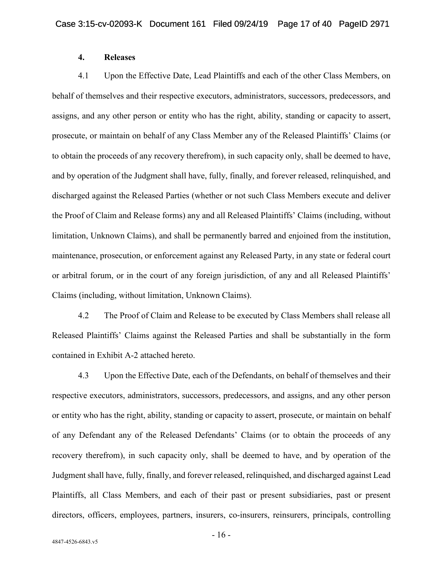# **4. Releases**

4.1 Upon the Effective Date, Lead Plaintiffs and each of the other Class Members, on behalf of themselves and their respective executors, administrators, successors, predecessors, and assigns, and any other person or entity who has the right, ability, standing or capacity to assert, prosecute, or maintain on behalf of any Class Member any of the Released Plaintiffs' Claims (or to obtain the proceeds of any recovery therefrom), in such capacity only, shall be deemed to have, and by operation of the Judgment shall have, fully, finally, and forever released, relinquished, and discharged against the Released Parties (whether or not such Class Members execute and deliver the Proof of Claim and Release forms) any and all Released Plaintiffs' Claims (including, without limitation, Unknown Claims), and shall be permanently barred and enjoined from the institution, maintenance, prosecution, or enforcement against any Released Party, in any state or federal court or arbitral forum, or in the court of any foreign jurisdiction, of any and all Released Plaintiffs' Claims (including, without limitation, Unknown Claims).

4.2 The Proof of Claim and Release to be executed by Class Members shall release all Released Plaintiffs' Claims against the Released Parties and shall be substantially in the form contained in Exhibit A-2 attached hereto.

4.3 Upon the Effective Date, each of the Defendants, on behalf of themselves and their respective executors, administrators, successors, predecessors, and assigns, and any other person or entity who has the right, ability, standing or capacity to assert, prosecute, or maintain on behalf of any Defendant any of the Released Defendants' Claims (or to obtain the proceeds of any recovery therefrom), in such capacity only, shall be deemed to have, and by operation of the Judgment shall have, fully, finally, and forever released, relinquished, and discharged against Lead Plaintiffs, all Class Members, and each of their past or present subsidiaries, past or present directors, officers, employees, partners, insurers, co-insurers, reinsurers, principals, controlling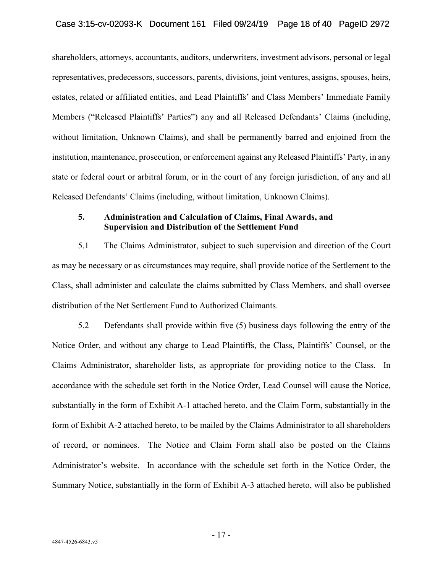## Case 3:15-cv-02093-K Document 161 Filed 09/24/19 Page 18 of 40 PageID 2972

shareholders, attorneys, accountants, auditors, underwriters, investment advisors, personal or legal representatives, predecessors, successors, parents, divisions, joint ventures, assigns, spouses, heirs, estates, related or affiliated entities, and Lead Plaintiffs' and Class Members' Immediate Family Members ("Released Plaintiffs' Parties") any and all Released Defendants' Claims (including, without limitation, Unknown Claims), and shall be permanently barred and enjoined from the institution, maintenance, prosecution, or enforcement against any Released Plaintiffs' Party, in any state or federal court or arbitral forum, or in the court of any foreign jurisdiction, of any and all Released Defendants' Claims (including, without limitation, Unknown Claims).

# **5. Administration and Calculation of Claims, Final Awards, and Supervision and Distribution of the Settlement Fund**

5.1 The Claims Administrator, subject to such supervision and direction of the Court as may be necessary or as circumstances may require, shall provide notice of the Settlement to the Class, shall administer and calculate the claims submitted by Class Members, and shall oversee distribution of the Net Settlement Fund to Authorized Claimants.

5.2 Defendants shall provide within five (5) business days following the entry of the Notice Order, and without any charge to Lead Plaintiffs, the Class, Plaintiffs' Counsel, or the Claims Administrator, shareholder lists, as appropriate for providing notice to the Class. In accordance with the schedule set forth in the Notice Order, Lead Counsel will cause the Notice, substantially in the form of Exhibit A-1 attached hereto, and the Claim Form, substantially in the form of Exhibit A-2 attached hereto, to be mailed by the Claims Administrator to all shareholders of record, or nominees. The Notice and Claim Form shall also be posted on the Claims Administrator's website. In accordance with the schedule set forth in the Notice Order, the Summary Notice, substantially in the form of Exhibit A-3 attached hereto, will also be published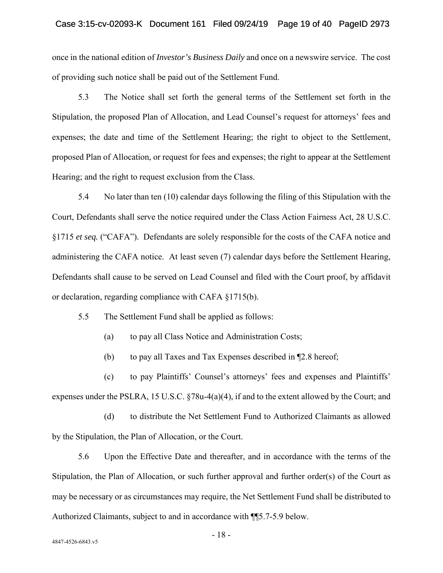## Case 3:15-cv-02093-K Document 161 Filed 09/24/19 Page 19 of 40 PageID 2973

once in the national edition of *Investor's Business Daily* and once on a newswire service. The cost of providing such notice shall be paid out of the Settlement Fund.

5.3 The Notice shall set forth the general terms of the Settlement set forth in the Stipulation, the proposed Plan of Allocation, and Lead Counsel's request for attorneys' fees and expenses; the date and time of the Settlement Hearing; the right to object to the Settlement, proposed Plan of Allocation, or request for fees and expenses; the right to appear at the Settlement Hearing; and the right to request exclusion from the Class.

5.4 No later than ten (10) calendar days following the filing of this Stipulation with the Court, Defendants shall serve the notice required under the Class Action Fairness Act, 28 U.S.C. §1715 *et seq.* ("CAFA"). Defendants are solely responsible for the costs of the CAFA notice and administering the CAFA notice. At least seven (7) calendar days before the Settlement Hearing, Defendants shall cause to be served on Lead Counsel and filed with the Court proof, by affidavit or declaration, regarding compliance with CAFA §1715(b).

5.5 The Settlement Fund shall be applied as follows:

(a) to pay all Class Notice and Administration Costs;

(b) to pay all Taxes and Tax Expenses described in ¶2.8 hereof;

(c) to pay Plaintiffs' Counsel's attorneys' fees and expenses and Plaintiffs' expenses under the PSLRA, 15 U.S.C. §78u-4(a)(4), if and to the extent allowed by the Court; and

(d) to distribute the Net Settlement Fund to Authorized Claimants as allowed by the Stipulation, the Plan of Allocation, or the Court.

5.6 Upon the Effective Date and thereafter, and in accordance with the terms of the Stipulation, the Plan of Allocation, or such further approval and further order(s) of the Court as may be necessary or as circumstances may require, the Net Settlement Fund shall be distributed to Authorized Claimants, subject to and in accordance with ¶¶5.7-5.9 below.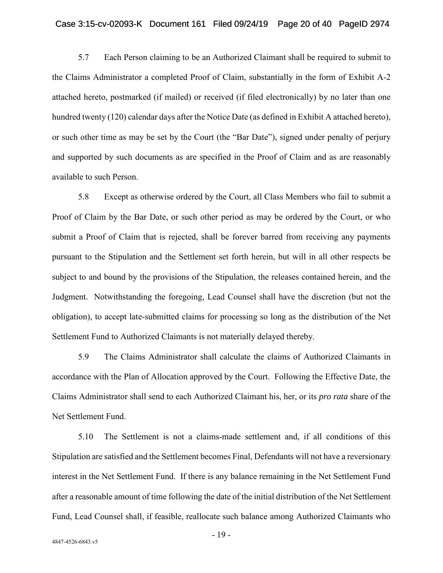## Case 3:15-cv-02093-K Document 161 Filed 09/24/19 Page 20 of 40 PageID 2974

5.7 Each Person claiming to be an Authorized Claimant shall be required to submit to the Claims Administrator a completed Proof of Claim, substantially in the form of Exhibit A-2 attached hereto, postmarked (if mailed) or received (if filed electronically) by no later than one hundred twenty (120) calendar days after the Notice Date (as defined in Exhibit A attached hereto), or such other time as may be set by the Court (the "Bar Date"), signed under penalty of perjury and supported by such documents as are specified in the Proof of Claim and as are reasonably available to such Person.

5.8 Except as otherwise ordered by the Court, all Class Members who fail to submit a Proof of Claim by the Bar Date, or such other period as may be ordered by the Court, or who submit a Proof of Claim that is rejected, shall be forever barred from receiving any payments pursuant to the Stipulation and the Settlement set forth herein, but will in all other respects be subject to and bound by the provisions of the Stipulation, the releases contained herein, and the Judgment. Notwithstanding the foregoing, Lead Counsel shall have the discretion (but not the obligation), to accept late-submitted claims for processing so long as the distribution of the Net Settlement Fund to Authorized Claimants is not materially delayed thereby.

5.9 The Claims Administrator shall calculate the claims of Authorized Claimants in accordance with the Plan of Allocation approved by the Court. Following the Effective Date, the Claims Administrator shall send to each Authorized Claimant his, her, or its *pro rata* share of the Net Settlement Fund.

5.10 The Settlement is not a claims-made settlement and, if all conditions of this Stipulation are satisfied and the Settlement becomes Final, Defendants will not have a reversionary interest in the Net Settlement Fund. If there is any balance remaining in the Net Settlement Fund after a reasonable amount of time following the date of the initial distribution of the Net Settlement Fund, Lead Counsel shall, if feasible, reallocate such balance among Authorized Claimants who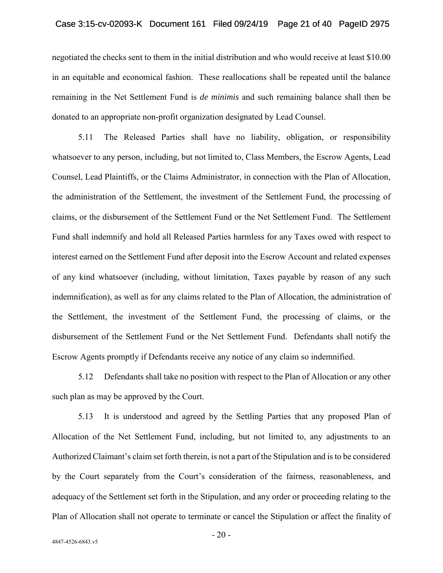## Case 3:15-cv-02093-K Document 161 Filed 09/24/19 Page 21 of 40 PageID 2975

negotiated the checks sent to them in the initial distribution and who would receive at least \$10.00 in an equitable and economical fashion. These reallocations shall be repeated until the balance remaining in the Net Settlement Fund is *de minimis* and such remaining balance shall then be donated to an appropriate non-profit organization designated by Lead Counsel.

5.11 The Released Parties shall have no liability, obligation, or responsibility whatsoever to any person, including, but not limited to, Class Members, the Escrow Agents, Lead Counsel, Lead Plaintiffs, or the Claims Administrator, in connection with the Plan of Allocation, the administration of the Settlement, the investment of the Settlement Fund, the processing of claims, or the disbursement of the Settlement Fund or the Net Settlement Fund. The Settlement Fund shall indemnify and hold all Released Parties harmless for any Taxes owed with respect to interest earned on the Settlement Fund after deposit into the Escrow Account and related expenses of any kind whatsoever (including, without limitation, Taxes payable by reason of any such indemnification), as well as for any claims related to the Plan of Allocation, the administration of the Settlement, the investment of the Settlement Fund, the processing of claims, or the disbursement of the Settlement Fund or the Net Settlement Fund. Defendants shall notify the Escrow Agents promptly if Defendants receive any notice of any claim so indemnified.

5.12 Defendants shall take no position with respect to the Plan of Allocation or any other such plan as may be approved by the Court.

5.13 It is understood and agreed by the Settling Parties that any proposed Plan of Allocation of the Net Settlement Fund, including, but not limited to, any adjustments to an Authorized Claimant's claim set forth therein, is not a part of the Stipulation and is to be considered by the Court separately from the Court's consideration of the fairness, reasonableness, and adequacy of the Settlement set forth in the Stipulation, and any order or proceeding relating to the Plan of Allocation shall not operate to terminate or cancel the Stipulation or affect the finality of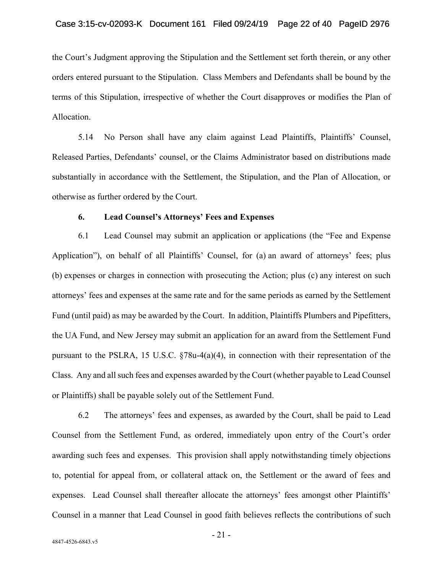## Case 3:15-cv-02093-K Document 161 Filed 09/24/19 Page 22 of 40 PageID 2976

the Court's Judgment approving the Stipulation and the Settlement set forth therein, or any other orders entered pursuant to the Stipulation. Class Members and Defendants shall be bound by the terms of this Stipulation, irrespective of whether the Court disapproves or modifies the Plan of Allocation.

5.14 No Person shall have any claim against Lead Plaintiffs, Plaintiffs' Counsel, Released Parties, Defendants' counsel, or the Claims Administrator based on distributions made substantially in accordance with the Settlement, the Stipulation, and the Plan of Allocation, or otherwise as further ordered by the Court.

#### **6. Lead Counsel's Attorneys' Fees and Expenses**

6.1 Lead Counsel may submit an application or applications (the "Fee and Expense Application"), on behalf of all Plaintiffs' Counsel, for (a) an award of attorneys' fees; plus (b) expenses or charges in connection with prosecuting the Action; plus (c) any interest on such attorneys' fees and expenses at the same rate and for the same periods as earned by the Settlement Fund (until paid) as may be awarded by the Court. In addition, Plaintiffs Plumbers and Pipefitters, the UA Fund, and New Jersey may submit an application for an award from the Settlement Fund pursuant to the PSLRA, 15 U.S.C. §78u-4(a)(4), in connection with their representation of the Class. Any and all such fees and expenses awarded by the Court (whether payable to Lead Counsel or Plaintiffs) shall be payable solely out of the Settlement Fund.

6.2 The attorneys' fees and expenses, as awarded by the Court, shall be paid to Lead Counsel from the Settlement Fund, as ordered, immediately upon entry of the Court's order awarding such fees and expenses. This provision shall apply notwithstanding timely objections to, potential for appeal from, or collateral attack on, the Settlement or the award of fees and expenses. Lead Counsel shall thereafter allocate the attorneys' fees amongst other Plaintiffs' Counsel in a manner that Lead Counsel in good faith believes reflects the contributions of such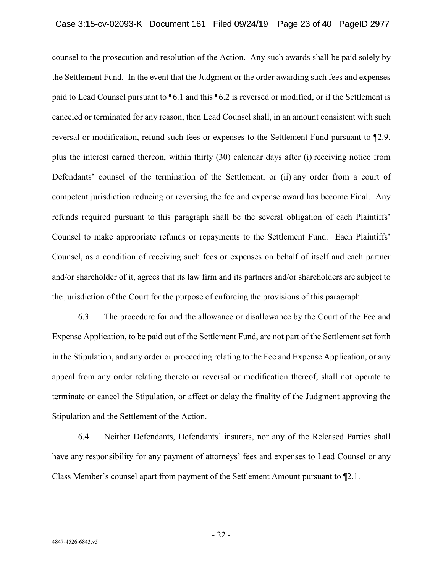## Case 3:15-cv-02093-K Document 161 Filed 09/24/19 Page 23 of 40 PageID 2977

counsel to the prosecution and resolution of the Action. Any such awards shall be paid solely by the Settlement Fund. In the event that the Judgment or the order awarding such fees and expenses paid to Lead Counsel pursuant to ¶6.1 and this ¶6.2 is reversed or modified, or if the Settlement is canceled or terminated for any reason, then Lead Counsel shall, in an amount consistent with such reversal or modification, refund such fees or expenses to the Settlement Fund pursuant to ¶2.9, plus the interest earned thereon, within thirty (30) calendar days after (i) receiving notice from Defendants' counsel of the termination of the Settlement, or (ii) any order from a court of competent jurisdiction reducing or reversing the fee and expense award has become Final. Any refunds required pursuant to this paragraph shall be the several obligation of each Plaintiffs' Counsel to make appropriate refunds or repayments to the Settlement Fund. Each Plaintiffs' Counsel, as a condition of receiving such fees or expenses on behalf of itself and each partner and/or shareholder of it, agrees that its law firm and its partners and/or shareholders are subject to the jurisdiction of the Court for the purpose of enforcing the provisions of this paragraph.

6.3 The procedure for and the allowance or disallowance by the Court of the Fee and Expense Application, to be paid out of the Settlement Fund, are not part of the Settlement set forth in the Stipulation, and any order or proceeding relating to the Fee and Expense Application, or any appeal from any order relating thereto or reversal or modification thereof, shall not operate to terminate or cancel the Stipulation, or affect or delay the finality of the Judgment approving the Stipulation and the Settlement of the Action.

6.4 Neither Defendants, Defendants' insurers, nor any of the Released Parties shall have any responsibility for any payment of attorneys' fees and expenses to Lead Counsel or any Class Member's counsel apart from payment of the Settlement Amount pursuant to ¶2.1.

- 22 -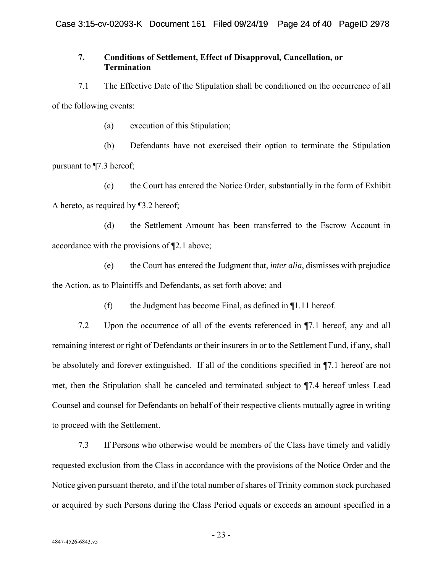# **7. Conditions of Settlement, Effect of Disapproval, Cancellation, or Termination**

7.1 The Effective Date of the Stipulation shall be conditioned on the occurrence of all of the following events:

(a) execution of this Stipulation;

(b) Defendants have not exercised their option to terminate the Stipulation pursuant to ¶7.3 hereof;

(c) the Court has entered the Notice Order, substantially in the form of Exhibit A hereto, as required by ¶3.2 hereof;

(d) the Settlement Amount has been transferred to the Escrow Account in accordance with the provisions of ¶2.1 above;

(e) the Court has entered the Judgment that, *inter alia*, dismisses with prejudice the Action, as to Plaintiffs and Defendants, as set forth above; and

(f) the Judgment has become Final, as defined in  $\P 1.11$  hereof.

7.2 Upon the occurrence of all of the events referenced in ¶7.1 hereof, any and all remaining interest or right of Defendants or their insurers in or to the Settlement Fund, if any, shall be absolutely and forever extinguished. If all of the conditions specified in ¶7.1 hereof are not met, then the Stipulation shall be canceled and terminated subject to ¶7.4 hereof unless Lead Counsel and counsel for Defendants on behalf of their respective clients mutually agree in writing to proceed with the Settlement.

7.3 If Persons who otherwise would be members of the Class have timely and validly requested exclusion from the Class in accordance with the provisions of the Notice Order and the Notice given pursuant thereto, and if the total number of shares of Trinity common stock purchased or acquired by such Persons during the Class Period equals or exceeds an amount specified in a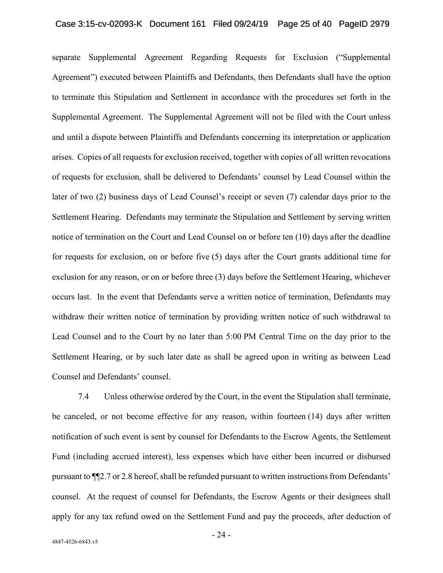## Case 3:15-cv-02093-K Document 161 Filed 09/24/19 Page 25 of 40 PageID 2979

separate Supplemental Agreement Regarding Requests for Exclusion ("Supplemental Agreement") executed between Plaintiffs and Defendants, then Defendants shall have the option to terminate this Stipulation and Settlement in accordance with the procedures set forth in the Supplemental Agreement. The Supplemental Agreement will not be filed with the Court unless and until a dispute between Plaintiffs and Defendants concerning its interpretation or application arises. Copies of all requests for exclusion received, together with copies of all written revocations of requests for exclusion, shall be delivered to Defendants' counsel by Lead Counsel within the later of two (2) business days of Lead Counsel's receipt or seven (7) calendar days prior to the Settlement Hearing. Defendants may terminate the Stipulation and Settlement by serving written notice of termination on the Court and Lead Counsel on or before ten (10) days after the deadline for requests for exclusion, on or before five (5) days after the Court grants additional time for exclusion for any reason, or on or before three (3) days before the Settlement Hearing, whichever occurs last. In the event that Defendants serve a written notice of termination, Defendants may withdraw their written notice of termination by providing written notice of such withdrawal to Lead Counsel and to the Court by no later than 5:00 PM Central Time on the day prior to the Settlement Hearing, or by such later date as shall be agreed upon in writing as between Lead Counsel and Defendants' counsel.

7.4 Unless otherwise ordered by the Court, in the event the Stipulation shall terminate, be canceled, or not become effective for any reason, within fourteen (14) days after written notification of such event is sent by counsel for Defendants to the Escrow Agents, the Settlement Fund (including accrued interest), less expenses which have either been incurred or disbursed pursuant to ¶¶2.7 or 2.8 hereof, shall be refunded pursuant to written instructions from Defendants' counsel. At the request of counsel for Defendants, the Escrow Agents or their designees shall apply for any tax refund owed on the Settlement Fund and pay the proceeds, after deduction of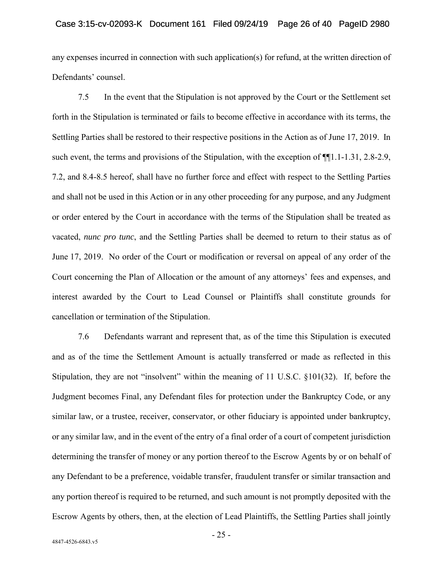any expenses incurred in connection with such application(s) for refund, at the written direction of Defendants' counsel.

7.5 In the event that the Stipulation is not approved by the Court or the Settlement set forth in the Stipulation is terminated or fails to become effective in accordance with its terms, the Settling Parties shall be restored to their respective positions in the Action as of June 17, 2019. In such event, the terms and provisions of the Stipulation, with the exception of  $\P$ [1.1-1.31, 2.8-2.9, 7.2, and 8.4-8.5 hereof, shall have no further force and effect with respect to the Settling Parties and shall not be used in this Action or in any other proceeding for any purpose, and any Judgment or order entered by the Court in accordance with the terms of the Stipulation shall be treated as vacated, *nunc pro tunc*, and the Settling Parties shall be deemed to return to their status as of June 17, 2019. No order of the Court or modification or reversal on appeal of any order of the Court concerning the Plan of Allocation or the amount of any attorneys' fees and expenses, and interest awarded by the Court to Lead Counsel or Plaintiffs shall constitute grounds for cancellation or termination of the Stipulation.

7.6 Defendants warrant and represent that, as of the time this Stipulation is executed and as of the time the Settlement Amount is actually transferred or made as reflected in this Stipulation, they are not "insolvent" within the meaning of 11 U.S.C. §101(32). If, before the Judgment becomes Final, any Defendant files for protection under the Bankruptcy Code, or any similar law, or a trustee, receiver, conservator, or other fiduciary is appointed under bankruptcy, or any similar law, and in the event of the entry of a final order of a court of competent jurisdiction determining the transfer of money or any portion thereof to the Escrow Agents by or on behalf of any Defendant to be a preference, voidable transfer, fraudulent transfer or similar transaction and any portion thereof is required to be returned, and such amount is not promptly deposited with the Escrow Agents by others, then, at the election of Lead Plaintiffs, the Settling Parties shall jointly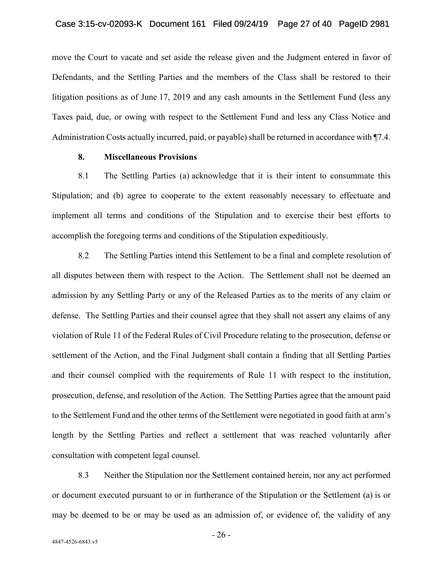move the Court to vacate and set aside the release given and the Judgment entered in favor of Defendants, and the Settling Parties and the members of the Class shall be restored to their litigation positions as of June 17, 2019 and any cash amounts in the Settlement Fund (less any Taxes paid, due, or owing with respect to the Settlement Fund and less any Class Notice and Administration Costs actually incurred, paid, or payable) shall be returned in accordance with ¶7.4.

## **8. Miscellaneous Provisions**

8.1 The Settling Parties (a) acknowledge that it is their intent to consummate this Stipulation; and (b) agree to cooperate to the extent reasonably necessary to effectuate and implement all terms and conditions of the Stipulation and to exercise their best efforts to accomplish the foregoing terms and conditions of the Stipulation expeditiously.

8.2 The Settling Parties intend this Settlement to be a final and complete resolution of all disputes between them with respect to the Action. The Settlement shall not be deemed an admission by any Settling Party or any of the Released Parties as to the merits of any claim or defense. The Settling Parties and their counsel agree that they shall not assert any claims of any violation of Rule 11 of the Federal Rules of Civil Procedure relating to the prosecution, defense or settlement of the Action, and the Final Judgment shall contain a finding that all Settling Parties and their counsel complied with the requirements of Rule 11 with respect to the institution, prosecution, defense, and resolution of the Action. The Settling Parties agree that the amount paid to the Settlement Fund and the other terms of the Settlement were negotiated in good faith at arm's length by the Settling Parties and reflect a settlement that was reached voluntarily after consultation with competent legal counsel.

8.3 Neither the Stipulation nor the Settlement contained herein, nor any act performed or document executed pursuant to or in furtherance of the Stipulation or the Settlement (a) is or may be deemed to be or may be used as an admission of, or evidence of, the validity of any

- 26 -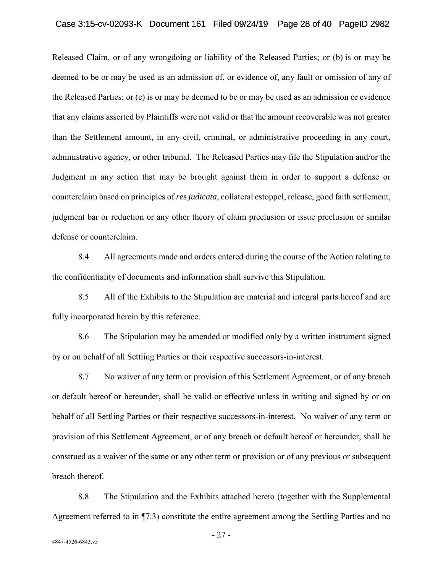## Case 3:15-cv-02093-K Document 161 Filed 09/24/19 Page 28 of 40 PageID 2982

Released Claim, or of any wrongdoing or liability of the Released Parties; or (b) is or may be deemed to be or may be used as an admission of, or evidence of, any fault or omission of any of the Released Parties; or (c) is or may be deemed to be or may be used as an admission or evidence that any claims asserted by Plaintiffs were not valid or that the amount recoverable was not greater than the Settlement amount, in any civil, criminal, or administrative proceeding in any court, administrative agency, or other tribunal. The Released Parties may file the Stipulation and/or the Judgment in any action that may be brought against them in order to support a defense or counterclaim based on principles of *res judicata*, collateral estoppel, release, good faith settlement, judgment bar or reduction or any other theory of claim preclusion or issue preclusion or similar defense or counterclaim.

8.4 All agreements made and orders entered during the course of the Action relating to the confidentiality of documents and information shall survive this Stipulation.

8.5 All of the Exhibits to the Stipulation are material and integral parts hereof and are fully incorporated herein by this reference.

8.6 The Stipulation may be amended or modified only by a written instrument signed by or on behalf of all Settling Parties or their respective successors-in-interest.

8.7 No waiver of any term or provision of this Settlement Agreement, or of any breach or default hereof or hereunder, shall be valid or effective unless in writing and signed by or on behalf of all Settling Parties or their respective successors-in-interest. No waiver of any term or provision of this Settlement Agreement, or of any breach or default hereof or hereunder, shall be construed as a waiver of the same or any other term or provision or of any previous or subsequent breach thereof.

8.8 The Stipulation and the Exhibits attached hereto (together with the Supplemental Agreement referred to in ¶7.3) constitute the entire agreement among the Settling Parties and no

- 27 -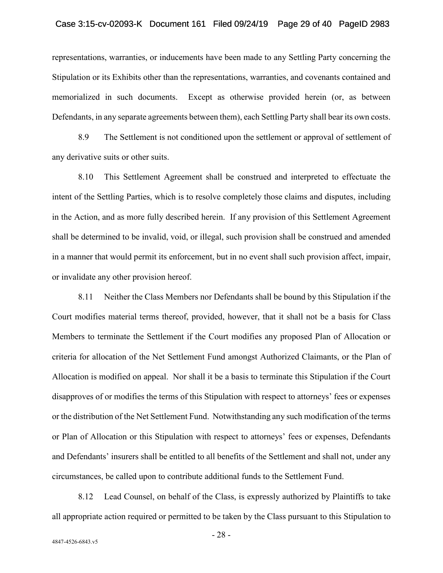## Case 3:15-cv-02093-K Document 161 Filed 09/24/19 Page 29 of 40 PageID 2983

representations, warranties, or inducements have been made to any Settling Party concerning the Stipulation or its Exhibits other than the representations, warranties, and covenants contained and memorialized in such documents. Except as otherwise provided herein (or, as between Defendants, in any separate agreements between them), each Settling Party shall bear its own costs.

8.9 The Settlement is not conditioned upon the settlement or approval of settlement of any derivative suits or other suits.

8.10 This Settlement Agreement shall be construed and interpreted to effectuate the intent of the Settling Parties, which is to resolve completely those claims and disputes, including in the Action, and as more fully described herein. If any provision of this Settlement Agreement shall be determined to be invalid, void, or illegal, such provision shall be construed and amended in a manner that would permit its enforcement, but in no event shall such provision affect, impair, or invalidate any other provision hereof.

8.11 Neither the Class Members nor Defendants shall be bound by this Stipulation if the Court modifies material terms thereof, provided, however, that it shall not be a basis for Class Members to terminate the Settlement if the Court modifies any proposed Plan of Allocation or criteria for allocation of the Net Settlement Fund amongst Authorized Claimants, or the Plan of Allocation is modified on appeal. Nor shall it be a basis to terminate this Stipulation if the Court disapproves of or modifies the terms of this Stipulation with respect to attorneys' fees or expenses or the distribution of the Net Settlement Fund. Notwithstanding any such modification of the terms or Plan of Allocation or this Stipulation with respect to attorneys' fees or expenses, Defendants and Defendants' insurers shall be entitled to all benefits of the Settlement and shall not, under any circumstances, be called upon to contribute additional funds to the Settlement Fund.

8.12 Lead Counsel, on behalf of the Class, is expressly authorized by Plaintiffs to take all appropriate action required or permitted to be taken by the Class pursuant to this Stipulation to

- 28 -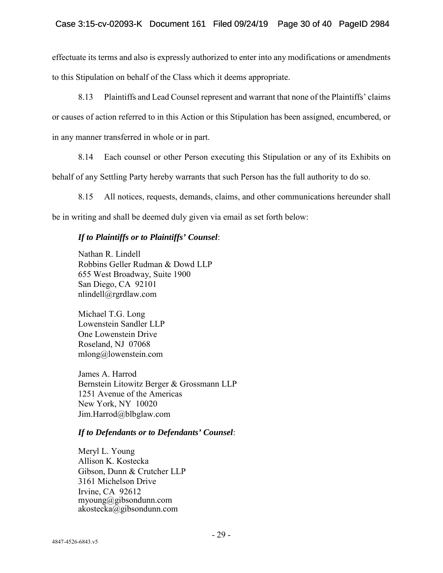effectuate its terms and also is expressly authorized to enter into any modifications or amendments to this Stipulation on behalf of the Class which it deems appropriate.

8.13 Plaintiffs and Lead Counsel represent and warrant that none of the Plaintiffs' claims or causes of action referred to in this Action or this Stipulation has been assigned, encumbered, or in any manner transferred in whole or in part.

8.14 Each counsel or other Person executing this Stipulation or any of its Exhibits on behalf of any Settling Party hereby warrants that such Person has the full authority to do so.

8.15 All notices, requests, demands, claims, and other communications hereunder shall be in writing and shall be deemed duly given via email as set forth below:

## *If to Plaintiffs or to Plaintiffs' Counsel*:

Nathan R. Lindell Robbins Geller Rudman & Dowd LLP 655 West Broadway, Suite 1900 San Diego, CA 92101 nlindell@rgrdlaw.com

Michael T.G. Long Lowenstein Sandler LLP One Lowenstein Drive Roseland, NJ 07068 mlong@lowenstein.com

James A. Harrod Bernstein Litowitz Berger & Grossmann LLP 1251 Avenue of the Americas New York, NY 10020 Jim.Harrod@blbglaw.com

# *If to Defendants or to Defendants' Counsel*:

Meryl L. Young Allison K. Kostecka Gibson, Dunn & Crutcher LLP 3161 Michelson Drive Irvine, CA 92612 myoung@gibsondunn.com akostecka@gibsondunn.com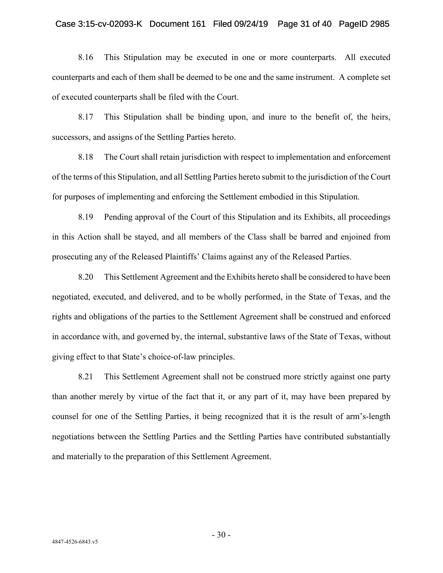## Case 3:15-cv-02093-K Document 161 Filed 09/24/19 Page 31 of 40 PageID 2985

8.16 This Stipulation may be executed in one or more counterparts. All executed counterparts and each of them shall be deemed to be one and the same instrument. A complete set of executed counterparts shall be filed with the Court.

8.17 This Stipulation shall be binding upon, and inure to the benefit of, the heirs, successors, and assigns of the Settling Parties hereto.

8.18 The Court shall retain jurisdiction with respect to implementation and enforcement of the terms of this Stipulation, and all Settling Parties hereto submit to the jurisdiction of the Court for purposes of implementing and enforcing the Settlement embodied in this Stipulation.

8.19 Pending approval of the Court of this Stipulation and its Exhibits, all proceedings in this Action shall be stayed, and all members of the Class shall be barred and enjoined from prosecuting any of the Released Plaintiffs' Claims against any of the Released Parties.

8.20 This Settlement Agreement and the Exhibits hereto shall be considered to have been negotiated, executed, and delivered, and to be wholly performed, in the State of Texas, and the rights and obligations of the parties to the Settlement Agreement shall be construed and enforced in accordance with, and governed by, the internal, substantive laws of the State of Texas, without giving effect to that State's choice-of-law principles.

8.21 This Settlement Agreement shall not be construed more strictly against one party than another merely by virtue of the fact that it, or any part of it, may have been prepared by counsel for one of the Settling Parties, it being recognized that it is the result of arm's-length negotiations between the Settling Parties and the Settling Parties have contributed substantially and materially to the preparation of this Settlement Agreement.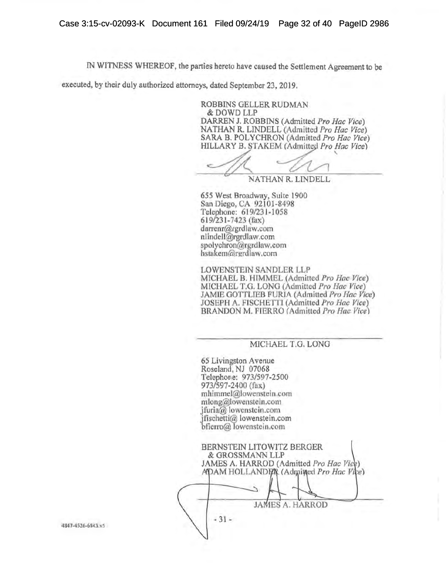IN WITNESS WHEREOF, the parties hereto have caused the Settlement Agreement to be

executed, by their duly authorized attorneys, dated September 23, 2019.

ROBBINS GELLER RUDMAN &DOWDLLP DARREN J. ROBBINS (Admitted *Pro Hae Vice)*  NATHAN R. LINDELL (Admitted *Pro Hae Vice)*  SARA B. POL YCHRON (Admitted *Pro Hae Vice)*  HILLARY B. STAKEM~ *Pro Hae Vice)* 

**NATHAN R. LINDELL** 

*655* West Broadway, Suite 1900 San Diego, CA 92101-8498 Telephone: 619/231-1058 619/231-7423 (fax) darrenr@rgrdlaw.com nlindel l@rgrdlaw.com spolychron@rgrdlaw.com hstakem@rgrdlaw.com

LOWENSTEIN SANDLER LLP MICHAEL B. HIMMEL (Admitted *Pro Hae Vice)*  MTCHAEL T.G. LONG (Admitted *Pro Hae Vice)*  JAMIE GOTTLIEB FURJA (Admitted *Pro Rae Vice)*  JOSEPH A. FISCHETTI (Admitted Pro Hac Vice) BRANDON M. FIERRO (Admitted *Pro Hae Vice*)

#### MICHAEL T.G. LONG

*65* Livingston A venue Roseland, NJ 07068 Telephone: 973/597-2500 973/597-2400 (fax) rnhimmel@lowenstein.com mlong@lowenstein.corn jfuria@ lowenstein.com jfischetti@ lowenstein.com bfierro@lowenstein.com

BERNSTEIN LITOWITZ BERGER & GROSSMANN LLP JAMES A. HARROD (Admitted Pro Hac Vice) ADAM HOLLANDER (Admitted Pro Hac Vice) **JAMES A. HARROD** - 31 -

4847-45:26-6843.vS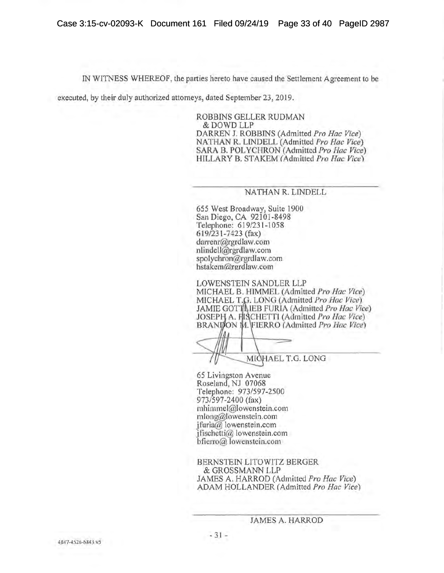IN WITNESS WHEREOF, the parties hereto have caused the Settlement Agreement to be

executed, by their duly authorized attorneys, dated September 23, 2019.

ROBBINS GELLER RUDMAN &DOWDLLP DARREN J. ROBBINS (Admitted *Pro Hae Vice)*  NATHAN R. LINDEL. (Admitted *Pro Hae Vice)*  SARA B. POLYCHRON (Admitted Pro Hac Vice) HJLLARY B. STAKEM (Admitted *Pro Hae Vice )* 

#### NATHAN R. LINDELL

655 West Broadway, Suite 1900 San Diego, CA 92101-8498 Telephone: 619/23 1-105 8 619/231-7423 (fax) darrenr@rgrdlaw.com nlindell@rgrdlaw.com spolychron@rgrdlaw.com hstakem@rgrdlaw.com

LOWENSTEIN SANDLER LLP MICHAEL B. HIMMEL (Admitted *Pro Hae* Vice) MICHAEL T.G. LONG (Admitted Pro Hac Vice) JAMIE GOTTAIEB FURIA (Admitted *Pro Hac Vice*) JOSEPH A. FISCHETTI (Admitted Pro Hac Vice) BRANDON M. FIERRO (Admitted Pro Hac Vice)

MICHAEL T.G. LONG

65 Livingston Avenue Roseland, NJ 07068 Telephone: 973/597-2500 973/597-2400 (fax) mhimmel@lowenstein.com mlong@lowenstein.com jfuria@ lowenstein.com jfischetli@ lowenstein.com bfierro@ lowenstein.com

BERNSTEIN LITOWITZ BERGER & GROSSMANN LLP JAMES A. HARROD (Admitted *Pro Hae Vice)*  ADAM HOLLANDER (Admitted *Pro Hae Vice)*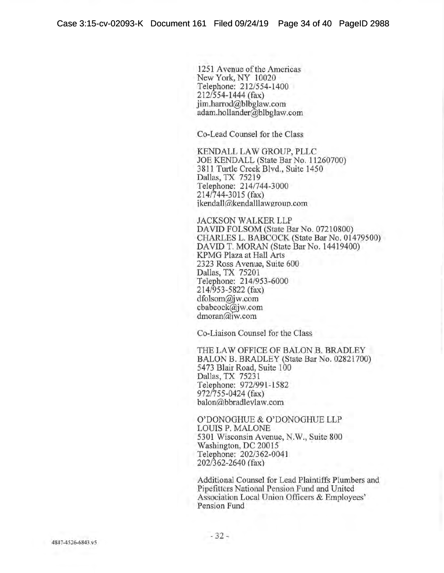1251 A venue of the Americas New York, NY 10020 Telephone: 212/554-1400 212/554-1444 (fax) jim.harrod@blbglaw.com adam.hollander@blbglaw.com

Co-Lead Counsel for the Class

KENDALL LAW GROUP, PLLC JOE KENDALL (State Bar No. 11260700) 3811 Turtle Creek Blvd., Suite 1450 Dallas, TX 75219 Telephone: 214/744-3000 214/744-3015 (fax) ikendall(@kendalllawgroup.com

JACKSON WALKER LLP DAVID FOLSOM (State Bar No. 07210800) CHARLES L. BABCOCK (State Bar No. 01479500) DAVID T. MORAN (State Bar No. 14419400) KPMG Plaza at Hall Arts 2323 Ross Avenue, Suite 600 Dallas, TX 75201 Telephone: 214/953-6000 214/953-5822 (fax) dfolsom@jw.com cbabcock@jw.com dmoran@iw.com

Co-Liaison Counsel for the Class

THE LAW OFFICE OF BALON B. BRADLEY BALON B. BRADLEY (State Bar No. 02821700) 5473 Blair Road, Suite 100 Dallas, TX 75231 Telephone: 972/991-1582 972/755-0424 (fax) balon(@bbradlevlaw.com

O'DONOGHUE & O'DONOGHUE LLP LOUIS P. MALONE 5301 Wisconsin Avenue, N.W., Suite 800 Washington, DC 20015 Telephone: 202/362-0041 202/362-2640 (fax)

Additional Counsel for Lead Plaintiffs Plumbers and Pipefitters National Pension Fund and United Association Local Union Officers & Employees' Pension Fund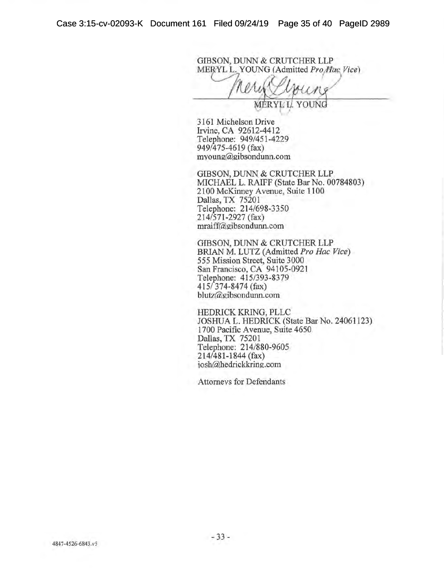GIBSON, DUNN & CRUTCHER LLP MERYL L. YOUNG (Admitted Pro Hac Vice)

MERYL I. YOUNG

3161 Michelson Drive Irvine, CA 92612-4412 Telephone: 949/451-4229 949/475-4619 (fax) myoung@gibsondunn.com

GIBSON, DUNN & CRUTCHER LLP MICHAEL L. RAIFF (State Bar No. 00784803) 2100 McKinney Avenue, Suite 1100 Dallas, TX 75201 Telephone: 214/698-3350 214/571-2927 (fax) mraiff@gibsondunn.com

GIBSON, DUNN & CRUTCHER LLP BRIAN M. LUTZ (Admitted *Pro Hae Vice)*  555 Mission Street, Suite 3000 San Francisco, CA 94105-0921 Telephone: 415/393-8379 415/ 374-8474 (fax) blutz@gibsondunn.com

HEDRICK KRING, PLLC JOSHUA L. HEDRICK (State Bar No. 24061123) 1700 Pacific Avenue, Suite 4650 Dallas, TX 75201 Telephone: 214/880-9605 214/481-1844 (fax) iosh@hedrickkring.com

Attomevs for Defendants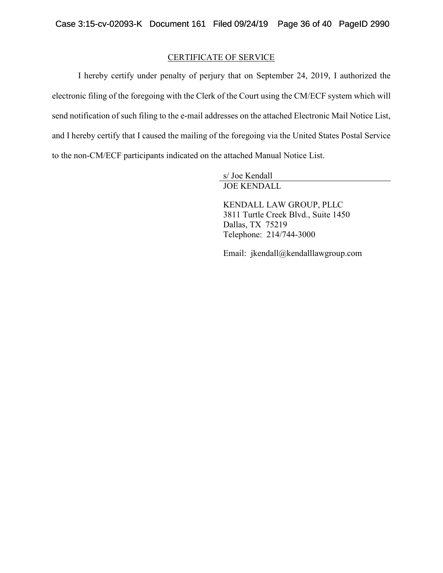## CERTIFICATE OF SERVICE

I hereby certify under penalty of perjury that on September 24, 2019, I authorized the electronic filing of the foregoing with the Clerk of the Court using the CM/ECF system which will send notification of such filing to the e-mail addresses on the attached Electronic Mail Notice List, and I hereby certify that I caused the mailing of the foregoing via the United States Postal Service to the non-CM/ECF participants indicated on the attached Manual Notice List.

> s/ Joe Kendall JOE KENDALL

KENDALL LAW GROUP, PLLC 3811 Turtle Creek Blvd., Suite 1450 Dallas, TX 75219 Telephone: 214/744-3000

Email: jkendall@kendalllawgroup.com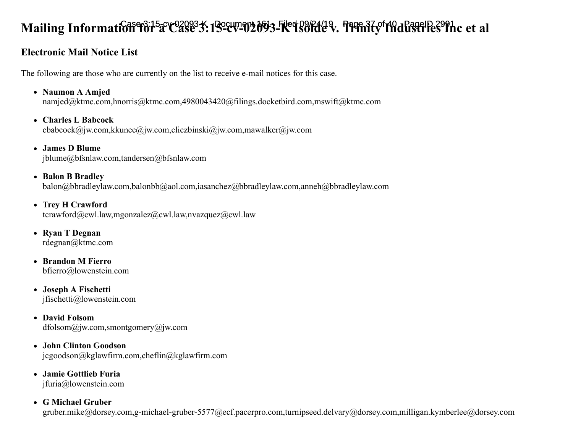## Mailing Information for a Case3:15-cv 02093 K 1 Bocument 1613 Filed 09/24/19 . Fage 37 of 40 a PagelD 2991 c et al

## **Electronic Mail Notice List**

The following are those who are currently on the list to receive e-mail notices for this case.

- **Naumon A Amjed**  namjed@ktmc.com,hnorris@ktmc.com,4980043420@filings.docketbird.com,mswift@ktmc.com
- **Charles L Babcock**  cbabcock@jw.com,kkunec@jw.com,cliczbinski@jw.com,mawalker@jw.com
- **James D Blume**  jblume@bfsnlaw.com,tandersen@bfsnlaw.com
- **Balon B Bradley**  balon@bbradleylaw.com,balonbb@aol.com,iasanchez@bbradleylaw.com,anneh@bbradleylaw.com
- **Trey H Crawford**  tcrawford@cwl.law,mgonzalez@cwl.law,nvazquez@cwl.law
- **Ryan T Degnan**  rdegnan@ktmc.com
- **Brandon M Fierro**  bfierro@lowenstein.com
- **Joseph A Fischetti**  jfischetti@lowenstein.com
- **David Folsom**  dfolsom@jw.com,smontgomery@jw.com
- **John Clinton Goodson**  jcgoodson@kglawfirm.com,cheflin@kglawfirm.com
- **Jamie Gottlieb Furia**  jfuria@lowenstein.com

## **G Michael Gruber**

gruber.mike@dorsey.com,g-michael-gruber-5577@ecf.pacerpro.com,turnipseed.delvary@dorsey.com,milligan.kymberlee@dorsey.com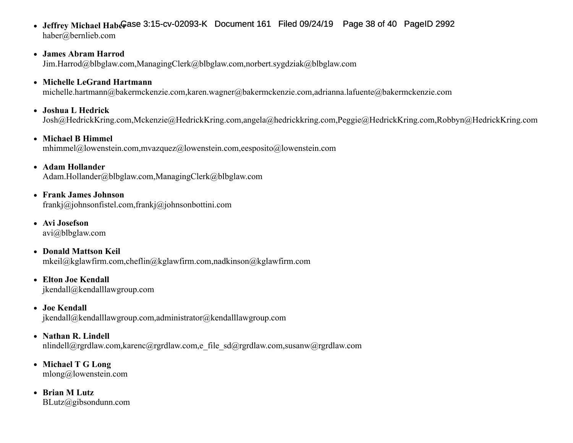- **Jeffrey Michael Haber**  haber@bernlieb.com Case 3:15-cv-02093-K Document 161 Filed 09/24/19 Page 38 of 40 PageID 2992
- **James Abram Harrod**  Jim.Harrod@blbglaw.com,ManagingClerk@blbglaw.com,norbert.sygdziak@blbglaw.com
- **Michelle LeGrand Hartmann**  michelle.hartmann@bakermckenzie.com,karen.wagner@bakermckenzie.com,adrianna.lafuente@bakermckenzie.com
- **Joshua L Hedrick**  Josh@HedrickKring.com,Mckenzie@HedrickKring.com,angela@hedrickkring.com,Peggie@HedrickKring.com,Robbyn@HedrickKring.com
- **Michael B Himmel**  mhimmel@lowenstein.com,mvazquez@lowenstein.com,eesposito@lowenstein.com
- **Adam Hollander**  Adam.Hollander@blbglaw.com,ManagingClerk@blbglaw.com
- **Frank James Johnson**  frankj@johnsonfistel.com,frankj@johnsonbottini.com
- **Avi Josefson**  avi@blbglaw.com
- **Donald Mattson Keil**  mkeil@kglawfirm.com,cheflin@kglawfirm.com,nadkinson@kglawfirm.com
- **Elton Joe Kendall**  jkendall@kendalllawgroup.com
- **Joe Kendall**  jkendall@kendalllawgroup.com,administrator@kendalllawgroup.com
- **Nathan R. Lindell**  nlindell@rgrdlaw.com,karenc@rgrdlaw.com,e\_file\_sd@rgrdlaw.com,susanw@rgrdlaw.com
- **Michael T G Long**  mlong@lowenstein.com
- **Brian M Lutz**  BLutz@gibsondunn.com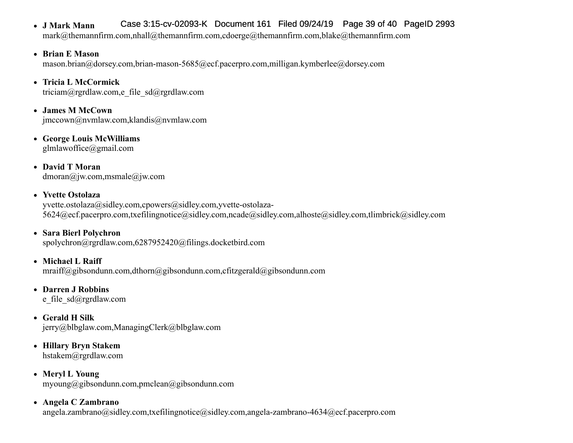- **J Mark Mann**  mark@themannfirm.com,nhall@themannfirm.com,cdoerge@themannfirm.com,blake@themannfirm.com Case 3:15-cv-02093-K Document 161 Filed 09/24/19 Page 39 of 40 PageID 2993
- **Brian E Mason**  mason.brian@dorsey.com,brian-mason-5685@ecf.pacerpro.com,milligan.kymberlee@dorsey.com
- **Tricia L McCormick**  triciam@rgrdlaw.com,e\_file\_sd@rgrdlaw.com
- **James M McCown**  jmccown@nvmlaw.com,klandis@nvmlaw.com
- **George Louis McWilliams**  glmlawoffice@gmail.com
- **David T Moran**  dmoran@jw.com,msmale@jw.com
- **Yvette Ostolaza**  yvette.ostolaza@sidley.com,cpowers@sidley.com,yvette-ostolaza-5624@ecf.pacerpro.com,txefilingnotice@sidley.com,ncade@sidley.com,alhoste@sidley.com,tlimbrick@sidley.com
- **Sara Bierl Polychron**  spolychron@rgrdlaw.com,6287952420@filings.docketbird.com
- **Michael L Raiff**  mraiff@gibsondunn.com,dthorn@gibsondunn.com,cfitzgerald@gibsondunn.com
- **Darren J Robbins**  e\_file\_sd@rgrdlaw.com
- **Gerald H Silk**  jerry@blbglaw.com,ManagingClerk@blbglaw.com
- **Hillary Bryn Stakem**  hstakem@rgrdlaw.com
- **Meryl L Young**  myoung@gibsondunn.com,pmclean@gibsondunn.com
- **Angela C Zambrano**

angela.zambrano@sidley.com,txefilingnotice@sidley.com,angela-zambrano-4634@ecf.pacerpro.com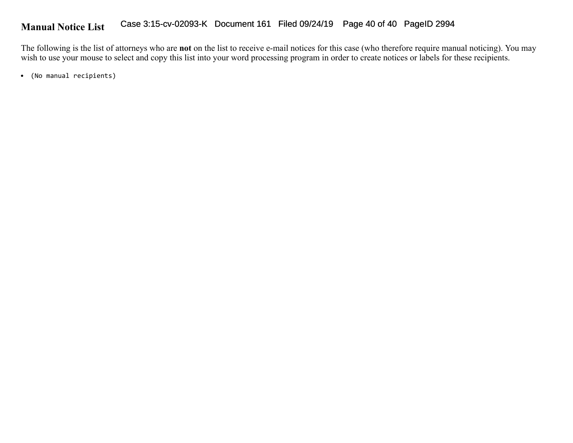#### **Manual Notice List** Case 3:15-cv-02093-K Document 161 Filed 09/24/19 Page 40 of 40 PageID 2994

The following is the list of attorneys who are **not** on the list to receive e-mail notices for this case (who therefore require manual noticing). You may wish to use your mouse to select and copy this list into your word processing program in order to create notices or labels for these recipients.

(No manual recipients)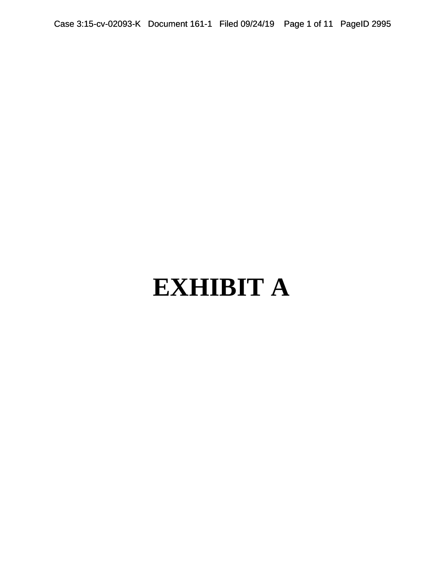Case 3:15-cv-02093-K Document 161-1 Filed 09/24/19 Page 1 of 11 PageID 2995

# **EXHIBIT A**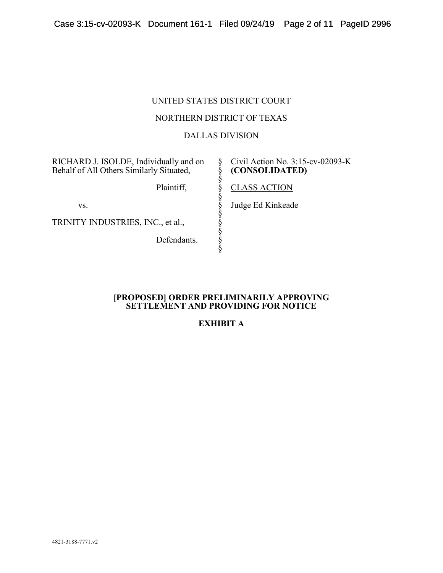## UNITED STATES DISTRICT COURT

## NORTHERN DISTRICT OF TEXAS

## DALLAS DIVISION

§ § § § § § § § § § §

RICHARD J. ISOLDE, Individually and on Behalf of All Others Similarly Situated,

Plaintiff,

vs.

TRINITY INDUSTRIES, INC., et al.,

Defendants.

Civil Action No. 3:15-cv-02093-K **(CONSOLIDATED)**

CLASS ACTION

Judge Ed Kinkeade

## **[PROPOSED] ORDER PRELIMINARILY APPROVING SETTLEMENT AND PROVIDING FOR NOTICE**

## **EXHIBIT A**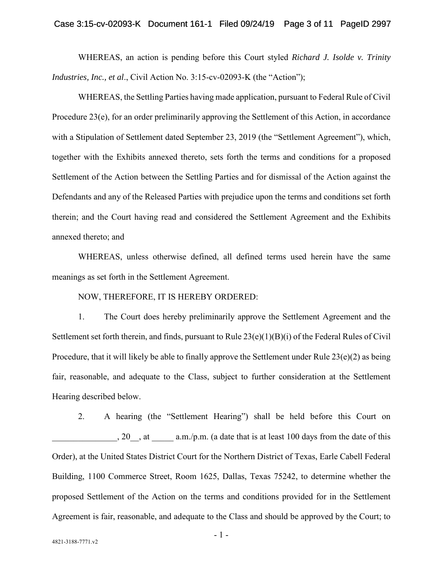## Case 3:15-cv-02093-K Document 161-1 Filed 09/24/19 Page 3 of 11 PageID 2997

WHEREAS, an action is pending before this Court styled *Richard J. Isolde v. Trinity Industries, Inc., et al*., Civil Action No. 3:15-cv-02093-K (the "Action");

WHEREAS, the Settling Parties having made application, pursuant to Federal Rule of Civil Procedure  $23(e)$ , for an order preliminarily approving the Settlement of this Action, in accordance with a Stipulation of Settlement dated September 23, 2019 (the "Settlement Agreement"), which, together with the Exhibits annexed thereto, sets forth the terms and conditions for a proposed Settlement of the Action between the Settling Parties and for dismissal of the Action against the Defendants and any of the Released Parties with prejudice upon the terms and conditions set forth therein; and the Court having read and considered the Settlement Agreement and the Exhibits annexed thereto; and

WHEREAS, unless otherwise defined, all defined terms used herein have the same meanings as set forth in the Settlement Agreement.

NOW, THEREFORE, IT IS HEREBY ORDERED:

1. The Court does hereby preliminarily approve the Settlement Agreement and the Settlement set forth therein, and finds, pursuant to Rule  $23(e)(1)(B)(i)$  of the Federal Rules of Civil Procedure, that it will likely be able to finally approve the Settlement under Rule  $23(e)(2)$  as being fair, reasonable, and adequate to the Class, subject to further consideration at the Settlement Hearing described below.

2. A hearing (the "Settlement Hearing") shall be held before this Court on  $, 20$ , at  $\qquad$  a.m./p.m. (a date that is at least 100 days from the date of this Order), at the United States District Court for the Northern District of Texas, Earle Cabell Federal Building, 1100 Commerce Street, Room 1625, Dallas, Texas 75242, to determine whether the proposed Settlement of the Action on the terms and conditions provided for in the Settlement Agreement is fair, reasonable, and adequate to the Class and should be approved by the Court; to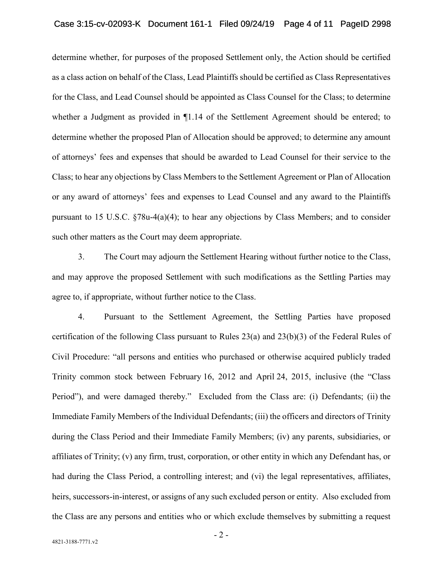## Case 3:15-cv-02093-K Document 161-1 Filed 09/24/19 Page 4 of 11 PageID 2998

determine whether, for purposes of the proposed Settlement only, the Action should be certified as a class action on behalf of the Class, Lead Plaintiffs should be certified as Class Representatives for the Class, and Lead Counsel should be appointed as Class Counsel for the Class; to determine whether a Judgment as provided in ¶1.14 of the Settlement Agreement should be entered; to determine whether the proposed Plan of Allocation should be approved; to determine any amount of attorneys' fees and expenses that should be awarded to Lead Counsel for their service to the Class; to hear any objections by Class Members to the Settlement Agreement or Plan of Allocation or any award of attorneys' fees and expenses to Lead Counsel and any award to the Plaintiffs pursuant to 15 U.S.C. §78u-4(a)(4); to hear any objections by Class Members; and to consider such other matters as the Court may deem appropriate.

3. The Court may adjourn the Settlement Hearing without further notice to the Class, and may approve the proposed Settlement with such modifications as the Settling Parties may agree to, if appropriate, without further notice to the Class.

4. Pursuant to the Settlement Agreement, the Settling Parties have proposed certification of the following Class pursuant to Rules 23(a) and 23(b)(3) of the Federal Rules of Civil Procedure: "all persons and entities who purchased or otherwise acquired publicly traded Trinity common stock between February 16, 2012 and April 24, 2015, inclusive (the "Class Period"), and were damaged thereby." Excluded from the Class are: (i) Defendants; (ii) the Immediate Family Members of the Individual Defendants; (iii) the officers and directors of Trinity during the Class Period and their Immediate Family Members; (iv) any parents, subsidiaries, or affiliates of Trinity; (v) any firm, trust, corporation, or other entity in which any Defendant has, or had during the Class Period, a controlling interest; and (vi) the legal representatives, affiliates, heirs, successors-in-interest, or assigns of any such excluded person or entity. Also excluded from the Class are any persons and entities who or which exclude themselves by submitting a request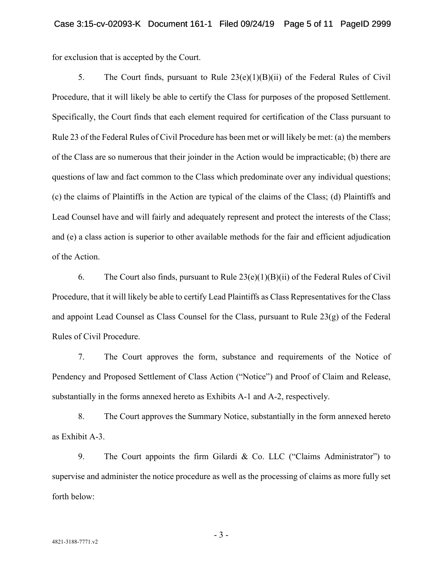for exclusion that is accepted by the Court.

5. The Court finds, pursuant to Rule  $23(e)(1)(B)(ii)$  of the Federal Rules of Civil Procedure, that it will likely be able to certify the Class for purposes of the proposed Settlement. Specifically, the Court finds that each element required for certification of the Class pursuant to Rule 23 of the Federal Rules of Civil Procedure has been met or will likely be met: (a) the members of the Class are so numerous that their joinder in the Action would be impracticable; (b) there are questions of law and fact common to the Class which predominate over any individual questions; (c) the claims of Plaintiffs in the Action are typical of the claims of the Class; (d) Plaintiffs and Lead Counsel have and will fairly and adequately represent and protect the interests of the Class; and (e) a class action is superior to other available methods for the fair and efficient adjudication of the Action.

6. The Court also finds, pursuant to Rule  $23(e)(1)(B)(ii)$  of the Federal Rules of Civil Procedure, that it will likely be able to certify Lead Plaintiffs as Class Representatives for the Class and appoint Lead Counsel as Class Counsel for the Class, pursuant to Rule 23(g) of the Federal Rules of Civil Procedure.

7. The Court approves the form, substance and requirements of the Notice of Pendency and Proposed Settlement of Class Action ("Notice") and Proof of Claim and Release, substantially in the forms annexed hereto as Exhibits A-1 and A-2, respectively.

8. The Court approves the Summary Notice, substantially in the form annexed hereto as Exhibit A-3.

9. The Court appoints the firm Gilardi & Co. LLC ("Claims Administrator") to supervise and administer the notice procedure as well as the processing of claims as more fully set forth below:

- 3 -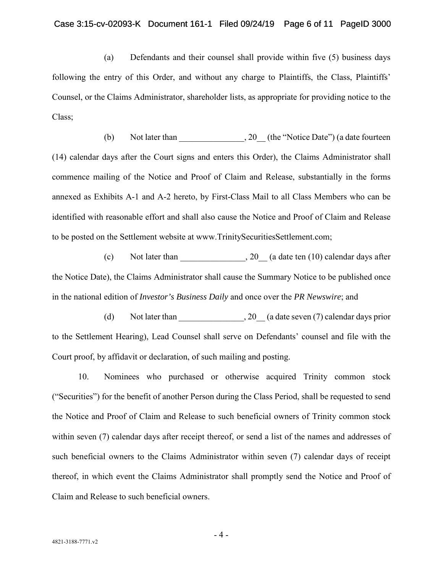## Case 3:15-cv-02093-K Document 161-1 Filed 09/24/19 Page 6 of 11 PageID 3000

(a) Defendants and their counsel shall provide within five (5) business days following the entry of this Order, and without any charge to Plaintiffs, the Class, Plaintiffs' Counsel, or the Claims Administrator, shareholder lists, as appropriate for providing notice to the Class;

(b) Not later than 20 (the "Notice Date") (a date fourteen (14) calendar days after the Court signs and enters this Order), the Claims Administrator shall commence mailing of the Notice and Proof of Claim and Release, substantially in the forms annexed as Exhibits A-1 and A-2 hereto, by First-Class Mail to all Class Members who can be identified with reasonable effort and shall also cause the Notice and Proof of Claim and Release to be posted on the Settlement website at www.TrinitySecuritiesSettlement.com;

(c) Not later than  $, 20$  (a date ten  $(10)$  calendar days after the Notice Date), the Claims Administrator shall cause the Summary Notice to be published once in the national edition of *Investor's Business Daily* and once over the *PR Newswire*; and

(d) Not later than 20 (a date seven (7) calendar days prior to the Settlement Hearing), Lead Counsel shall serve on Defendants' counsel and file with the Court proof, by affidavit or declaration, of such mailing and posting.

10. Nominees who purchased or otherwise acquired Trinity common stock ("Securities") for the benefit of another Person during the Class Period, shall be requested to send the Notice and Proof of Claim and Release to such beneficial owners of Trinity common stock within seven (7) calendar days after receipt thereof, or send a list of the names and addresses of such beneficial owners to the Claims Administrator within seven (7) calendar days of receipt thereof, in which event the Claims Administrator shall promptly send the Notice and Proof of Claim and Release to such beneficial owners.

- 4 -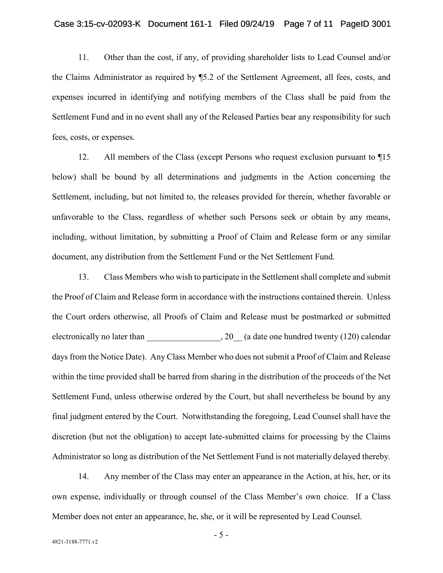## Case 3:15-cv-02093-K Document 161-1 Filed 09/24/19 Page 7 of 11 PageID 3001

11. Other than the cost, if any, of providing shareholder lists to Lead Counsel and/or the Claims Administrator as required by ¶5.2 of the Settlement Agreement, all fees, costs, and expenses incurred in identifying and notifying members of the Class shall be paid from the Settlement Fund and in no event shall any of the Released Parties bear any responsibility for such fees, costs, or expenses.

12. All members of the Class (except Persons who request exclusion pursuant to ¶15 below) shall be bound by all determinations and judgments in the Action concerning the Settlement, including, but not limited to, the releases provided for therein, whether favorable or unfavorable to the Class, regardless of whether such Persons seek or obtain by any means, including, without limitation, by submitting a Proof of Claim and Release form or any similar document, any distribution from the Settlement Fund or the Net Settlement Fund.

13. Class Members who wish to participate in the Settlement shall complete and submit the Proof of Claim and Release form in accordance with the instructions contained therein. Unless the Court orders otherwise, all Proofs of Claim and Release must be postmarked or submitted electronically no later than \_\_\_\_\_\_\_\_\_\_\_\_\_\_\_\_\_, 20\_ (a date one hundred twenty (120) calendar days from the Notice Date). Any Class Member who does not submit a Proof of Claim and Release within the time provided shall be barred from sharing in the distribution of the proceeds of the Net Settlement Fund, unless otherwise ordered by the Court, but shall nevertheless be bound by any final judgment entered by the Court. Notwithstanding the foregoing, Lead Counsel shall have the discretion (but not the obligation) to accept late-submitted claims for processing by the Claims Administrator so long as distribution of the Net Settlement Fund is not materially delayed thereby.

14. Any member of the Class may enter an appearance in the Action, at his, her, or its own expense, individually or through counsel of the Class Member's own choice. If a Class Member does not enter an appearance, he, she, or it will be represented by Lead Counsel.

- 5 -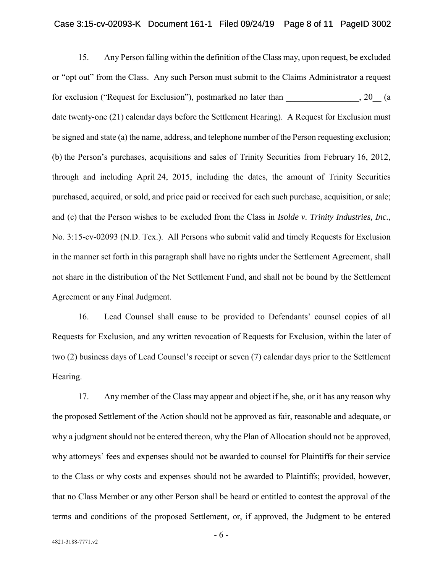## Case 3:15-cv-02093-K Document 161-1 Filed 09/24/19 Page 8 of 11 PageID 3002

15. Any Person falling within the definition of the Class may, upon request, be excluded or "opt out" from the Class. Any such Person must submit to the Claims Administrator a request for exclusion ("Request for Exclusion"), postmarked no later than  $\qquad \qquad , 20 \quad (a$ date twenty-one (21) calendar days before the Settlement Hearing). A Request for Exclusion must be signed and state (a) the name, address, and telephone number of the Person requesting exclusion; (b) the Person's purchases, acquisitions and sales of Trinity Securities from February 16, 2012, through and including April 24, 2015, including the dates, the amount of Trinity Securities purchased, acquired, or sold, and price paid or received for each such purchase, acquisition, or sale; and (c) that the Person wishes to be excluded from the Class in *Isolde v. Trinity Industries, Inc.*, No. 3:15-cv-02093 (N.D. Tex.). All Persons who submit valid and timely Requests for Exclusion in the manner set forth in this paragraph shall have no rights under the Settlement Agreement, shall not share in the distribution of the Net Settlement Fund, and shall not be bound by the Settlement Agreement or any Final Judgment.

16. Lead Counsel shall cause to be provided to Defendants' counsel copies of all Requests for Exclusion, and any written revocation of Requests for Exclusion, within the later of two (2) business days of Lead Counsel's receipt or seven (7) calendar days prior to the Settlement Hearing.

17. Any member of the Class may appear and object if he, she, or it has any reason why the proposed Settlement of the Action should not be approved as fair, reasonable and adequate, or why a judgment should not be entered thereon, why the Plan of Allocation should not be approved, why attorneys' fees and expenses should not be awarded to counsel for Plaintiffs for their service to the Class or why costs and expenses should not be awarded to Plaintiffs; provided, however, that no Class Member or any other Person shall be heard or entitled to contest the approval of the terms and conditions of the proposed Settlement, or, if approved, the Judgment to be entered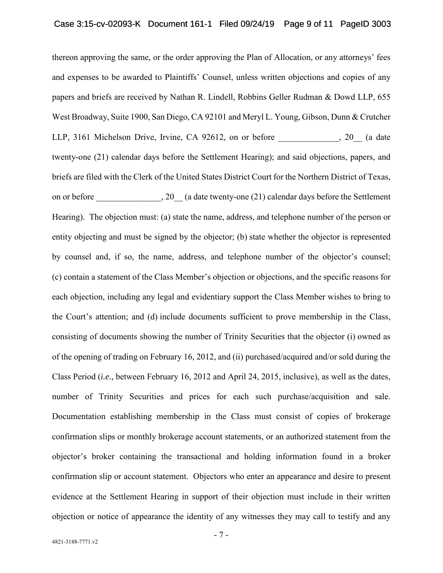thereon approving the same, or the order approving the Plan of Allocation, or any attorneys' fees and expenses to be awarded to Plaintiffs' Counsel, unless written objections and copies of any papers and briefs are received by Nathan R. Lindell, Robbins Geller Rudman & Dowd LLP, 655 West Broadway, Suite 1900, San Diego, CA 92101 and Meryl L. Young, Gibson, Dunn & Crutcher LLP, 3161 Michelson Drive, Irvine, CA 92612, on or before \_\_\_\_\_\_\_\_\_\_\_, 20\_\_ (a date twenty-one (21) calendar days before the Settlement Hearing); and said objections, papers, and briefs are filed with the Clerk of the United States District Court for the Northern District of Texas, on or before \_\_\_\_\_\_\_\_\_\_\_\_\_, 20\_ (a date twenty-one (21) calendar days before the Settlement Hearing). The objection must: (a) state the name, address, and telephone number of the person or entity objecting and must be signed by the objector; (b) state whether the objector is represented by counsel and, if so, the name, address, and telephone number of the objector's counsel; (c) contain a statement of the Class Member's objection or objections, and the specific reasons for each objection, including any legal and evidentiary support the Class Member wishes to bring to the Court's attention; and (d) include documents sufficient to prove membership in the Class, consisting of documents showing the number of Trinity Securities that the objector (i) owned as of the opening of trading on February 16, 2012, and (ii) purchased/acquired and/or sold during the Class Period (*i.e.*, between February 16, 2012 and April 24, 2015, inclusive), as well as the dates, number of Trinity Securities and prices for each such purchase/acquisition and sale. Documentation establishing membership in the Class must consist of copies of brokerage confirmation slips or monthly brokerage account statements, or an authorized statement from the objector's broker containing the transactional and holding information found in a broker confirmation slip or account statement. Objectors who enter an appearance and desire to present evidence at the Settlement Hearing in support of their objection must include in their written objection or notice of appearance the identity of any witnesses they may call to testify and any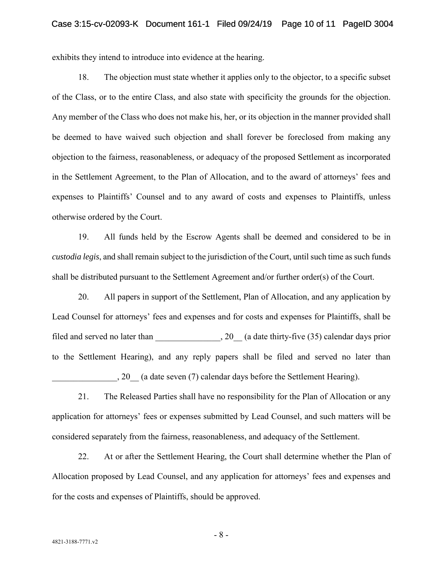exhibits they intend to introduce into evidence at the hearing.

18. The objection must state whether it applies only to the objector, to a specific subset of the Class, or to the entire Class, and also state with specificity the grounds for the objection. Any member of the Class who does not make his, her, or its objection in the manner provided shall be deemed to have waived such objection and shall forever be foreclosed from making any objection to the fairness, reasonableness, or adequacy of the proposed Settlement as incorporated in the Settlement Agreement, to the Plan of Allocation, and to the award of attorneys' fees and expenses to Plaintiffs' Counsel and to any award of costs and expenses to Plaintiffs, unless otherwise ordered by the Court.

19. All funds held by the Escrow Agents shall be deemed and considered to be in *custodia legis*, and shall remain subject to the jurisdiction of the Court, until such time as such funds shall be distributed pursuant to the Settlement Agreement and/or further order(s) of the Court.

20. All papers in support of the Settlement, Plan of Allocation, and any application by Lead Counsel for attorneys' fees and expenses and for costs and expenses for Plaintiffs, shall be filed and served no later than \_\_\_\_\_\_\_\_\_\_\_\_\_\_\_\_\_\_\_\_\_\_, 20\_\_\_ (a date thirty-five (35) calendar days prior to the Settlement Hearing), and any reply papers shall be filed and served no later than  $, 20$  (a date seven (7) calendar days before the Settlement Hearing).

21. The Released Parties shall have no responsibility for the Plan of Allocation or any application for attorneys' fees or expenses submitted by Lead Counsel, and such matters will be considered separately from the fairness, reasonableness, and adequacy of the Settlement.

22. At or after the Settlement Hearing, the Court shall determine whether the Plan of Allocation proposed by Lead Counsel, and any application for attorneys' fees and expenses and for the costs and expenses of Plaintiffs, should be approved.

- 8 -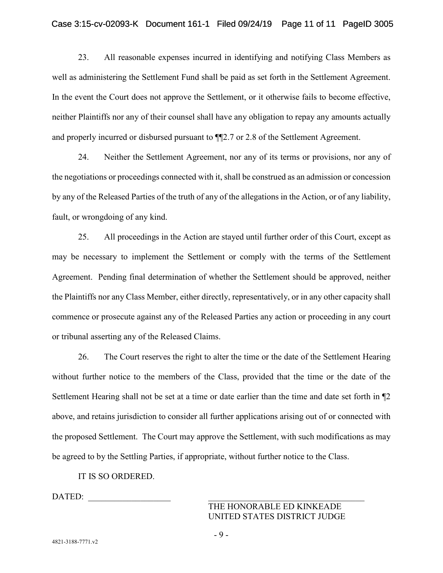## Case 3:15-cv-02093-K Document 161-1 Filed 09/24/19 Page 11 of 11 PageID 3005

23. All reasonable expenses incurred in identifying and notifying Class Members as well as administering the Settlement Fund shall be paid as set forth in the Settlement Agreement. In the event the Court does not approve the Settlement, or it otherwise fails to become effective, neither Plaintiffs nor any of their counsel shall have any obligation to repay any amounts actually and properly incurred or disbursed pursuant to ¶¶2.7 or 2.8 of the Settlement Agreement.

24. Neither the Settlement Agreement, nor any of its terms or provisions, nor any of the negotiations or proceedings connected with it, shall be construed as an admission or concession by any of the Released Parties of the truth of any of the allegations in the Action, or of any liability, fault, or wrongdoing of any kind.

25. All proceedings in the Action are stayed until further order of this Court, except as may be necessary to implement the Settlement or comply with the terms of the Settlement Agreement. Pending final determination of whether the Settlement should be approved, neither the Plaintiffs nor any Class Member, either directly, representatively, or in any other capacity shall commence or prosecute against any of the Released Parties any action or proceeding in any court or tribunal asserting any of the Released Claims.

26. The Court reserves the right to alter the time or the date of the Settlement Hearing without further notice to the members of the Class, provided that the time or the date of the Settlement Hearing shall not be set at a time or date earlier than the time and date set forth in ¶2 above, and retains jurisdiction to consider all further applications arising out of or connected with the proposed Settlement. The Court may approve the Settlement, with such modifications as may be agreed to by the Settling Parties, if appropriate, without further notice to the Class.

IT IS SO ORDERED.

DATED:

## THE HONORABLE ED KINKEADE UNITED STATES DISTRICT JUDGE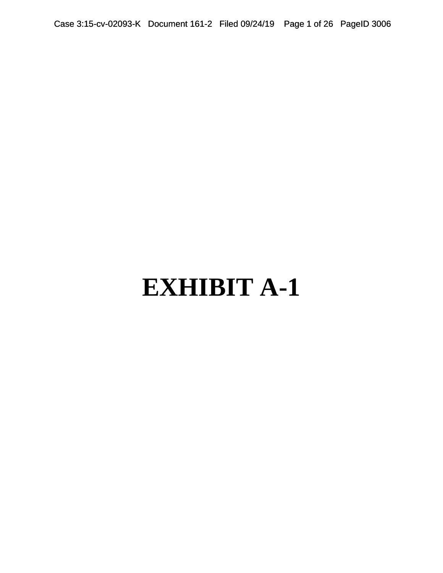Case 3:15-cv-02093-K Document 161-2 Filed 09/24/19 Page 1 of 26 PageID 3006

# **EXHIBIT A-1**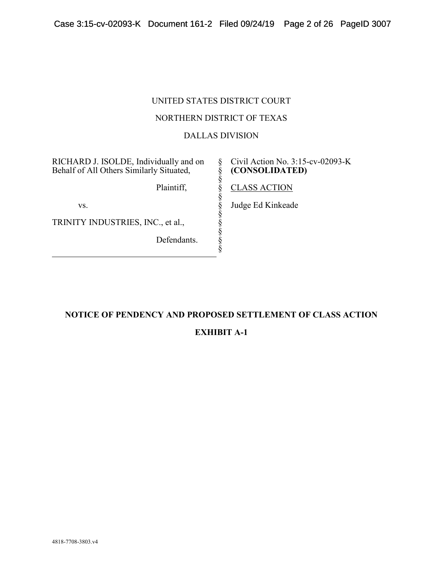## UNITED STATES DISTRICT COURT

## NORTHERN DISTRICT OF TEXAS

## DALLAS DIVISION

§ § § § § § § § § § §

RICHARD J. ISOLDE, Individually and on Behalf of All Others Similarly Situated,

Plaintiff,

Civil Action No. 3:15-cv-02093-K **(CONSOLIDATED)**

vs.

TRINITY INDUSTRIES, INC., et al.,

Defendants.

## CLASS ACTION

Judge Ed Kinkeade

**NOTICE OF PENDENCY AND PROPOSED SETTLEMENT OF CLASS ACTION EXHIBIT A-1**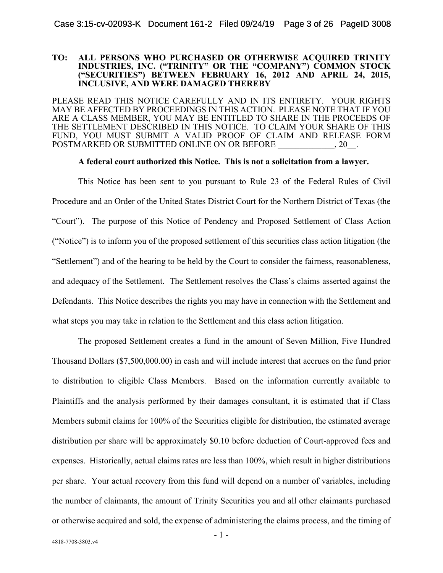## **TO: ALL PERSONS WHO PURCHASED OR OTHERWISE ACQUIRED TRINITY INDUSTRIES, INC. ("TRINITY" OR THE "COMPANY") COMMON STOCK ("SECURITIES") BETWEEN FEBRUARY 16, 2012 AND APRIL 24, 2015, INCLUSIVE, AND WERE DAMAGED THEREBY**

PLEASE READ THIS NOTICE CAREFULLY AND IN ITS ENTIRETY. YOUR RIGHTS MAY BE AFFECTED BY PROCEEDINGS IN THIS ACTION. PLEASE NOTE THAT IF YOU ARE A CLASS MEMBER, YOU MAY BE ENTITLED TO SHARE IN THE PROCEEDS OF THE SETTLEMENT DESCRIBED IN THIS NOTICE. TO CLAIM YOUR SHARE OF THIS FUND, YOU MUST SUBMIT A VALID PROOF OF CLAIM AND RELEASE FORM POSTMARKED OR SUBMITTED ONLINE ON OR BEFORE  $\,$ , 20  $\,$ POSTMARKED OR SUBMITTED ONLINE ON OR BEFORE

#### **A federal court authorized this Notice. This is not a solicitation from a lawyer.**

This Notice has been sent to you pursuant to Rule 23 of the Federal Rules of Civil Procedure and an Order of the United States District Court for the Northern District of Texas (the "Court"). The purpose of this Notice of Pendency and Proposed Settlement of Class Action ("Notice") is to inform you of the proposed settlement of this securities class action litigation (the "Settlement") and of the hearing to be held by the Court to consider the fairness, reasonableness, and adequacy of the Settlement. The Settlement resolves the Class's claims asserted against the Defendants. This Notice describes the rights you may have in connection with the Settlement and what steps you may take in relation to the Settlement and this class action litigation.

The proposed Settlement creates a fund in the amount of Seven Million, Five Hundred Thousand Dollars (\$7,500,000.00) in cash and will include interest that accrues on the fund prior to distribution to eligible Class Members. Based on the information currently available to Plaintiffs and the analysis performed by their damages consultant, it is estimated that if Class Members submit claims for 100% of the Securities eligible for distribution, the estimated average distribution per share will be approximately \$0.10 before deduction of Court-approved fees and expenses. Historically, actual claims rates are less than 100%, which result in higher distributions per share. Your actual recovery from this fund will depend on a number of variables, including the number of claimants, the amount of Trinity Securities you and all other claimants purchased or otherwise acquired and sold, the expense of administering the claims process, and the timing of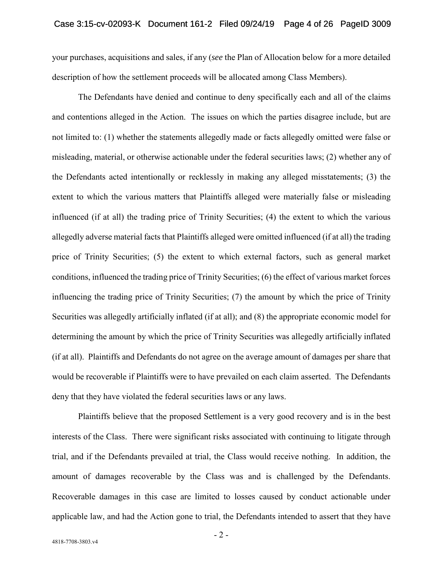your purchases, acquisitions and sales, if any (*see* the Plan of Allocation below for a more detailed description of how the settlement proceeds will be allocated among Class Members).

The Defendants have denied and continue to deny specifically each and all of the claims and contentions alleged in the Action. The issues on which the parties disagree include, but are not limited to: (1) whether the statements allegedly made or facts allegedly omitted were false or misleading, material, or otherwise actionable under the federal securities laws; (2) whether any of the Defendants acted intentionally or recklessly in making any alleged misstatements; (3) the extent to which the various matters that Plaintiffs alleged were materially false or misleading influenced (if at all) the trading price of Trinity Securities; (4) the extent to which the various allegedly adverse material facts that Plaintiffs alleged were omitted influenced (if at all) the trading price of Trinity Securities; (5) the extent to which external factors, such as general market conditions, influenced the trading price of Trinity Securities; (6) the effect of various market forces influencing the trading price of Trinity Securities; (7) the amount by which the price of Trinity Securities was allegedly artificially inflated (if at all); and (8) the appropriate economic model for determining the amount by which the price of Trinity Securities was allegedly artificially inflated (if at all). Plaintiffs and Defendants do not agree on the average amount of damages per share that would be recoverable if Plaintiffs were to have prevailed on each claim asserted. The Defendants deny that they have violated the federal securities laws or any laws.

Plaintiffs believe that the proposed Settlement is a very good recovery and is in the best interests of the Class. There were significant risks associated with continuing to litigate through trial, and if the Defendants prevailed at trial, the Class would receive nothing. In addition, the amount of damages recoverable by the Class was and is challenged by the Defendants. Recoverable damages in this case are limited to losses caused by conduct actionable under applicable law, and had the Action gone to trial, the Defendants intended to assert that they have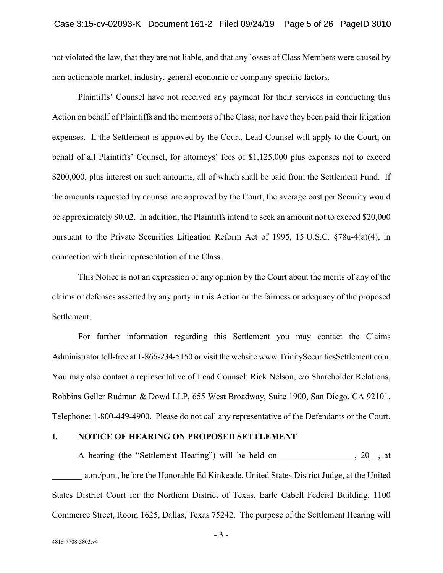not violated the law, that they are not liable, and that any losses of Class Members were caused by non-actionable market, industry, general economic or company-specific factors.

Plaintiffs' Counsel have not received any payment for their services in conducting this Action on behalf of Plaintiffs and the members of the Class, nor have they been paid their litigation expenses. If the Settlement is approved by the Court, Lead Counsel will apply to the Court, on behalf of all Plaintiffs' Counsel, for attorneys' fees of \$1,125,000 plus expenses not to exceed \$200,000, plus interest on such amounts, all of which shall be paid from the Settlement Fund. If the amounts requested by counsel are approved by the Court, the average cost per Security would be approximately \$0.02. In addition, the Plaintiffs intend to seek an amount not to exceed \$20,000 pursuant to the Private Securities Litigation Reform Act of 1995, 15 U.S.C. §78u-4(a)(4), in connection with their representation of the Class.

This Notice is not an expression of any opinion by the Court about the merits of any of the claims or defenses asserted by any party in this Action or the fairness or adequacy of the proposed Settlement.

For further information regarding this Settlement you may contact the Claims Administrator toll-free at 1-866-234-5150 or visit the website www.TrinitySecuritiesSettlement.com. You may also contact a representative of Lead Counsel: Rick Nelson, c/o Shareholder Relations, Robbins Geller Rudman & Dowd LLP, 655 West Broadway, Suite 1900, San Diego, CA 92101, Telephone: 1-800-449-4900. Please do not call any representative of the Defendants or the Court.

## **I. NOTICE OF HEARING ON PROPOSED SETTLEMENT**

A hearing (the "Settlement Hearing") will be held on \_\_\_\_\_\_\_\_\_\_\_\_\_\_, 20 \_, at a.m./p.m., before the Honorable Ed Kinkeade, United States District Judge, at the United States District Court for the Northern District of Texas, Earle Cabell Federal Building, 1100 Commerce Street, Room 1625, Dallas, Texas 75242. The purpose of the Settlement Hearing will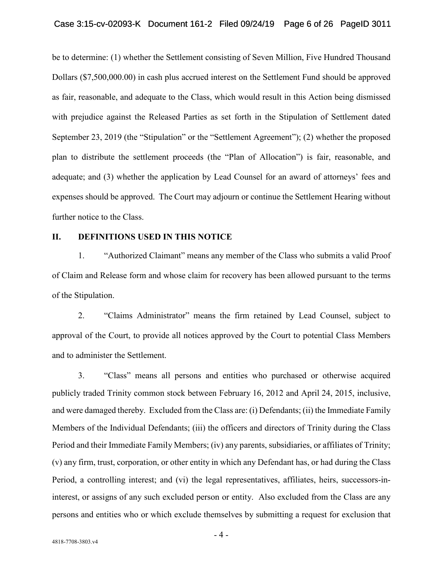be to determine: (1) whether the Settlement consisting of Seven Million, Five Hundred Thousand Dollars (\$7,500,000.00) in cash plus accrued interest on the Settlement Fund should be approved as fair, reasonable, and adequate to the Class, which would result in this Action being dismissed with prejudice against the Released Parties as set forth in the Stipulation of Settlement dated September 23, 2019 (the "Stipulation" or the "Settlement Agreement"); (2) whether the proposed plan to distribute the settlement proceeds (the "Plan of Allocation") is fair, reasonable, and adequate; and (3) whether the application by Lead Counsel for an award of attorneys' fees and expenses should be approved. The Court may adjourn or continue the Settlement Hearing without further notice to the Class.

## **II. DEFINITIONS USED IN THIS NOTICE**

1. "Authorized Claimant" means any member of the Class who submits a valid Proof of Claim and Release form and whose claim for recovery has been allowed pursuant to the terms of the Stipulation.

2. "Claims Administrator" means the firm retained by Lead Counsel, subject to approval of the Court, to provide all notices approved by the Court to potential Class Members and to administer the Settlement.

3. "Class" means all persons and entities who purchased or otherwise acquired publicly traded Trinity common stock between February 16, 2012 and April 24, 2015, inclusive, and were damaged thereby. Excluded from the Class are: (i) Defendants; (ii) the Immediate Family Members of the Individual Defendants; (iii) the officers and directors of Trinity during the Class Period and their Immediate Family Members; (iv) any parents, subsidiaries, or affiliates of Trinity; (v) any firm, trust, corporation, or other entity in which any Defendant has, or had during the Class Period, a controlling interest; and (vi) the legal representatives, affiliates, heirs, successors-ininterest, or assigns of any such excluded person or entity. Also excluded from the Class are any persons and entities who or which exclude themselves by submitting a request for exclusion that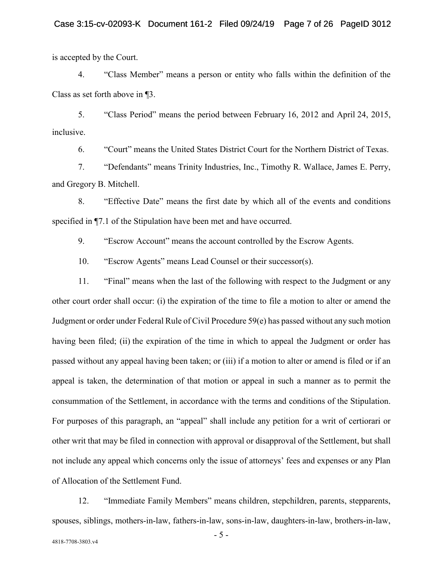is accepted by the Court.

4. "Class Member" means a person or entity who falls within the definition of the Class as set forth above in ¶3.

5. "Class Period" means the period between February 16, 2012 and April 24, 2015, inclusive.

6. "Court" means the United States District Court for the Northern District of Texas.

7. "Defendants" means Trinity Industries, Inc., Timothy R. Wallace, James E. Perry, and Gregory B. Mitchell.

8. "Effective Date" means the first date by which all of the events and conditions specified in ¶7.1 of the Stipulation have been met and have occurred.

9. "Escrow Account" means the account controlled by the Escrow Agents.

10. "Escrow Agents" means Lead Counsel or their successor(s).

11. "Final" means when the last of the following with respect to the Judgment or any other court order shall occur: (i) the expiration of the time to file a motion to alter or amend the Judgment or order under Federal Rule of Civil Procedure 59(e) has passed without any such motion having been filed; (ii) the expiration of the time in which to appeal the Judgment or order has passed without any appeal having been taken; or (iii) if a motion to alter or amend is filed or if an appeal is taken, the determination of that motion or appeal in such a manner as to permit the consummation of the Settlement, in accordance with the terms and conditions of the Stipulation. For purposes of this paragraph, an "appeal" shall include any petition for a writ of certiorari or other writ that may be filed in connection with approval or disapproval of the Settlement, but shall not include any appeal which concerns only the issue of attorneys' fees and expenses or any Plan of Allocation of the Settlement Fund.

12. "Immediate Family Members" means children, stepchildren, parents, stepparents, spouses, siblings, mothers-in-law, fathers-in-law, sons-in-law, daughters-in-law, brothers-in-law,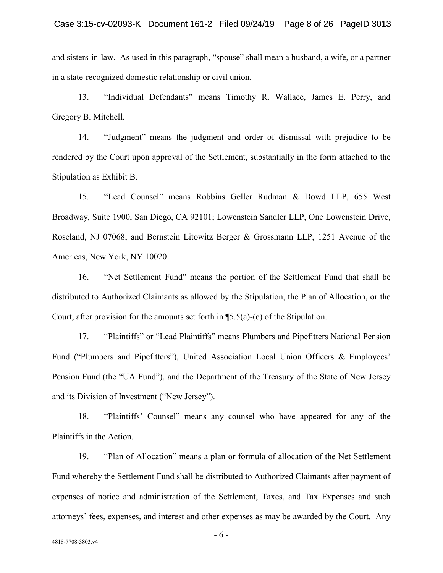## Case 3:15-cv-02093-K Document 161-2 Filed 09/24/19 Page 8 of 26 PageID 3013

and sisters-in-law. As used in this paragraph, "spouse" shall mean a husband, a wife, or a partner in a state-recognized domestic relationship or civil union.

13. "Individual Defendants" means Timothy R. Wallace, James E. Perry, and Gregory B. Mitchell.

14. "Judgment" means the judgment and order of dismissal with prejudice to be rendered by the Court upon approval of the Settlement, substantially in the form attached to the Stipulation as Exhibit B.

15. "Lead Counsel" means Robbins Geller Rudman & Dowd LLP, 655 West Broadway, Suite 1900, San Diego, CA 92101; Lowenstein Sandler LLP, One Lowenstein Drive, Roseland, NJ 07068; and Bernstein Litowitz Berger & Grossmann LLP, 1251 Avenue of the Americas, New York, NY 10020.

16. "Net Settlement Fund" means the portion of the Settlement Fund that shall be distributed to Authorized Claimants as allowed by the Stipulation, the Plan of Allocation, or the Court, after provision for the amounts set forth in  $\mathcal{F}_5$ . S(a)-(c) of the Stipulation.

17. "Plaintiffs" or "Lead Plaintiffs" means Plumbers and Pipefitters National Pension Fund ("Plumbers and Pipefitters"), United Association Local Union Officers & Employees' Pension Fund (the "UA Fund"), and the Department of the Treasury of the State of New Jersey and its Division of Investment ("New Jersey").

18. "Plaintiffs' Counsel" means any counsel who have appeared for any of the Plaintiffs in the Action.

19. "Plan of Allocation" means a plan or formula of allocation of the Net Settlement Fund whereby the Settlement Fund shall be distributed to Authorized Claimants after payment of expenses of notice and administration of the Settlement, Taxes, and Tax Expenses and such attorneys' fees, expenses, and interest and other expenses as may be awarded by the Court. Any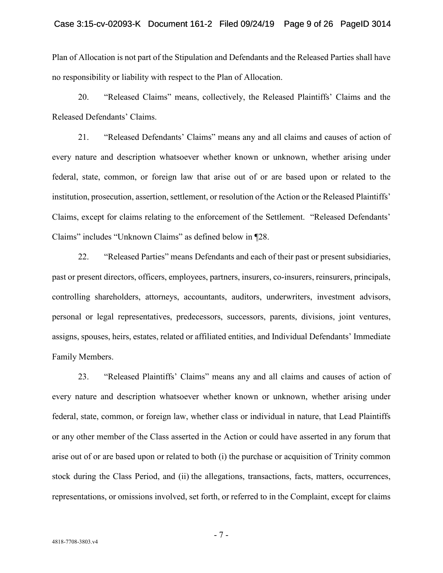## Case 3:15-cv-02093-K Document 161-2 Filed 09/24/19 Page 9 of 26 PageID 3014

Plan of Allocation is not part of the Stipulation and Defendants and the Released Parties shall have no responsibility or liability with respect to the Plan of Allocation.

20. "Released Claims" means, collectively, the Released Plaintiffs' Claims and the Released Defendants' Claims.

21. "Released Defendants' Claims" means any and all claims and causes of action of every nature and description whatsoever whether known or unknown, whether arising under federal, state, common, or foreign law that arise out of or are based upon or related to the institution, prosecution, assertion, settlement, or resolution of the Action or the Released Plaintiffs' Claims, except for claims relating to the enforcement of the Settlement. "Released Defendants' Claims" includes "Unknown Claims" as defined below in ¶28.

22. "Released Parties" means Defendants and each of their past or present subsidiaries, past or present directors, officers, employees, partners, insurers, co-insurers, reinsurers, principals, controlling shareholders, attorneys, accountants, auditors, underwriters, investment advisors, personal or legal representatives, predecessors, successors, parents, divisions, joint ventures, assigns, spouses, heirs, estates, related or affiliated entities, and Individual Defendants' Immediate Family Members.

23. "Released Plaintiffs' Claims" means any and all claims and causes of action of every nature and description whatsoever whether known or unknown, whether arising under federal, state, common, or foreign law, whether class or individual in nature, that Lead Plaintiffs or any other member of the Class asserted in the Action or could have asserted in any forum that arise out of or are based upon or related to both (i) the purchase or acquisition of Trinity common stock during the Class Period, and (ii) the allegations, transactions, facts, matters, occurrences, representations, or omissions involved, set forth, or referred to in the Complaint, except for claims

- 7 -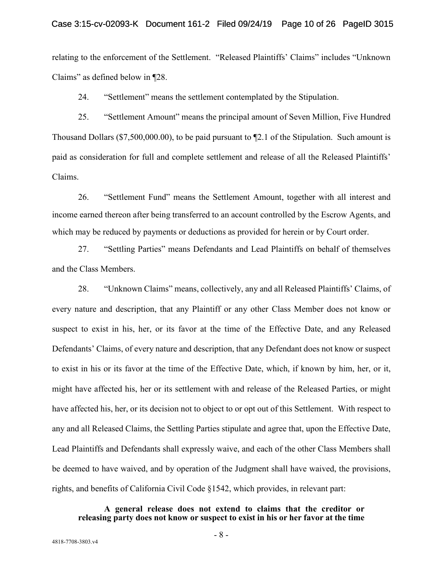relating to the enforcement of the Settlement. "Released Plaintiffs' Claims" includes "Unknown Claims" as defined below in ¶28.

24. "Settlement" means the settlement contemplated by the Stipulation.

25. "Settlement Amount" means the principal amount of Seven Million, Five Hundred Thousand Dollars (\$7,500,000.00), to be paid pursuant to ¶2.1 of the Stipulation. Such amount is paid as consideration for full and complete settlement and release of all the Released Plaintiffs' Claims.

26. "Settlement Fund" means the Settlement Amount, together with all interest and income earned thereon after being transferred to an account controlled by the Escrow Agents, and which may be reduced by payments or deductions as provided for herein or by Court order.

27. "Settling Parties" means Defendants and Lead Plaintiffs on behalf of themselves and the Class Members.

28. "Unknown Claims" means, collectively, any and all Released Plaintiffs' Claims, of every nature and description, that any Plaintiff or any other Class Member does not know or suspect to exist in his, her, or its favor at the time of the Effective Date, and any Released Defendants' Claims, of every nature and description, that any Defendant does not know or suspect to exist in his or its favor at the time of the Effective Date, which, if known by him, her, or it, might have affected his, her or its settlement with and release of the Released Parties, or might have affected his, her, or its decision not to object to or opt out of this Settlement. With respect to any and all Released Claims, the Settling Parties stipulate and agree that, upon the Effective Date, Lead Plaintiffs and Defendants shall expressly waive, and each of the other Class Members shall be deemed to have waived, and by operation of the Judgment shall have waived, the provisions, rights, and benefits of California Civil Code §1542, which provides, in relevant part:

## **A general release does not extend to claims that the creditor or releasing party does not know or suspect to exist in his or her favor at the time**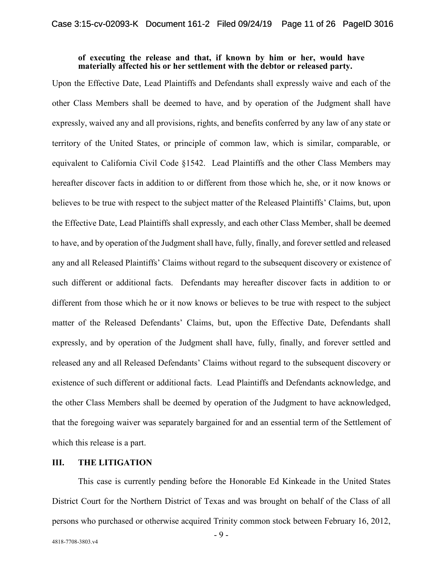## **of executing the release and that, if known by him or her, would have materially affected his or her settlement with the debtor or released party.**

Upon the Effective Date, Lead Plaintiffs and Defendants shall expressly waive and each of the other Class Members shall be deemed to have, and by operation of the Judgment shall have expressly, waived any and all provisions, rights, and benefits conferred by any law of any state or territory of the United States, or principle of common law, which is similar, comparable, or equivalent to California Civil Code §1542. Lead Plaintiffs and the other Class Members may hereafter discover facts in addition to or different from those which he, she, or it now knows or believes to be true with respect to the subject matter of the Released Plaintiffs' Claims, but, upon the Effective Date, Lead Plaintiffs shall expressly, and each other Class Member, shall be deemed to have, and by operation of the Judgment shall have, fully, finally, and forever settled and released any and all Released Plaintiffs' Claims without regard to the subsequent discovery or existence of such different or additional facts. Defendants may hereafter discover facts in addition to or different from those which he or it now knows or believes to be true with respect to the subject matter of the Released Defendants' Claims, but, upon the Effective Date, Defendants shall expressly, and by operation of the Judgment shall have, fully, finally, and forever settled and released any and all Released Defendants' Claims without regard to the subsequent discovery or existence of such different or additional facts. Lead Plaintiffs and Defendants acknowledge, and the other Class Members shall be deemed by operation of the Judgment to have acknowledged, that the foregoing waiver was separately bargained for and an essential term of the Settlement of which this release is a part.

## **III. THE LITIGATION**

This case is currently pending before the Honorable Ed Kinkeade in the United States District Court for the Northern District of Texas and was brought on behalf of the Class of all persons who purchased or otherwise acquired Trinity common stock between February 16, 2012,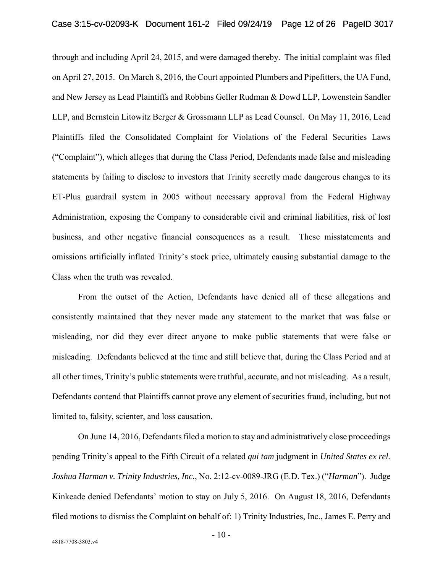through and including April 24, 2015, and were damaged thereby. The initial complaint was filed on April 27, 2015. On March 8, 2016, the Court appointed Plumbers and Pipefitters, the UA Fund, and New Jersey as Lead Plaintiffs and Robbins Geller Rudman & Dowd LLP, Lowenstein Sandler LLP, and Bernstein Litowitz Berger & Grossmann LLP as Lead Counsel. On May 11, 2016, Lead Plaintiffs filed the Consolidated Complaint for Violations of the Federal Securities Laws ("Complaint"), which alleges that during the Class Period, Defendants made false and misleading statements by failing to disclose to investors that Trinity secretly made dangerous changes to its ET-Plus guardrail system in 2005 without necessary approval from the Federal Highway Administration, exposing the Company to considerable civil and criminal liabilities, risk of lost business, and other negative financial consequences as a result. These misstatements and omissions artificially inflated Trinity's stock price, ultimately causing substantial damage to the Class when the truth was revealed.

From the outset of the Action, Defendants have denied all of these allegations and consistently maintained that they never made any statement to the market that was false or misleading, nor did they ever direct anyone to make public statements that were false or misleading. Defendants believed at the time and still believe that, during the Class Period and at all other times, Trinity's public statements were truthful, accurate, and not misleading. As a result, Defendants contend that Plaintiffs cannot prove any element of securities fraud, including, but not limited to, falsity, scienter, and loss causation.

On June 14, 2016, Defendants filed a motion to stay and administratively close proceedings pending Trinity's appeal to the Fifth Circuit of a related *qui tam* judgment in *United States ex rel. Joshua Harman v. Trinity Industries, Inc.*, No. 2:12-cv-0089-JRG (E.D. Tex.) ("*Harman*"). Judge Kinkeade denied Defendants' motion to stay on July 5, 2016. On August 18, 2016, Defendants filed motions to dismiss the Complaint on behalf of: 1) Trinity Industries, Inc., James E. Perry and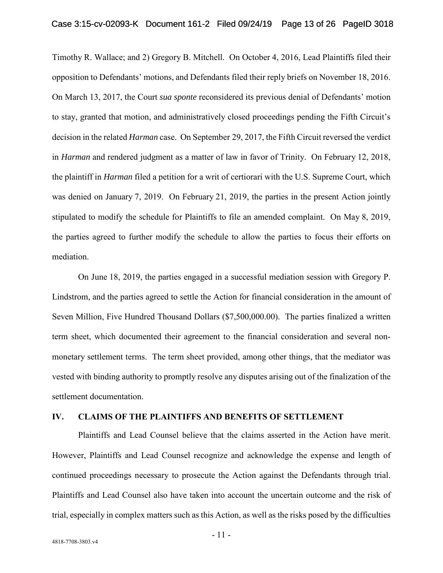Timothy R. Wallace; and 2) Gregory B. Mitchell. On October 4, 2016, Lead Plaintiffs filed their opposition to Defendants' motions, and Defendants filed their reply briefs on November 18, 2016. On March 13, 2017, the Court *sua sponte* reconsidered its previous denial of Defendants' motion to stay, granted that motion, and administratively closed proceedings pending the Fifth Circuit's decision in the related *Harman* case. On September 29, 2017, the Fifth Circuit reversed the verdict in *Harman* and rendered judgment as a matter of law in favor of Trinity. On February 12, 2018, the plaintiff in *Harman* filed a petition for a writ of certiorari with the U.S. Supreme Court, which was denied on January 7, 2019. On February 21, 2019, the parties in the present Action jointly stipulated to modify the schedule for Plaintiffs to file an amended complaint. On May 8, 2019, the parties agreed to further modify the schedule to allow the parties to focus their efforts on mediation.

On June 18, 2019, the parties engaged in a successful mediation session with Gregory P. Lindstrom, and the parties agreed to settle the Action for financial consideration in the amount of Seven Million, Five Hundred Thousand Dollars (\$7,500,000.00). The parties finalized a written term sheet, which documented their agreement to the financial consideration and several nonmonetary settlement terms. The term sheet provided, among other things, that the mediator was vested with binding authority to promptly resolve any disputes arising out of the finalization of the settlement documentation.

## **IV. CLAIMS OF THE PLAINTIFFS AND BENEFITS OF SETTLEMENT**

Plaintiffs and Lead Counsel believe that the claims asserted in the Action have merit. However, Plaintiffs and Lead Counsel recognize and acknowledge the expense and length of continued proceedings necessary to prosecute the Action against the Defendants through trial. Plaintiffs and Lead Counsel also have taken into account the uncertain outcome and the risk of trial, especially in complex matters such as this Action, as well as the risks posed by the difficulties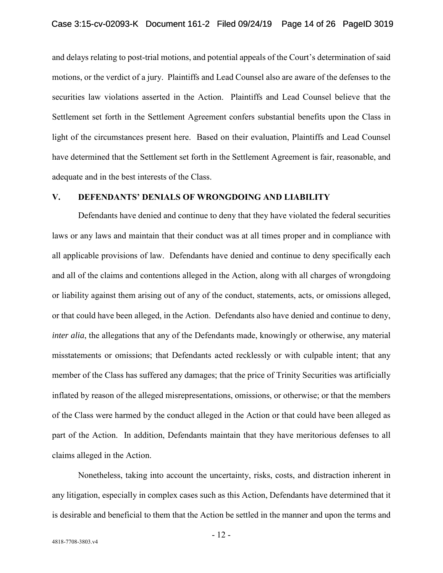and delays relating to post-trial motions, and potential appeals of the Court's determination of said motions, or the verdict of a jury. Plaintiffs and Lead Counsel also are aware of the defenses to the securities law violations asserted in the Action. Plaintiffs and Lead Counsel believe that the Settlement set forth in the Settlement Agreement confers substantial benefits upon the Class in light of the circumstances present here. Based on their evaluation, Plaintiffs and Lead Counsel have determined that the Settlement set forth in the Settlement Agreement is fair, reasonable, and adequate and in the best interests of the Class.

## **V. DEFENDANTS' DENIALS OF WRONGDOING AND LIABILITY**

Defendants have denied and continue to deny that they have violated the federal securities laws or any laws and maintain that their conduct was at all times proper and in compliance with all applicable provisions of law. Defendants have denied and continue to deny specifically each and all of the claims and contentions alleged in the Action, along with all charges of wrongdoing or liability against them arising out of any of the conduct, statements, acts, or omissions alleged, or that could have been alleged, in the Action. Defendants also have denied and continue to deny, *inter alia*, the allegations that any of the Defendants made, knowingly or otherwise, any material misstatements or omissions; that Defendants acted recklessly or with culpable intent; that any member of the Class has suffered any damages; that the price of Trinity Securities was artificially inflated by reason of the alleged misrepresentations, omissions, or otherwise; or that the members of the Class were harmed by the conduct alleged in the Action or that could have been alleged as part of the Action. In addition, Defendants maintain that they have meritorious defenses to all claims alleged in the Action.

Nonetheless, taking into account the uncertainty, risks, costs, and distraction inherent in any litigation, especially in complex cases such as this Action, Defendants have determined that it is desirable and beneficial to them that the Action be settled in the manner and upon the terms and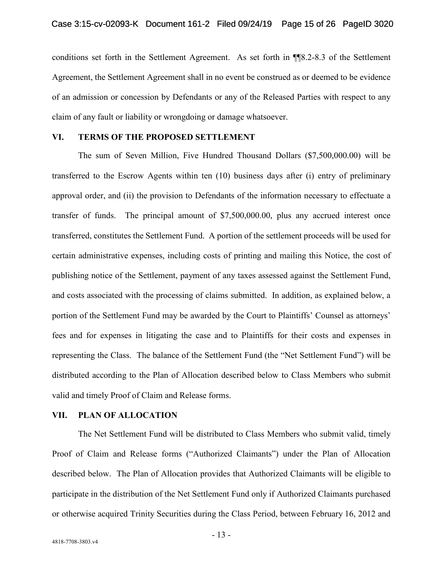conditions set forth in the Settlement Agreement. As set forth in ¶¶8.2-8.3 of the Settlement Agreement, the Settlement Agreement shall in no event be construed as or deemed to be evidence of an admission or concession by Defendants or any of the Released Parties with respect to any claim of any fault or liability or wrongdoing or damage whatsoever.

## **VI. TERMS OF THE PROPOSED SETTLEMENT**

The sum of Seven Million, Five Hundred Thousand Dollars (\$7,500,000.00) will be transferred to the Escrow Agents within ten (10) business days after (i) entry of preliminary approval order, and (ii) the provision to Defendants of the information necessary to effectuate a transfer of funds. The principal amount of \$7,500,000.00, plus any accrued interest once transferred, constitutes the Settlement Fund. A portion of the settlement proceeds will be used for certain administrative expenses, including costs of printing and mailing this Notice, the cost of publishing notice of the Settlement, payment of any taxes assessed against the Settlement Fund, and costs associated with the processing of claims submitted. In addition, as explained below, a portion of the Settlement Fund may be awarded by the Court to Plaintiffs' Counsel as attorneys' fees and for expenses in litigating the case and to Plaintiffs for their costs and expenses in representing the Class. The balance of the Settlement Fund (the "Net Settlement Fund") will be distributed according to the Plan of Allocation described below to Class Members who submit valid and timely Proof of Claim and Release forms.

## **VII. PLAN OF ALLOCATION**

The Net Settlement Fund will be distributed to Class Members who submit valid, timely Proof of Claim and Release forms ("Authorized Claimants") under the Plan of Allocation described below. The Plan of Allocation provides that Authorized Claimants will be eligible to participate in the distribution of the Net Settlement Fund only if Authorized Claimants purchased or otherwise acquired Trinity Securities during the Class Period, between February 16, 2012 and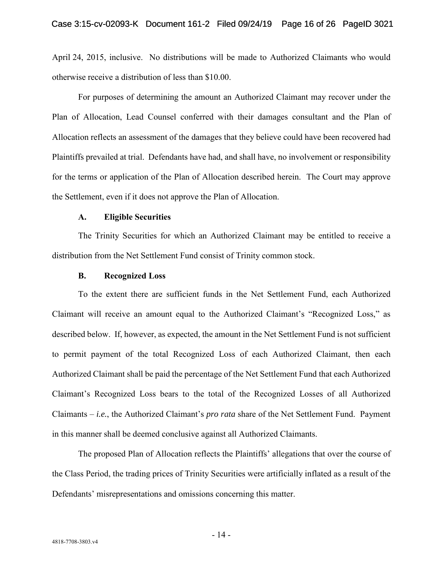April 24, 2015, inclusive. No distributions will be made to Authorized Claimants who would otherwise receive a distribution of less than \$10.00.

For purposes of determining the amount an Authorized Claimant may recover under the Plan of Allocation, Lead Counsel conferred with their damages consultant and the Plan of Allocation reflects an assessment of the damages that they believe could have been recovered had Plaintiffs prevailed at trial. Defendants have had, and shall have, no involvement or responsibility for the terms or application of the Plan of Allocation described herein. The Court may approve the Settlement, even if it does not approve the Plan of Allocation.

## **A. Eligible Securities**

The Trinity Securities for which an Authorized Claimant may be entitled to receive a distribution from the Net Settlement Fund consist of Trinity common stock.

## **B. Recognized Loss**

To the extent there are sufficient funds in the Net Settlement Fund, each Authorized Claimant will receive an amount equal to the Authorized Claimant's "Recognized Loss," as described below. If, however, as expected, the amount in the Net Settlement Fund is not sufficient to permit payment of the total Recognized Loss of each Authorized Claimant, then each Authorized Claimant shall be paid the percentage of the Net Settlement Fund that each Authorized Claimant's Recognized Loss bears to the total of the Recognized Losses of all Authorized Claimants – *i.e.*, the Authorized Claimant's *pro rata* share of the Net Settlement Fund. Payment in this manner shall be deemed conclusive against all Authorized Claimants.

The proposed Plan of Allocation reflects the Plaintiffs' allegations that over the course of the Class Period, the trading prices of Trinity Securities were artificially inflated as a result of the Defendants' misrepresentations and omissions concerning this matter.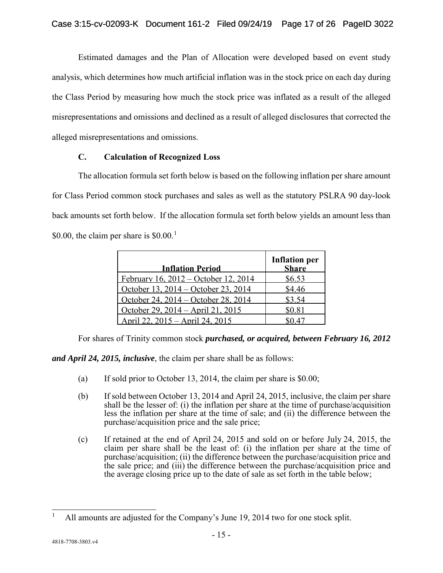Estimated damages and the Plan of Allocation were developed based on event study analysis, which determines how much artificial inflation was in the stock price on each day during the Class Period by measuring how much the stock price was inflated as a result of the alleged misrepresentations and omissions and declined as a result of alleged disclosures that corrected the alleged misrepresentations and omissions.

## **C. Calculation of Recognized Loss**

The allocation formula set forth below is based on the following inflation per share amount for Class Period common stock purchases and sales as well as the statutory PSLRA 90 day-look back amounts set forth below. If the allocation formula set forth below yields an amount less than \$0.00, the claim per share is  $$0.00<sup>1</sup>$  $$0.00<sup>1</sup>$  $$0.00<sup>1</sup>$ 

| <b>Inflation Period</b>              | <b>Inflation</b> per<br><b>Share</b> |
|--------------------------------------|--------------------------------------|
| February 16, 2012 – October 12, 2014 | \$6.53                               |
| October 13, 2014 – October 23, 2014  | \$4.46                               |
| October 24, 2014 – October 28, 2014  | \$3.54                               |
| October 29, 2014 – April 21, 2015    | \$0.81                               |
| April 22, 2015 – April 24, 2015      |                                      |

For shares of Trinity common stock *purchased, or acquired, between February 16, 2012* 

*and April 24, 2015, inclusive*, the claim per share shall be as follows:

- (a) If sold prior to October 13, 2014, the claim per share is \$0.00;
- (b) If sold between October 13, 2014 and April 24, 2015, inclusive, the claim per share shall be the lesser of: (i) the inflation per share at the time of purchase/acquisition less the inflation per share at the time of sale; and (ii) the difference between the purchase/acquisition price and the sale price;
- (c) If retained at the end of April 24, 2015 and sold on or before July 24, 2015, the claim per share shall be the least of: (i) the inflation per share at the time of purchase/acquisition; (ii) the difference between the purchase/acquisition price and the sale price; and (iii) the difference between the purchase/acquisition price and the average closing price up to the date of sale as set forth in the table below;

<span id="page-67-0"></span> $\overline{1}$ 1 All amounts are adjusted for the Company's June 19, 2014 two for one stock split.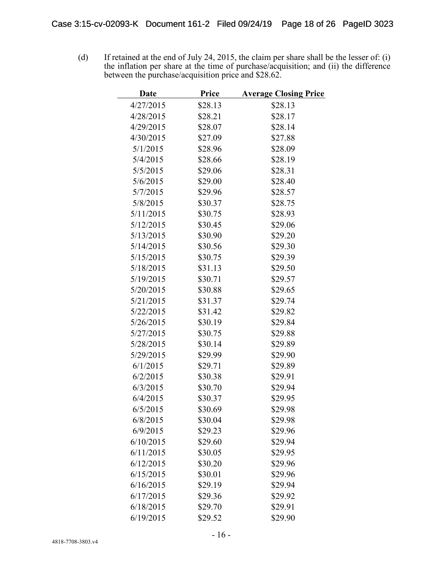(d) If retained at the end of July 24, 2015, the claim per share shall be the lesser of: (i) the inflation per share at the time of purchase/acquisition; and (ii) the difference between the purchase/acquisition price and \$28.62.

| Date      | Price   | <b>Average Closing Price</b> |
|-----------|---------|------------------------------|
| 4/27/2015 | \$28.13 | \$28.13                      |
| 4/28/2015 | \$28.21 | \$28.17                      |
| 4/29/2015 | \$28.07 | \$28.14                      |
| 4/30/2015 | \$27.09 | \$27.88                      |
| 5/1/2015  | \$28.96 | \$28.09                      |
| 5/4/2015  | \$28.66 | \$28.19                      |
| 5/5/2015  | \$29.06 | \$28.31                      |
| 5/6/2015  | \$29.00 | \$28.40                      |
| 5/7/2015  | \$29.96 | \$28.57                      |
| 5/8/2015  | \$30.37 | \$28.75                      |
| 5/11/2015 | \$30.75 | \$28.93                      |
| 5/12/2015 | \$30.45 | \$29.06                      |
| 5/13/2015 | \$30.90 | \$29.20                      |
| 5/14/2015 | \$30.56 | \$29.30                      |
| 5/15/2015 | \$30.75 | \$29.39                      |
| 5/18/2015 | \$31.13 | \$29.50                      |
| 5/19/2015 | \$30.71 | \$29.57                      |
| 5/20/2015 | \$30.88 | \$29.65                      |
| 5/21/2015 | \$31.37 | \$29.74                      |
| 5/22/2015 | \$31.42 | \$29.82                      |
| 5/26/2015 | \$30.19 | \$29.84                      |
| 5/27/2015 | \$30.75 | \$29.88                      |
| 5/28/2015 | \$30.14 | \$29.89                      |
| 5/29/2015 | \$29.99 | \$29.90                      |
| 6/1/2015  | \$29.71 | \$29.89                      |
| 6/2/2015  | \$30.38 | \$29.91                      |
| 6/3/2015  | \$30.70 | \$29.94                      |
| 6/4/2015  | \$30.37 | \$29.95                      |
| 6/5/2015  | \$30.69 | \$29.98                      |
| 6/8/2015  | \$30.04 | \$29.98                      |
| 6/9/2015  | \$29.23 | \$29.96                      |
| 6/10/2015 | \$29.60 | \$29.94                      |
| 6/11/2015 | \$30.05 | \$29.95                      |
| 6/12/2015 | \$30.20 | \$29.96                      |
| 6/15/2015 | \$30.01 | \$29.96                      |
| 6/16/2015 | \$29.19 | \$29.94                      |
| 6/17/2015 | \$29.36 | \$29.92                      |
| 6/18/2015 | \$29.70 | \$29.91                      |
| 6/19/2015 | \$29.52 | \$29.90                      |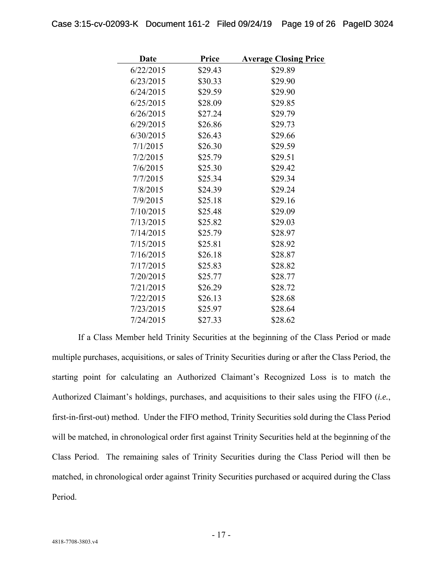| <b>Date</b> | Price   | <b>Average Closing Price</b> |
|-------------|---------|------------------------------|
| 6/22/2015   | \$29.43 | \$29.89                      |
| 6/23/2015   | \$30.33 | \$29.90                      |
| 6/24/2015   | \$29.59 | \$29.90                      |
| 6/25/2015   | \$28.09 | \$29.85                      |
| 6/26/2015   | \$27.24 | \$29.79                      |
| 6/29/2015   | \$26.86 | \$29.73                      |
| 6/30/2015   | \$26.43 | \$29.66                      |
| 7/1/2015    | \$26.30 | \$29.59                      |
| 7/2/2015    | \$25.79 | \$29.51                      |
| 7/6/2015    | \$25.30 | \$29.42                      |
| 7/7/2015    | \$25.34 | \$29.34                      |
| 7/8/2015    | \$24.39 | \$29.24                      |
| 7/9/2015    | \$25.18 | \$29.16                      |
| 7/10/2015   | \$25.48 | \$29.09                      |
| 7/13/2015   | \$25.82 | \$29.03                      |
| 7/14/2015   | \$25.79 | \$28.97                      |
| 7/15/2015   | \$25.81 | \$28.92                      |
| 7/16/2015   | \$26.18 | \$28.87                      |
| 7/17/2015   | \$25.83 | \$28.82                      |
| 7/20/2015   | \$25.77 | \$28.77                      |
| 7/21/2015   | \$26.29 | \$28.72                      |
| 7/22/2015   | \$26.13 | \$28.68                      |
| 7/23/2015   | \$25.97 | \$28.64                      |
| 7/24/2015   | \$27.33 | \$28.62                      |

If a Class Member held Trinity Securities at the beginning of the Class Period or made multiple purchases, acquisitions, or sales of Trinity Securities during or after the Class Period, the starting point for calculating an Authorized Claimant's Recognized Loss is to match the Authorized Claimant's holdings, purchases, and acquisitions to their sales using the FIFO (*i.e.*, first-in-first-out) method. Under the FIFO method, Trinity Securities sold during the Class Period will be matched, in chronological order first against Trinity Securities held at the beginning of the Class Period. The remaining sales of Trinity Securities during the Class Period will then be matched, in chronological order against Trinity Securities purchased or acquired during the Class Period.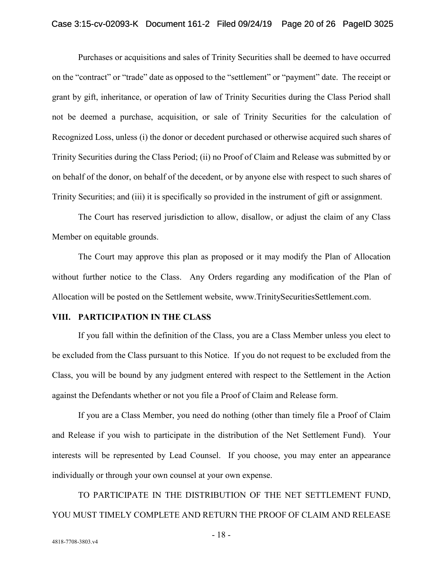Purchases or acquisitions and sales of Trinity Securities shall be deemed to have occurred on the "contract" or "trade" date as opposed to the "settlement" or "payment" date. The receipt or grant by gift, inheritance, or operation of law of Trinity Securities during the Class Period shall not be deemed a purchase, acquisition, or sale of Trinity Securities for the calculation of Recognized Loss, unless (i) the donor or decedent purchased or otherwise acquired such shares of Trinity Securities during the Class Period; (ii) no Proof of Claim and Release was submitted by or on behalf of the donor, on behalf of the decedent, or by anyone else with respect to such shares of Trinity Securities; and (iii) it is specifically so provided in the instrument of gift or assignment.

The Court has reserved jurisdiction to allow, disallow, or adjust the claim of any Class Member on equitable grounds.

The Court may approve this plan as proposed or it may modify the Plan of Allocation without further notice to the Class. Any Orders regarding any modification of the Plan of Allocation will be posted on the Settlement website, www.TrinitySecuritiesSettlement.com.

## **VIII. PARTICIPATION IN THE CLASS**

If you fall within the definition of the Class, you are a Class Member unless you elect to be excluded from the Class pursuant to this Notice. If you do not request to be excluded from the Class, you will be bound by any judgment entered with respect to the Settlement in the Action against the Defendants whether or not you file a Proof of Claim and Release form.

If you are a Class Member, you need do nothing (other than timely file a Proof of Claim and Release if you wish to participate in the distribution of the Net Settlement Fund). Your interests will be represented by Lead Counsel. If you choose, you may enter an appearance individually or through your own counsel at your own expense.

TO PARTICIPATE IN THE DISTRIBUTION OF THE NET SETTLEMENT FUND, YOU MUST TIMELY COMPLETE AND RETURN THE PROOF OF CLAIM AND RELEASE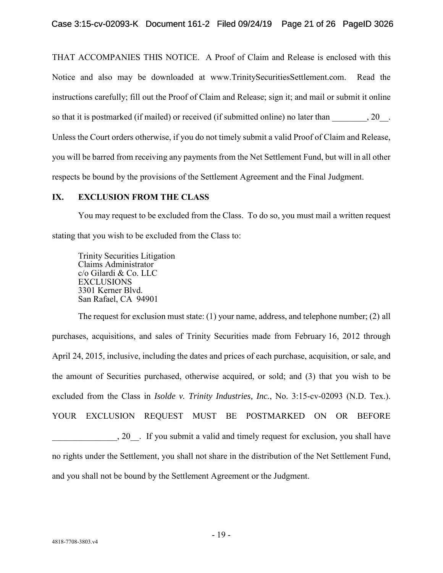THAT ACCOMPANIES THIS NOTICE. A Proof of Claim and Release is enclosed with this Notice and also may be downloaded at www.TrinitySecuritiesSettlement.com. Read the instructions carefully; fill out the Proof of Claim and Release; sign it; and mail or submit it online so that it is postmarked (if mailed) or received (if submitted online) no later than  $\qquad \qquad , 20$ . Unless the Court orders otherwise, if you do not timely submit a valid Proof of Claim and Release, you will be barred from receiving any payments from the Net Settlement Fund, but will in all other respects be bound by the provisions of the Settlement Agreement and the Final Judgment.

## **IX. EXCLUSION FROM THE CLASS**

You may request to be excluded from the Class. To do so, you must mail a written request stating that you wish to be excluded from the Class to:

Trinity Securities Litigation Claims Administrator c/o Gilardi & Co. LLC EXCLUSIONS 3301 Kerner Blvd. San Rafael, CA 94901

The request for exclusion must state: (1) your name, address, and telephone number; (2) all purchases, acquisitions, and sales of Trinity Securities made from February 16, 2012 through April 24, 2015, inclusive, including the dates and prices of each purchase, acquisition, or sale, and the amount of Securities purchased, otherwise acquired, or sold; and (3) that you wish to be excluded from the Class in *Isolde v. Trinity Industries, Inc.*, No. 3:15-cv-02093 (N.D. Tex.). YOUR EXCLUSION REQUEST MUST BE POSTMARKED ON OR BEFORE , 20. If you submit a valid and timely request for exclusion, you shall have no rights under the Settlement, you shall not share in the distribution of the Net Settlement Fund, and you shall not be bound by the Settlement Agreement or the Judgment.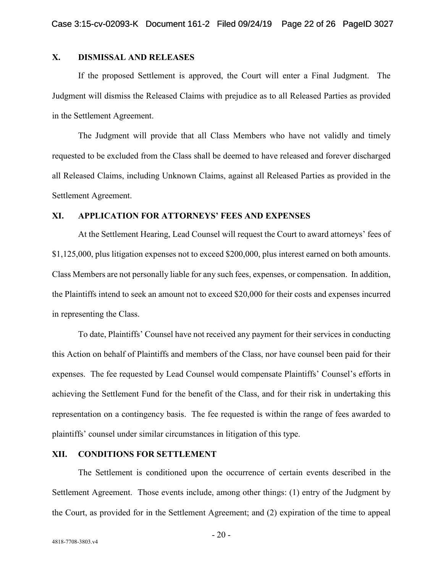# **X. DISMISSAL AND RELEASES**

If the proposed Settlement is approved, the Court will enter a Final Judgment. The Judgment will dismiss the Released Claims with prejudice as to all Released Parties as provided in the Settlement Agreement.

The Judgment will provide that all Class Members who have not validly and timely requested to be excluded from the Class shall be deemed to have released and forever discharged all Released Claims, including Unknown Claims, against all Released Parties as provided in the Settlement Agreement.

#### **XI. APPLICATION FOR ATTORNEYS' FEES AND EXPENSES**

At the Settlement Hearing, Lead Counsel will request the Court to award attorneys' fees of \$1,125,000, plus litigation expenses not to exceed \$200,000, plus interest earned on both amounts. Class Members are not personally liable for any such fees, expenses, or compensation. In addition, the Plaintiffs intend to seek an amount not to exceed \$20,000 for their costs and expenses incurred in representing the Class.

To date, Plaintiffs' Counsel have not received any payment for their services in conducting this Action on behalf of Plaintiffs and members of the Class, nor have counsel been paid for their expenses. The fee requested by Lead Counsel would compensate Plaintiffs' Counsel's efforts in achieving the Settlement Fund for the benefit of the Class, and for their risk in undertaking this representation on a contingency basis. The fee requested is within the range of fees awarded to plaintiffs' counsel under similar circumstances in litigation of this type.

### **XII. CONDITIONS FOR SETTLEMENT**

The Settlement is conditioned upon the occurrence of certain events described in the Settlement Agreement. Those events include, among other things: (1) entry of the Judgment by the Court, as provided for in the Settlement Agreement; and (2) expiration of the time to appeal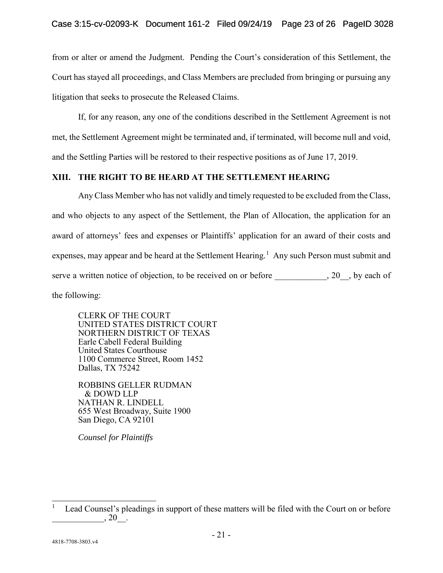from or alter or amend the Judgment. Pending the Court's consideration of this Settlement, the Court has stayed all proceedings, and Class Members are precluded from bringing or pursuing any litigation that seeks to prosecute the Released Claims.

If, for any reason, any one of the conditions described in the Settlement Agreement is not met, the Settlement Agreement might be terminated and, if terminated, will become null and void, and the Settling Parties will be restored to their respective positions as of June 17, 2019.

# **XIII. THE RIGHT TO BE HEARD AT THE SETTLEMENT HEARING**

Any Class Member who has not validly and timely requested to be excluded from the Class, and who objects to any aspect of the Settlement, the Plan of Allocation, the application for an award of attorneys' fees and expenses or Plaintiffs' application for an award of their costs and expenses, may appear and be heard at the Settlement Hearing.<sup>[1](#page-73-0)</sup> Any such Person must submit and serve a written notice of objection, to be received on or before  $\qquad \qquad , 20$ , by each of the following:

CLERK OF THE COURT UNITED STATES DISTRICT COURT NORTHERN DISTRICT OF TEXAS Earle Cabell Federal Building United States Courthouse 1100 Commerce Street, Room 1452 Dallas, TX 75242

ROBBINS GELLER RUDMAN & DOWD LLP NATHAN R. LINDELL 655 West Broadway, Suite 1900 San Diego, CA 92101

*Counsel for Plaintiffs*

<span id="page-73-0"></span> $\frac{1}{1}$  Lead Counsel's pleadings in support of these matters will be filed with the Court on or before  $, 20$ .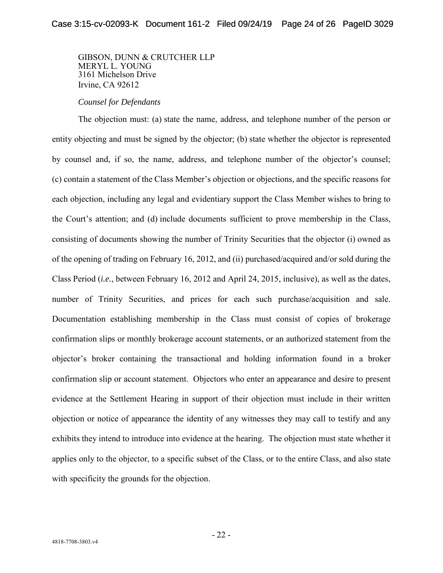GIBSON, DUNN & CRUTCHER LLP MERYL L. YOUNG 3161 Michelson Drive Irvine, CA 92612

#### *Counsel for Defendants*

The objection must: (a) state the name, address, and telephone number of the person or entity objecting and must be signed by the objector; (b) state whether the objector is represented by counsel and, if so, the name, address, and telephone number of the objector's counsel; (c) contain a statement of the Class Member's objection or objections, and the specific reasons for each objection, including any legal and evidentiary support the Class Member wishes to bring to the Court's attention; and (d) include documents sufficient to prove membership in the Class, consisting of documents showing the number of Trinity Securities that the objector (i) owned as of the opening of trading on February 16, 2012, and (ii) purchased/acquired and/or sold during the Class Period (*i.e.*, between February 16, 2012 and April 24, 2015, inclusive), as well as the dates, number of Trinity Securities, and prices for each such purchase/acquisition and sale. Documentation establishing membership in the Class must consist of copies of brokerage confirmation slips or monthly brokerage account statements, or an authorized statement from the objector's broker containing the transactional and holding information found in a broker confirmation slip or account statement. Objectors who enter an appearance and desire to present evidence at the Settlement Hearing in support of their objection must include in their written objection or notice of appearance the identity of any witnesses they may call to testify and any exhibits they intend to introduce into evidence at the hearing. The objection must state whether it applies only to the objector, to a specific subset of the Class, or to the entire Class, and also state with specificity the grounds for the objection.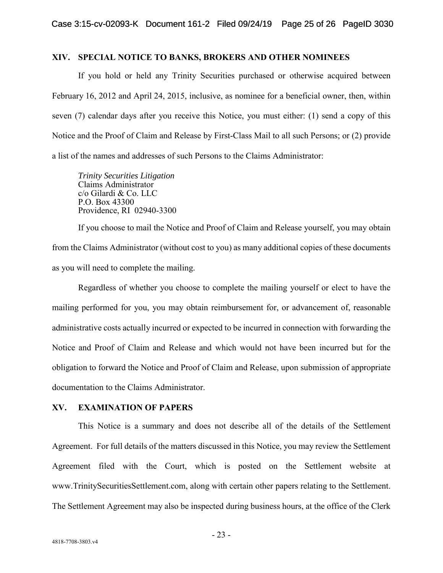# **XIV. SPECIAL NOTICE TO BANKS, BROKERS AND OTHER NOMINEES**

If you hold or held any Trinity Securities purchased or otherwise acquired between February 16, 2012 and April 24, 2015, inclusive, as nominee for a beneficial owner, then, within seven (7) calendar days after you receive this Notice, you must either: (1) send a copy of this Notice and the Proof of Claim and Release by First-Class Mail to all such Persons; or (2) provide a list of the names and addresses of such Persons to the Claims Administrator:

*Trinity Securities Litigation* Claims Administrator c/o Gilardi & Co. LLC P.O. Box 43300 Providence, RI 02940-3300

If you choose to mail the Notice and Proof of Claim and Release yourself, you may obtain from the Claims Administrator (without cost to you) as many additional copies of these documents as you will need to complete the mailing.

Regardless of whether you choose to complete the mailing yourself or elect to have the mailing performed for you, you may obtain reimbursement for, or advancement of, reasonable administrative costs actually incurred or expected to be incurred in connection with forwarding the Notice and Proof of Claim and Release and which would not have been incurred but for the obligation to forward the Notice and Proof of Claim and Release, upon submission of appropriate documentation to the Claims Administrator.

#### **XV. EXAMINATION OF PAPERS**

This Notice is a summary and does not describe all of the details of the Settlement Agreement. For full details of the matters discussed in this Notice, you may review the Settlement Agreement filed with the Court, which is posted on the Settlement website at www.TrinitySecuritiesSettlement.com, along with certain other papers relating to the Settlement. The Settlement Agreement may also be inspected during business hours, at the office of the Clerk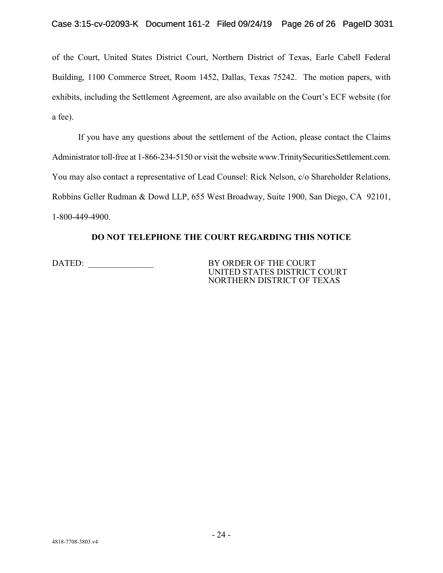of the Court, United States District Court, Northern District of Texas, Earle Cabell Federal Building, 1100 Commerce Street, Room 1452, Dallas, Texas 75242. The motion papers, with exhibits, including the Settlement Agreement, are also available on the Court's ECF website (for a fee).

If you have any questions about the settlement of the Action, please contact the Claims Administrator toll-free at 1-866-234-5150 or visit the website www.TrinitySecuritiesSettlement.com. You may also contact a representative of Lead Counsel: Rick Nelson, c/o Shareholder Relations, Robbins Geller Rudman & Dowd LLP, 655 West Broadway, Suite 1900, San Diego, CA 92101, 1-800-449-4900.

# **DO NOT TELEPHONE THE COURT REGARDING THIS NOTICE**

DATED: BY ORDER OF THE COURT

UNITED STATES DISTRICT COURT NORTHERN DISTRICT OF TEXAS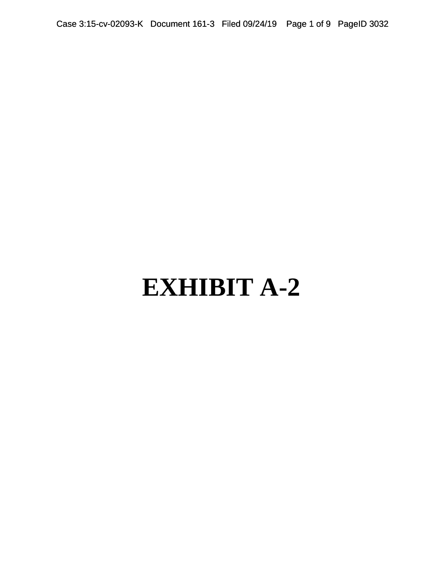# **EXHIBIT A-2**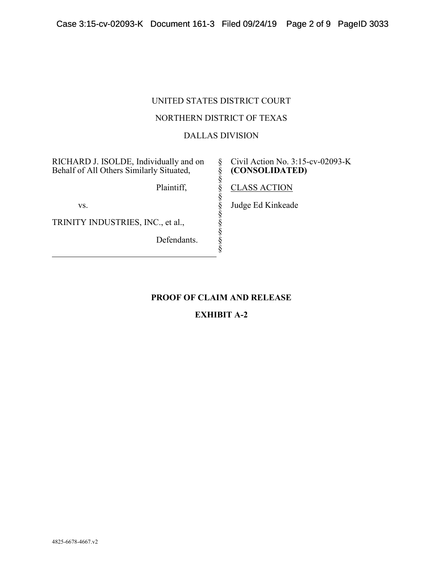# UNITED STATES DISTRICT COURT

# NORTHERN DISTRICT OF TEXAS

# DALLAS DIVISION

§ § § § § § § § § § §

RICHARD J. ISOLDE, Individually and on Behalf of All Others Similarly Situated,

Plaintiff,

vs.

TRINITY INDUSTRIES, INC., et al.,

Defendants.

Civil Action No. 3:15-cv-02093-K **(CONSOLIDATED)**

CLASS ACTION

Judge Ed Kinkeade

# **PROOF OF CLAIM AND RELEASE**

# **EXHIBIT A-2**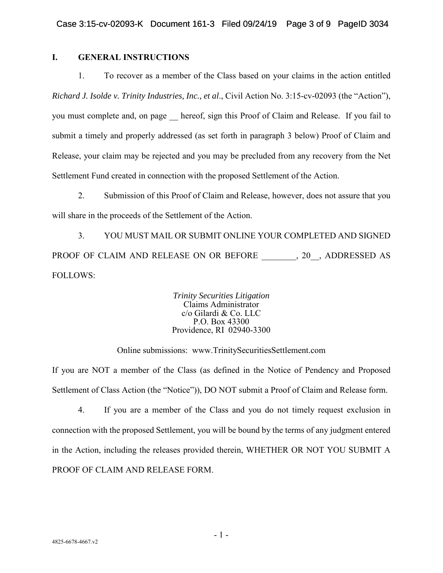# **I. GENERAL INSTRUCTIONS**

1. To recover as a member of the Class based on your claims in the action entitled *Richard J. Isolde v. Trinity Industries, Inc., et al*., Civil Action No. 3:15-cv-02093 (the "Action"), you must complete and, on page hereof, sign this Proof of Claim and Release. If you fail to submit a timely and properly addressed (as set forth in paragraph 3 below) Proof of Claim and Release, your claim may be rejected and you may be precluded from any recovery from the Net Settlement Fund created in connection with the proposed Settlement of the Action.

2. Submission of this Proof of Claim and Release, however, does not assure that you will share in the proceeds of the Settlement of the Action.

3. YOU MUST MAIL OR SUBMIT ONLINE YOUR COMPLETED AND SIGNED PROOF OF CLAIM AND RELEASE ON OR BEFORE  $\,$ , 20 $\,$ , ADDRESSED AS FOLLOWS:

> *Trinity Securities Litigation* Claims Administrator c/o Gilardi & Co. LLC P.O. Box 43300 Providence, RI 02940-3300

Online submissions: www.TrinitySecuritiesSettlement.com

If you are NOT a member of the Class (as defined in the Notice of Pendency and Proposed Settlement of Class Action (the "Notice")), DO NOT submit a Proof of Claim and Release form.

4. If you are a member of the Class and you do not timely request exclusion in connection with the proposed Settlement, you will be bound by the terms of any judgment entered in the Action, including the releases provided therein, WHETHER OR NOT YOU SUBMIT A PROOF OF CLAIM AND RELEASE FORM.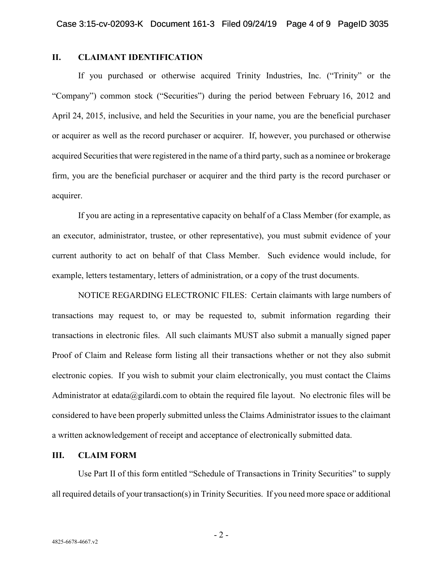# **II. CLAIMANT IDENTIFICATION**

If you purchased or otherwise acquired Trinity Industries, Inc. ("Trinity" or the "Company") common stock ("Securities") during the period between February 16, 2012 and April 24, 2015, inclusive, and held the Securities in your name, you are the beneficial purchaser or acquirer as well as the record purchaser or acquirer. If, however, you purchased or otherwise acquired Securities that were registered in the name of a third party, such as a nominee or brokerage firm, you are the beneficial purchaser or acquirer and the third party is the record purchaser or acquirer.

If you are acting in a representative capacity on behalf of a Class Member (for example, as an executor, administrator, trustee, or other representative), you must submit evidence of your current authority to act on behalf of that Class Member. Such evidence would include, for example, letters testamentary, letters of administration, or a copy of the trust documents.

NOTICE REGARDING ELECTRONIC FILES: Certain claimants with large numbers of transactions may request to, or may be requested to, submit information regarding their transactions in electronic files. All such claimants MUST also submit a manually signed paper Proof of Claim and Release form listing all their transactions whether or not they also submit electronic copies. If you wish to submit your claim electronically, you must contact the Claims Administrator at edata@gilardi.com to obtain the required file layout. No electronic files will be considered to have been properly submitted unless the Claims Administrator issues to the claimant a written acknowledgement of receipt and acceptance of electronically submitted data.

#### **III. CLAIM FORM**

Use Part II of this form entitled "Schedule of Transactions in Trinity Securities" to supply all required details of your transaction(s) in Trinity Securities. If you need more space or additional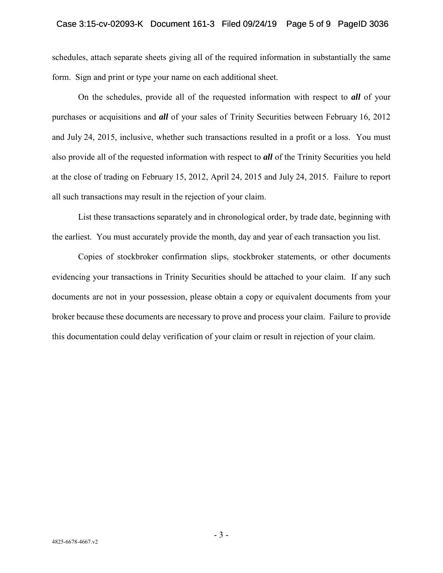schedules, attach separate sheets giving all of the required information in substantially the same form. Sign and print or type your name on each additional sheet.

On the schedules, provide all of the requested information with respect to *all* of your purchases or acquisitions and *all* of your sales of Trinity Securities between February 16, 2012 and July 24, 2015, inclusive, whether such transactions resulted in a profit or a loss. You must also provide all of the requested information with respect to *all* of the Trinity Securities you held at the close of trading on February 15, 2012, April 24, 2015 and July 24, 2015. Failure to report all such transactions may result in the rejection of your claim.

List these transactions separately and in chronological order, by trade date, beginning with the earliest. You must accurately provide the month, day and year of each transaction you list.

Copies of stockbroker confirmation slips, stockbroker statements, or other documents evidencing your transactions in Trinity Securities should be attached to your claim. If any such documents are not in your possession, please obtain a copy or equivalent documents from your broker because these documents are necessary to prove and process your claim. Failure to provide this documentation could delay verification of your claim or result in rejection of your claim.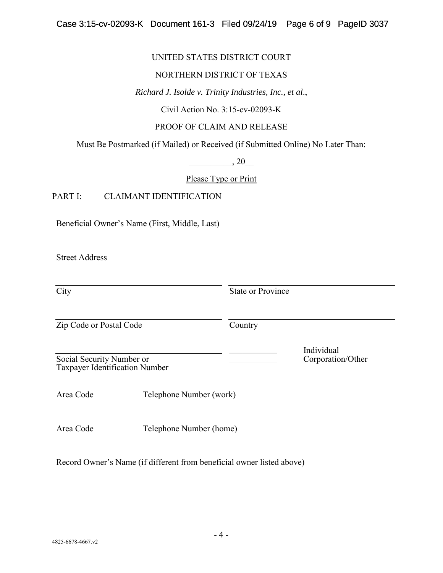# UNITED STATES DISTRICT COURT

#### NORTHERN DISTRICT OF TEXAS

*Richard J. Isolde v. Trinity Industries, Inc., et al*.,

Civil Action No. 3:15-cv-02093-K

# PROOF OF CLAIM AND RELEASE

Must Be Postmarked (if Mailed) or Received (if Submitted Online) No Later Than:

 $, 20$ 

Please Type or Print

# PART I: CLAIMANT IDENTIFICATION

Beneficial Owner's Name (First, Middle, Last)

Street Address

| City<br>Zip Code or Postal Code                             |                         |         | <b>State or Province</b>        |  |
|-------------------------------------------------------------|-------------------------|---------|---------------------------------|--|
|                                                             |                         | Country |                                 |  |
| Social Security Number or<br>Taxpayer Identification Number |                         |         | Individual<br>Corporation/Other |  |
| Area Code                                                   | Telephone Number (work) |         |                                 |  |
| Area Code                                                   | Telephone Number (home) |         |                                 |  |

Record Owner's Name (if different from beneficial owner listed above)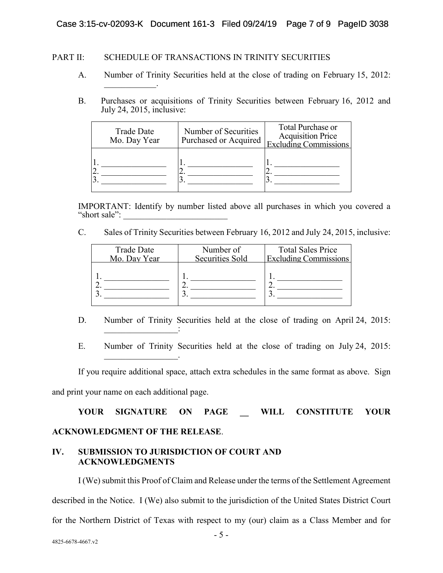#### PART II: SCHEDULE OF TRANSACTIONS IN TRINITY SECURITIES

 $\overline{\phantom{a}}$ 

- A. Number of Trinity Securities held at the close of trading on February 15, 2012:
- B. Purchases or acquisitions of Trinity Securities between February 16, 2012 and July 24, 2015, inclusive:

| Trade Date<br>Mo. Day Year | Number of Securities<br>Purchased or Acquired | Total Purchase or<br><b>Acquisition Price</b><br>Excluding Commissions |
|----------------------------|-----------------------------------------------|------------------------------------------------------------------------|
|                            |                                               |                                                                        |

IMPORTANT: Identify by number listed above all purchases in which you covered a "short sale":

C. Sales of Trinity Securities between February 16, 2012 and July 24, 2015, inclusive:

| <b>Trade Date</b> | Number of       | <b>Total Sales Price</b>     |
|-------------------|-----------------|------------------------------|
| Mo. Day Year      | Securities Sold | <b>Excluding Commissions</b> |
|                   |                 |                              |

D. Number of Trinity Securities held at the close of trading on April 24, 2015:  $\frac{1}{2}$ 

E. Number of Trinity Securities held at the close of trading on July 24, 2015:

If you require additional space, attach extra schedules in the same format as above. Sign and print your name on each additional page.

**YOUR SIGNATURE ON PAGE \_\_ WILL CONSTITUTE YOUR ACKNOWLEDGMENT OF THE RELEASE**.

# **IV. SUBMISSION TO JURISDICTION OF COURT AND ACKNOWLEDGMENTS**

 $\mathcal{L}_\text{max}$  . The set of the set of the set of the set of the set of the set of the set of the set of the set of the set of the set of the set of the set of the set of the set of the set of the set of the set of the set

I (We) submit this Proof of Claim and Release under the terms of the Settlement Agreement described in the Notice. I (We) also submit to the jurisdiction of the United States District Court for the Northern District of Texas with respect to my (our) claim as a Class Member and for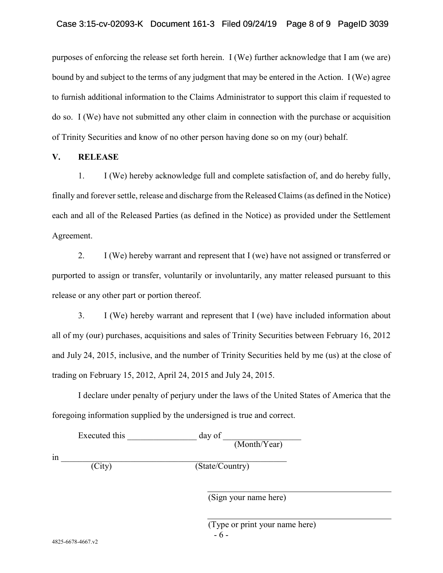purposes of enforcing the release set forth herein. I (We) further acknowledge that I am (we are) bound by and subject to the terms of any judgment that may be entered in the Action. I (We) agree to furnish additional information to the Claims Administrator to support this claim if requested to do so. I (We) have not submitted any other claim in connection with the purchase or acquisition of Trinity Securities and know of no other person having done so on my (our) behalf.

#### **V. RELEASE**

1. I (We) hereby acknowledge full and complete satisfaction of, and do hereby fully, finally and forever settle, release and discharge from the Released Claims (as defined in the Notice) each and all of the Released Parties (as defined in the Notice) as provided under the Settlement Agreement.

2. I (We) hereby warrant and represent that I (we) have not assigned or transferred or purported to assign or transfer, voluntarily or involuntarily, any matter released pursuant to this release or any other part or portion thereof.

3. I (We) hereby warrant and represent that I (we) have included information about all of my (our) purchases, acquisitions and sales of Trinity Securities between February 16, 2012 and July 24, 2015, inclusive, and the number of Trinity Securities held by me (us) at the close of trading on February 15, 2012, April 24, 2015 and July 24, 2015.

I declare under penalty of perjury under the laws of the United States of America that the foregoing information supplied by the undersigned is true and correct.

|               | Executed this | day of          |  |
|---------------|---------------|-----------------|--|
|               | (Month/Year)  |                 |  |
| $\cdot$<br>1n |               |                 |  |
| (City)        |               | (State/Country) |  |

(Sign your name here)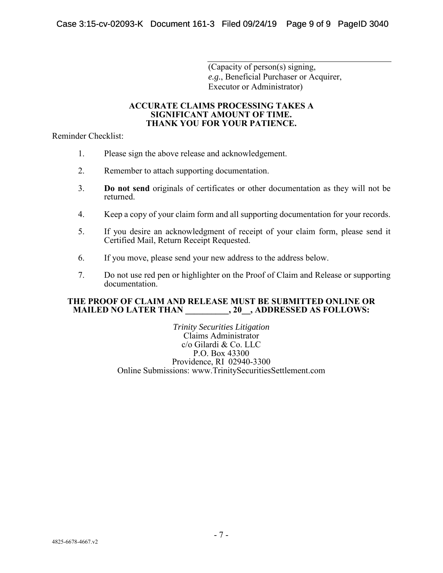(Capacity of person(s) signing, *e.g.*, Beneficial Purchaser or Acquirer, Executor or Administrator)

#### **ACCURATE CLAIMS PROCESSING TAKES A SIGNIFICANT AMOUNT OF TIME. THANK YOU FOR YOUR PATIENCE.**

Reminder Checklist:

- 1. Please sign the above release and acknowledgement.
- 2. Remember to attach supporting documentation.
- 3. **Do not send** originals of certificates or other documentation as they will not be returned.
- 4. Keep a copy of your claim form and all supporting documentation for your records.
- 5. If you desire an acknowledgment of receipt of your claim form, please send it Certified Mail, Return Receipt Requested.
- 6. If you move, please send your new address to the address below.
- 7. Do not use red pen or highlighter on the Proof of Claim and Release or supporting documentation.

#### **THE PROOF OF CLAIM AND RELEASE MUST BE SUBMITTED ONLINE OR MAILED NO LATER THAN \_\_\_\_\_\_\_\_\_\_, 20\_\_, ADDRESSED AS FOLLOWS:**

*Trinity Securities Litigation* Claims Administrator c/o Gilardi & Co. LLC P.O. Box 43300 Providence, RI 02940-3300 Online Submissions: www.TrinitySecuritiesSettlement.com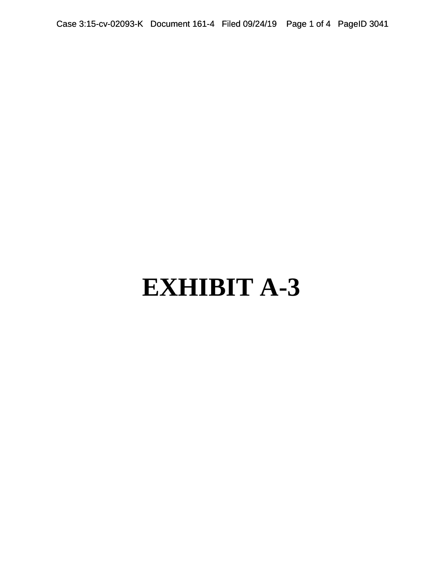Case 3:15-cv-02093-K Document 161-4 Filed 09/24/19 Page 1 of 4 PageID 3041

# **EXHIBIT A-3**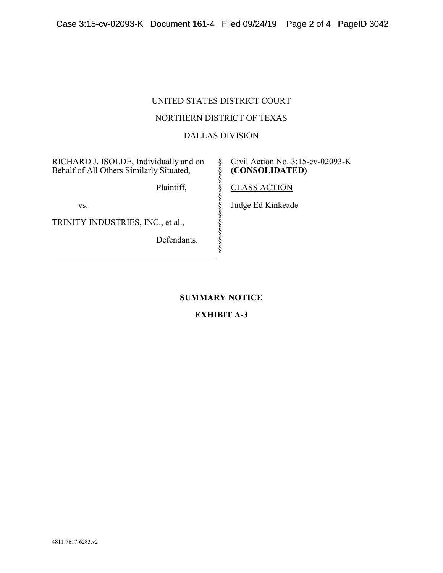# UNITED STATES DISTRICT COURT

# NORTHERN DISTRICT OF TEXAS

# DALLAS DIVISION

§ § § § § § § § § § §

RICHARD J. ISOLDE, Individually and on Behalf of All Others Similarly Situated,

Plaintiff,

vs.

TRINITY INDUSTRIES, INC., et al.,

Defendants.

Civil Action No. 3:15-cv-02093-K **(CONSOLIDATED)**

CLASS ACTION

Judge Ed Kinkeade

**SUMMARY NOTICE**

**EXHIBIT A-3**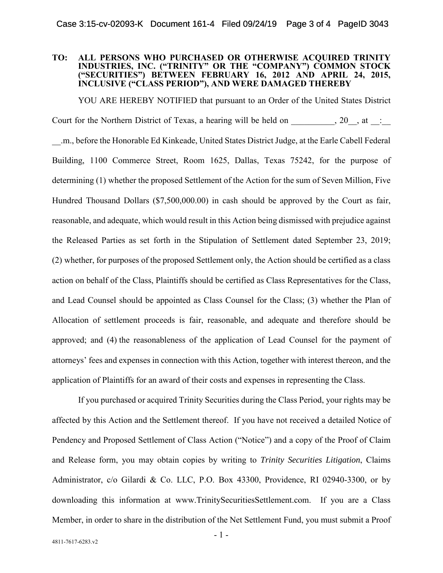#### **TO: ALL PERSONS WHO PURCHASED OR OTHERWISE ACQUIRED TRINITY INDUSTRIES, INC. ("TRINITY" OR THE "COMPANY") COMMON STOCK ("SECURITIES") BETWEEN FEBRUARY 16, 2012 AND APRIL 24, 2015, INCLUSIVE ("CLASS PERIOD"), AND WERE DAMAGED THEREBY**

YOU ARE HEREBY NOTIFIED that pursuant to an Order of the United States District Court for the Northern District of Texas, a hearing will be held on  $\qquad \qquad , 20$ , at  $\qquad$ : \_\_.m., before the Honorable Ed Kinkeade, United States District Judge, at the Earle Cabell Federal Building, 1100 Commerce Street, Room 1625, Dallas, Texas 75242, for the purpose of determining (1) whether the proposed Settlement of the Action for the sum of Seven Million, Five Hundred Thousand Dollars (\$7,500,000.00) in cash should be approved by the Court as fair, reasonable, and adequate, which would result in this Action being dismissed with prejudice against the Released Parties as set forth in the Stipulation of Settlement dated September 23, 2019; (2) whether, for purposes of the proposed Settlement only, the Action should be certified as a class action on behalf of the Class, Plaintiffs should be certified as Class Representatives for the Class, and Lead Counsel should be appointed as Class Counsel for the Class; (3) whether the Plan of Allocation of settlement proceeds is fair, reasonable, and adequate and therefore should be approved; and (4) the reasonableness of the application of Lead Counsel for the payment of attorneys' fees and expenses in connection with this Action, together with interest thereon, and the application of Plaintiffs for an award of their costs and expenses in representing the Class.

If you purchased or acquired Trinity Securities during the Class Period, your rights may be affected by this Action and the Settlement thereof. If you have not received a detailed Notice of Pendency and Proposed Settlement of Class Action ("Notice") and a copy of the Proof of Claim and Release form, you may obtain copies by writing to *Trinity Securities Litigation*, Claims Administrator, c/o Gilardi & Co. LLC, P.O. Box 43300, Providence, RI 02940-3300, or by downloading this information at www.TrinitySecuritiesSettlement.com. If you are a Class Member, in order to share in the distribution of the Net Settlement Fund, you must submit a Proof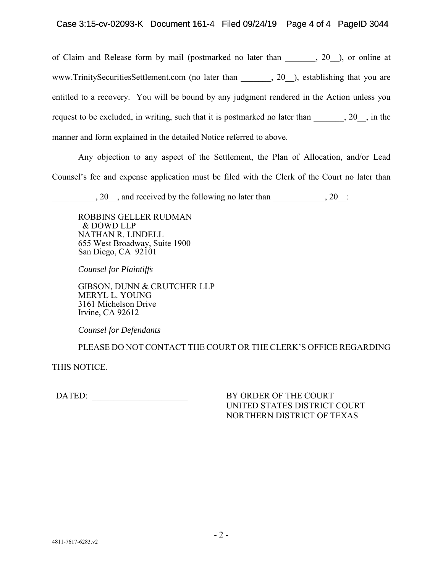of Claim and Release form by mail (postmarked no later than  $\qquad$ , 20, ), or online at www.TrinitySecuritiesSettlement.com (no later than  $\qquad \qquad , 20$ ), establishing that you are entitled to a recovery. You will be bound by any judgment rendered in the Action unless you request to be excluded, in writing, such that it is postmarked no later than  $\qquad \qquad , 20$ , in the manner and form explained in the detailed Notice referred to above.

Any objection to any aspect of the Settlement, the Plan of Allocation, and/or Lead Counsel's fee and expense application must be filed with the Clerk of the Court no later than

 $20$ , and received by the following no later than  $20$ :

ROBBINS GELLER RUDMAN & DOWD LLP NATHAN R. LINDELL 655 West Broadway, Suite 1900 San Diego, CA 92101

*Counsel for Plaintiffs*

GIBSON, DUNN & CRUTCHER LLP MERYL L. YOUNG 3161 Michelson Drive Irvine, CA 92612

*Counsel for Defendants* 

PLEASE DO NOT CONTACT THE COURT OR THE CLERK'S OFFICE REGARDING

THIS NOTICE.

DATED: \_\_\_\_\_\_\_\_\_\_\_\_\_\_\_\_\_\_\_\_\_\_ BY ORDER OF THE COURT

UNITED STATES DISTRICT COURT NORTHERN DISTRICT OF TEXAS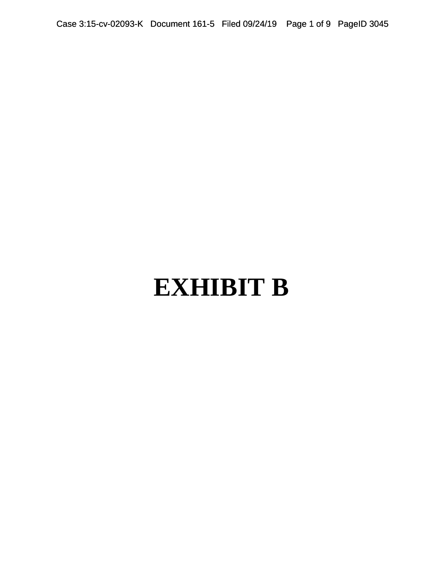# **EXHIBIT B**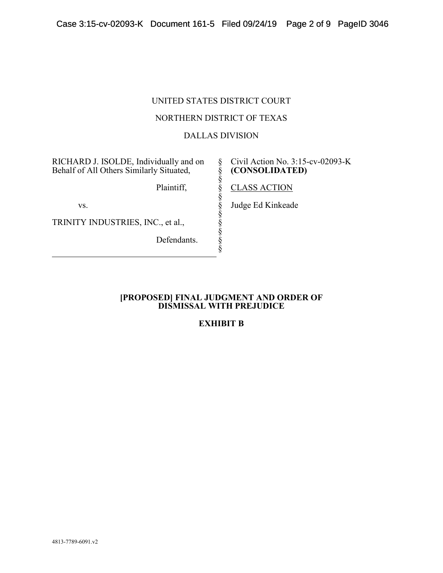# UNITED STATES DISTRICT COURT

# NORTHERN DISTRICT OF TEXAS

### DALLAS DIVISION

§ § § § § § § § § § §

RICHARD J. ISOLDE, Individually and on Behalf of All Others Similarly Situated,

Plaintiff,

Civil Action No. 3:15-cv-02093-K **(CONSOLIDATED)**

vs.

TRINITY INDUSTRIES, INC., et al.,

Defendants.

# CLASS ACTION

Judge Ed Kinkeade

# **[PROPOSED] FINAL JUDGMENT AND ORDER OF DISMISSAL WITH PREJUDICE**

# **EXHIBIT B**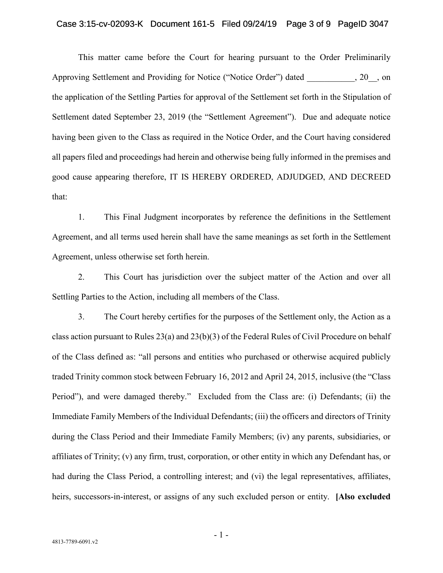#### Case 3:15-cv-02093-K Document 161-5 Filed 09/24/19 Page 3 of 9 PageID 3047

This matter came before the Court for hearing pursuant to the Order Preliminarily Approving Settlement and Providing for Notice ("Notice Order") dated . 20, on the application of the Settling Parties for approval of the Settlement set forth in the Stipulation of Settlement dated September 23, 2019 (the "Settlement Agreement"). Due and adequate notice having been given to the Class as required in the Notice Order, and the Court having considered all papers filed and proceedings had herein and otherwise being fully informed in the premises and good cause appearing therefore, IT IS HEREBY ORDERED, ADJUDGED, AND DECREED that:

1. This Final Judgment incorporates by reference the definitions in the Settlement Agreement, and all terms used herein shall have the same meanings as set forth in the Settlement Agreement, unless otherwise set forth herein.

2. This Court has jurisdiction over the subject matter of the Action and over all Settling Parties to the Action, including all members of the Class.

3. The Court hereby certifies for the purposes of the Settlement only, the Action as a class action pursuant to Rules  $23(a)$  and  $23(b)(3)$  of the Federal Rules of Civil Procedure on behalf of the Class defined as: "all persons and entities who purchased or otherwise acquired publicly traded Trinity common stock between February 16, 2012 and April 24, 2015, inclusive (the "Class Period"), and were damaged thereby." Excluded from the Class are: (i) Defendants; (ii) the Immediate Family Members of the Individual Defendants; (iii) the officers and directors of Trinity during the Class Period and their Immediate Family Members; (iv) any parents, subsidiaries, or affiliates of Trinity; (v) any firm, trust, corporation, or other entity in which any Defendant has, or had during the Class Period, a controlling interest; and (vi) the legal representatives, affiliates, heirs, successors-in-interest, or assigns of any such excluded person or entity. **[Also excluded** 

- 1 -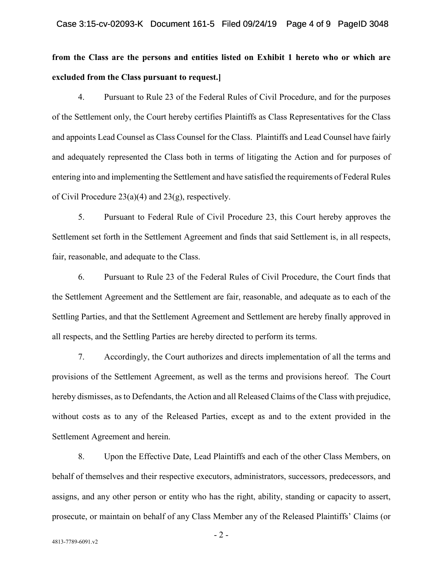**from the Class are the persons and entities listed on Exhibit 1 hereto who or which are excluded from the Class pursuant to request.]**

4. Pursuant to Rule 23 of the Federal Rules of Civil Procedure, and for the purposes of the Settlement only, the Court hereby certifies Plaintiffs as Class Representatives for the Class and appoints Lead Counsel as Class Counsel for the Class. Plaintiffs and Lead Counsel have fairly and adequately represented the Class both in terms of litigating the Action and for purposes of entering into and implementing the Settlement and have satisfied the requirements of Federal Rules of Civil Procedure 23(a)(4) and 23(g), respectively.

5. Pursuant to Federal Rule of Civil Procedure 23, this Court hereby approves the Settlement set forth in the Settlement Agreement and finds that said Settlement is, in all respects, fair, reasonable, and adequate to the Class.

6. Pursuant to Rule 23 of the Federal Rules of Civil Procedure, the Court finds that the Settlement Agreement and the Settlement are fair, reasonable, and adequate as to each of the Settling Parties, and that the Settlement Agreement and Settlement are hereby finally approved in all respects, and the Settling Parties are hereby directed to perform its terms.

7. Accordingly, the Court authorizes and directs implementation of all the terms and provisions of the Settlement Agreement, as well as the terms and provisions hereof. The Court hereby dismisses, as to Defendants, the Action and all Released Claims of the Class with prejudice, without costs as to any of the Released Parties, except as and to the extent provided in the Settlement Agreement and herein.

8. Upon the Effective Date, Lead Plaintiffs and each of the other Class Members, on behalf of themselves and their respective executors, administrators, successors, predecessors, and assigns, and any other person or entity who has the right, ability, standing or capacity to assert, prosecute, or maintain on behalf of any Class Member any of the Released Plaintiffs' Claims (or

- 2 -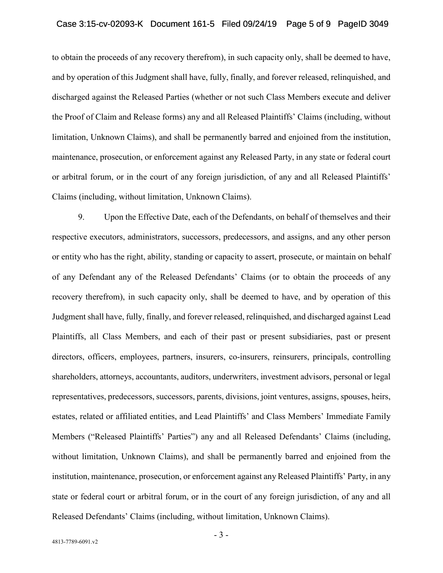#### Case 3:15-cv-02093-K Document 161-5 Filed 09/24/19 Page 5 of 9 PageID 3049

to obtain the proceeds of any recovery therefrom), in such capacity only, shall be deemed to have, and by operation of this Judgment shall have, fully, finally, and forever released, relinquished, and discharged against the Released Parties (whether or not such Class Members execute and deliver the Proof of Claim and Release forms) any and all Released Plaintiffs' Claims (including, without limitation, Unknown Claims), and shall be permanently barred and enjoined from the institution, maintenance, prosecution, or enforcement against any Released Party, in any state or federal court or arbitral forum, or in the court of any foreign jurisdiction, of any and all Released Plaintiffs' Claims (including, without limitation, Unknown Claims).

9. Upon the Effective Date, each of the Defendants, on behalf of themselves and their respective executors, administrators, successors, predecessors, and assigns, and any other person or entity who has the right, ability, standing or capacity to assert, prosecute, or maintain on behalf of any Defendant any of the Released Defendants' Claims (or to obtain the proceeds of any recovery therefrom), in such capacity only, shall be deemed to have, and by operation of this Judgment shall have, fully, finally, and forever released, relinquished, and discharged against Lead Plaintiffs, all Class Members, and each of their past or present subsidiaries, past or present directors, officers, employees, partners, insurers, co-insurers, reinsurers, principals, controlling shareholders, attorneys, accountants, auditors, underwriters, investment advisors, personal or legal representatives, predecessors, successors, parents, divisions, joint ventures, assigns, spouses, heirs, estates, related or affiliated entities, and Lead Plaintiffs' and Class Members' Immediate Family Members ("Released Plaintiffs' Parties") any and all Released Defendants' Claims (including, without limitation, Unknown Claims), and shall be permanently barred and enjoined from the institution, maintenance, prosecution, or enforcement against any Released Plaintiffs' Party, in any state or federal court or arbitral forum, or in the court of any foreign jurisdiction, of any and all Released Defendants' Claims (including, without limitation, Unknown Claims).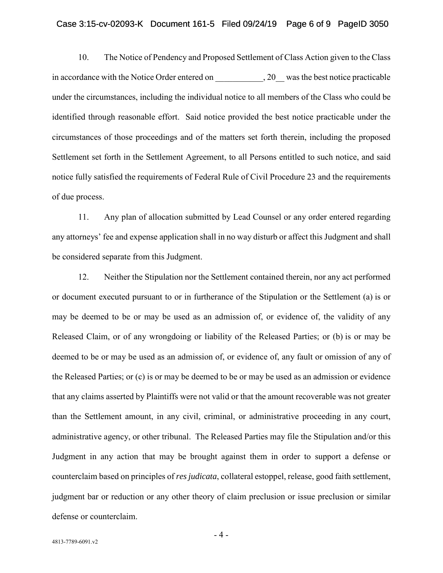#### Case 3:15-cv-02093-K Document 161-5 Filed 09/24/19 Page 6 of 9 PageID 3050

10. The Notice of Pendency and Proposed Settlement of Class Action given to the Class in accordance with the Notice Order entered on  $, 20$  was the best notice practicable under the circumstances, including the individual notice to all members of the Class who could be identified through reasonable effort. Said notice provided the best notice practicable under the circumstances of those proceedings and of the matters set forth therein, including the proposed Settlement set forth in the Settlement Agreement, to all Persons entitled to such notice, and said notice fully satisfied the requirements of Federal Rule of Civil Procedure 23 and the requirements of due process.

11. Any plan of allocation submitted by Lead Counsel or any order entered regarding any attorneys' fee and expense application shall in no way disturb or affect this Judgment and shall be considered separate from this Judgment.

12. Neither the Stipulation nor the Settlement contained therein, nor any act performed or document executed pursuant to or in furtherance of the Stipulation or the Settlement (a) is or may be deemed to be or may be used as an admission of, or evidence of, the validity of any Released Claim, or of any wrongdoing or liability of the Released Parties; or (b) is or may be deemed to be or may be used as an admission of, or evidence of, any fault or omission of any of the Released Parties; or (c) is or may be deemed to be or may be used as an admission or evidence that any claims asserted by Plaintiffs were not valid or that the amount recoverable was not greater than the Settlement amount, in any civil, criminal, or administrative proceeding in any court, administrative agency, or other tribunal. The Released Parties may file the Stipulation and/or this Judgment in any action that may be brought against them in order to support a defense or counterclaim based on principles of *res judicata*, collateral estoppel, release, good faith settlement, judgment bar or reduction or any other theory of claim preclusion or issue preclusion or similar defense or counterclaim.

- 4 -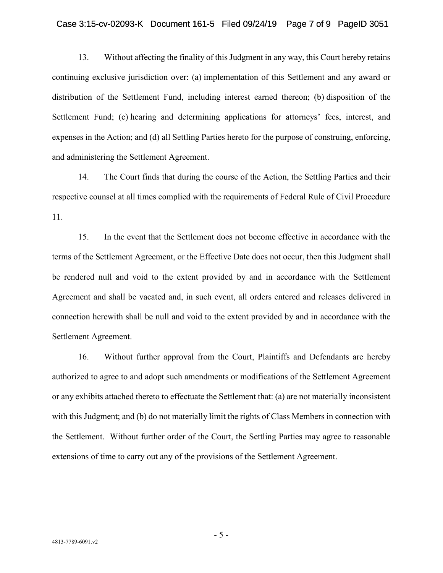#### Case 3:15-cv-02093-K Document 161-5 Filed 09/24/19 Page 7 of 9 PageID 3051

13. Without affecting the finality of this Judgment in any way, this Court hereby retains continuing exclusive jurisdiction over: (a) implementation of this Settlement and any award or distribution of the Settlement Fund, including interest earned thereon; (b) disposition of the Settlement Fund; (c) hearing and determining applications for attorneys' fees, interest, and expenses in the Action; and (d) all Settling Parties hereto for the purpose of construing, enforcing, and administering the Settlement Agreement.

14. The Court finds that during the course of the Action, the Settling Parties and their respective counsel at all times complied with the requirements of Federal Rule of Civil Procedure 11.

15. In the event that the Settlement does not become effective in accordance with the terms of the Settlement Agreement, or the Effective Date does not occur, then this Judgment shall be rendered null and void to the extent provided by and in accordance with the Settlement Agreement and shall be vacated and, in such event, all orders entered and releases delivered in connection herewith shall be null and void to the extent provided by and in accordance with the Settlement Agreement.

16. Without further approval from the Court, Plaintiffs and Defendants are hereby authorized to agree to and adopt such amendments or modifications of the Settlement Agreement or any exhibits attached thereto to effectuate the Settlement that: (a) are not materially inconsistent with this Judgment; and (b) do not materially limit the rights of Class Members in connection with the Settlement. Without further order of the Court, the Settling Parties may agree to reasonable extensions of time to carry out any of the provisions of the Settlement Agreement.

- 5 -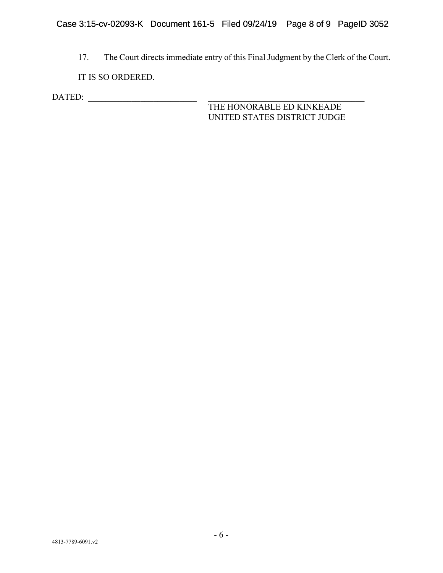17. The Court directs immediate entry of this Final Judgment by the Clerk of the Court.

IT IS SO ORDERED.

DATED: \_\_\_\_\_\_\_\_\_\_\_\_\_\_\_\_\_\_\_\_\_\_\_\_\_ \_\_\_\_\_\_\_\_\_\_\_\_\_\_\_\_\_\_\_\_\_\_\_\_\_\_\_\_\_\_\_\_\_\_\_\_

THE HONORABLE ED KINKEADE UNITED STATES DISTRICT JUDGE